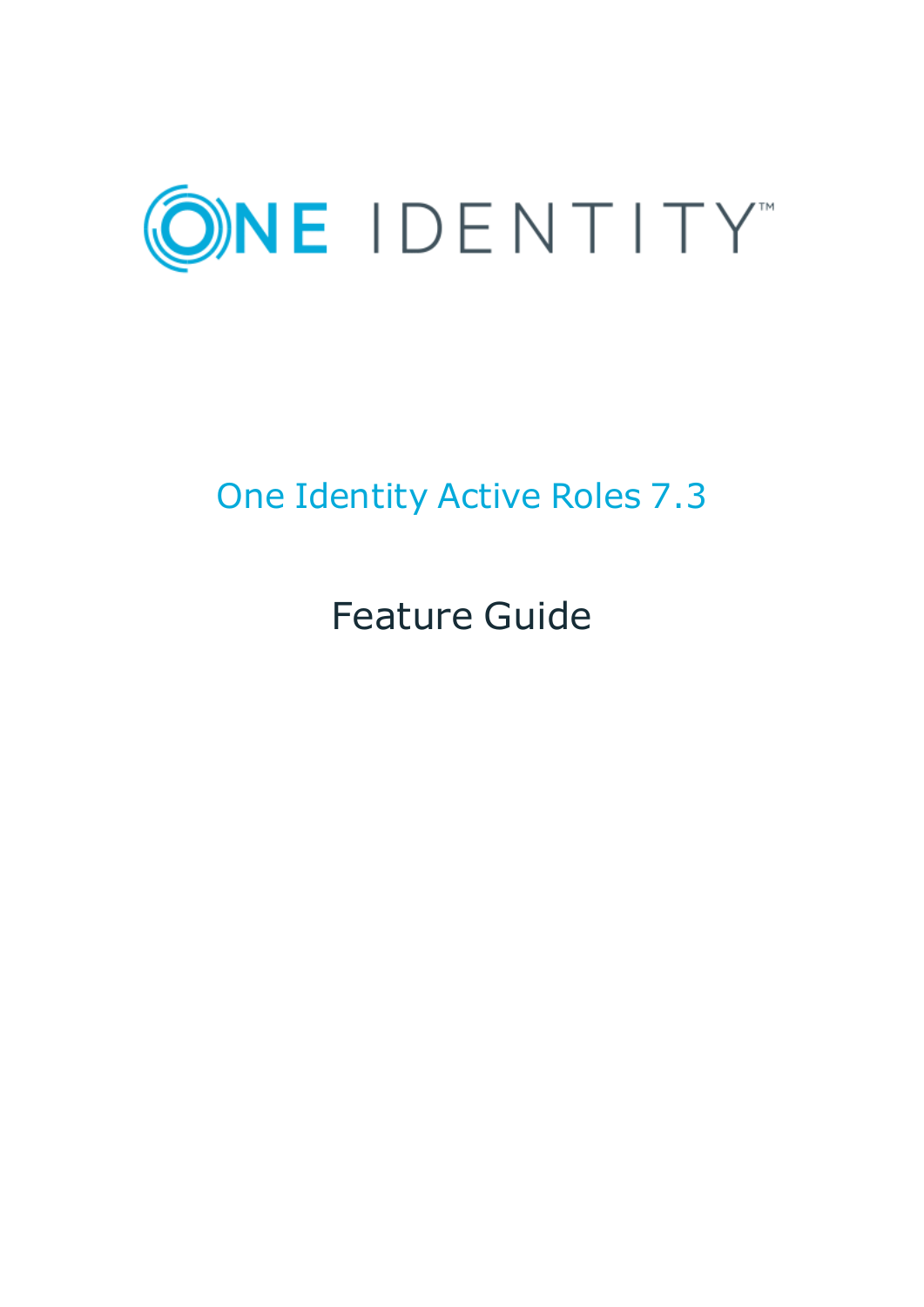

# One Identity Active Roles 7.3

# Feature Guide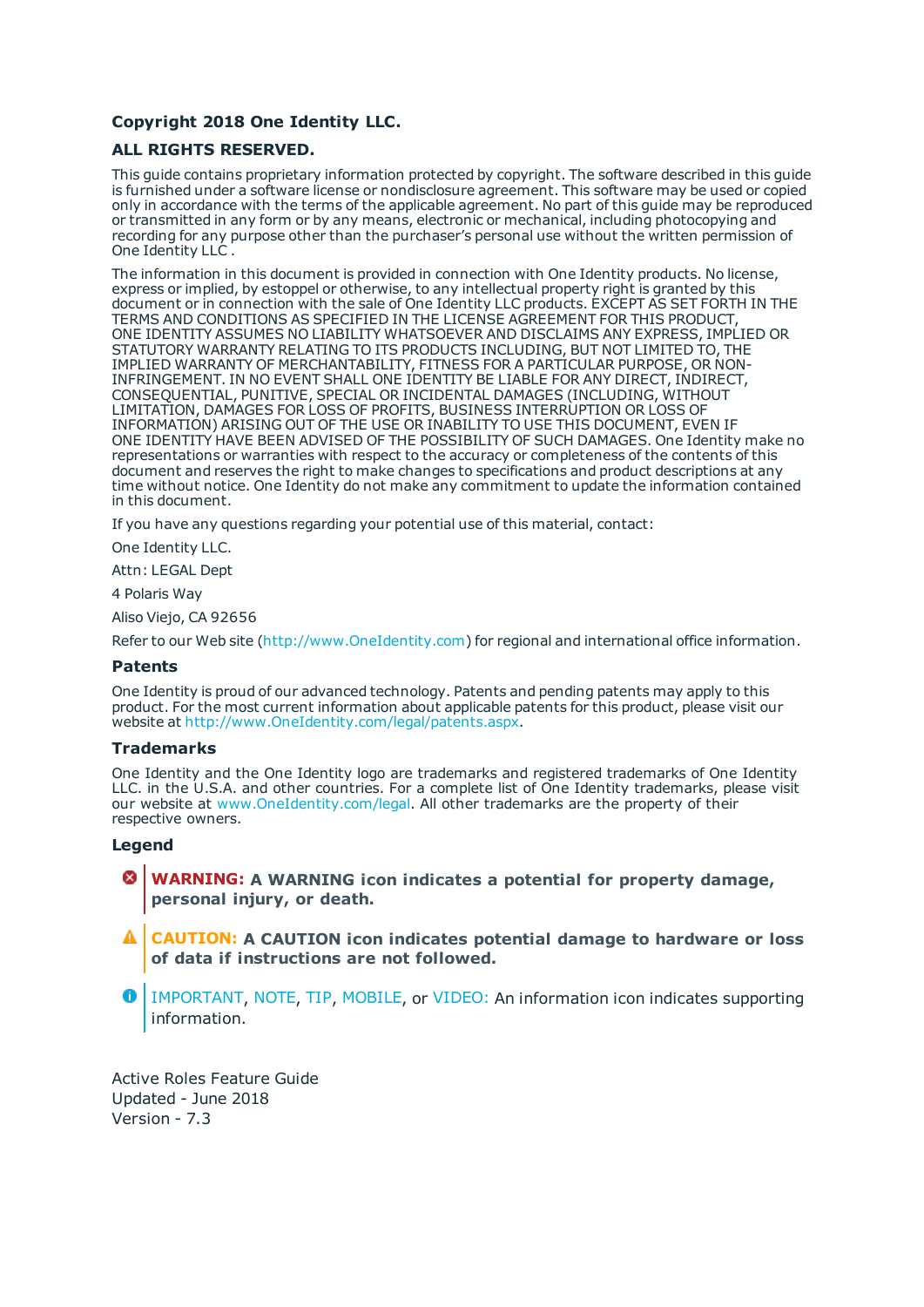#### **Copyright 2018 One Identity LLC.**

#### **ALL RIGHTS RESERVED.**

This guide contains proprietary information protected by copyright. The software described in this guide is furnished under a software license or nondisclosure agreement. This software may be used or copied only in accordance with the terms of the applicable agreement. No part of this guide may be reproduced or transmitted in any form or by any means, electronic or mechanical, including photocopying and recording for any purpose other than the purchaser's personal use without the written permission of One Identity LLC .

The information in this document is provided in connection with One Identity products. No license, express or implied, by estoppel or otherwise, to any intellectual property right is granted by this document or in connection with the sale of One Identity LLC products. EXCEPT AS SET FORTH IN THE TERMS AND CONDITIONS AS SPECIFIED IN THE LICENSE AGREEMENT FOR THIS PRODUCT, ONE IDENTITY ASSUMES NO LIABILITY WHATSOEVER AND DISCLAIMS ANY EXPRESS, IMPLIED OR STATUTORY WARRANTY RELATING TO ITS PRODUCTS INCLUDING, BUT NOT LIMITED TO, THE IMPLIED WARRANTY OF MERCHANTABILITY, FITNESS FOR A PARTICULAR PURPOSE, OR NON-INFRINGEMENT. IN NO EVENT SHALL ONE IDENTITY BE LIABLE FOR ANY DIRECT, INDIRECT, CONSEQUENTIAL, PUNITIVE, SPECIAL OR INCIDENTAL DAMAGES (INCLUDING, WITHOUT LIMITATION, DAMAGES FOR LOSS OF PROFITS, BUSINESS INTERRUPTION OR LOSS OF INFORMATION) ARISING OUT OF THE USE OR INABILITY TO USE THIS DOCUMENT, EVEN IF ONE IDENTITY HAVE BEEN ADVISED OF THE POSSIBILITY OF SUCH DAMAGES. One Identity make no representations or warranties with respect to the accuracy or completeness of the contents of this document and reserves the right to make changes to specifications and product descriptions at any time without notice. One Identity do not make any commitment to update the information contained in this document.

If you have any questions regarding your potential use of this material, contact:

One Identity LLC.

Attn: LEGAL Dept

4 Polaris Way

Aliso Viejo, CA 92656

Refer to our Web site ([http://www.OneIdentity.com](http://www.oneidentity.com/)) for regional and international office information.

#### **Patents**

One Identity is proud of our advanced technology. Patents and pending patents may apply to this product. For the most current information about applicable patents for this product, please visit our website at [http://www.OneIdentity.com/legal/patents.aspx](http://www.oneidentity.com/legal/patents.aspx).

#### **Trademarks**

One Identity and the One Identity logo are trademarks and registered trademarks of One Identity LLC. in the U.S.A. and other countries. For a complete list of One Identity trademarks, please visit our website at [www.OneIdentity.com/legal](http://www.oneidentity.com/legal). All other trademarks are the property of their respective owners.

#### **Legend**

- **WARNING: A WARNING icon indicates a potential for property damage, personal injury, or death.**
- **CAUTION: A CAUTION icon indicates potential damage to hardware or loss of data if instructions are not followed.**
- Œ IMPORTANT, NOTE, TIP, MOBILE, or VIDEO: An information icon indicates supporting information.

Active Roles Feature Guide Updated - June 2018 Version - 7.3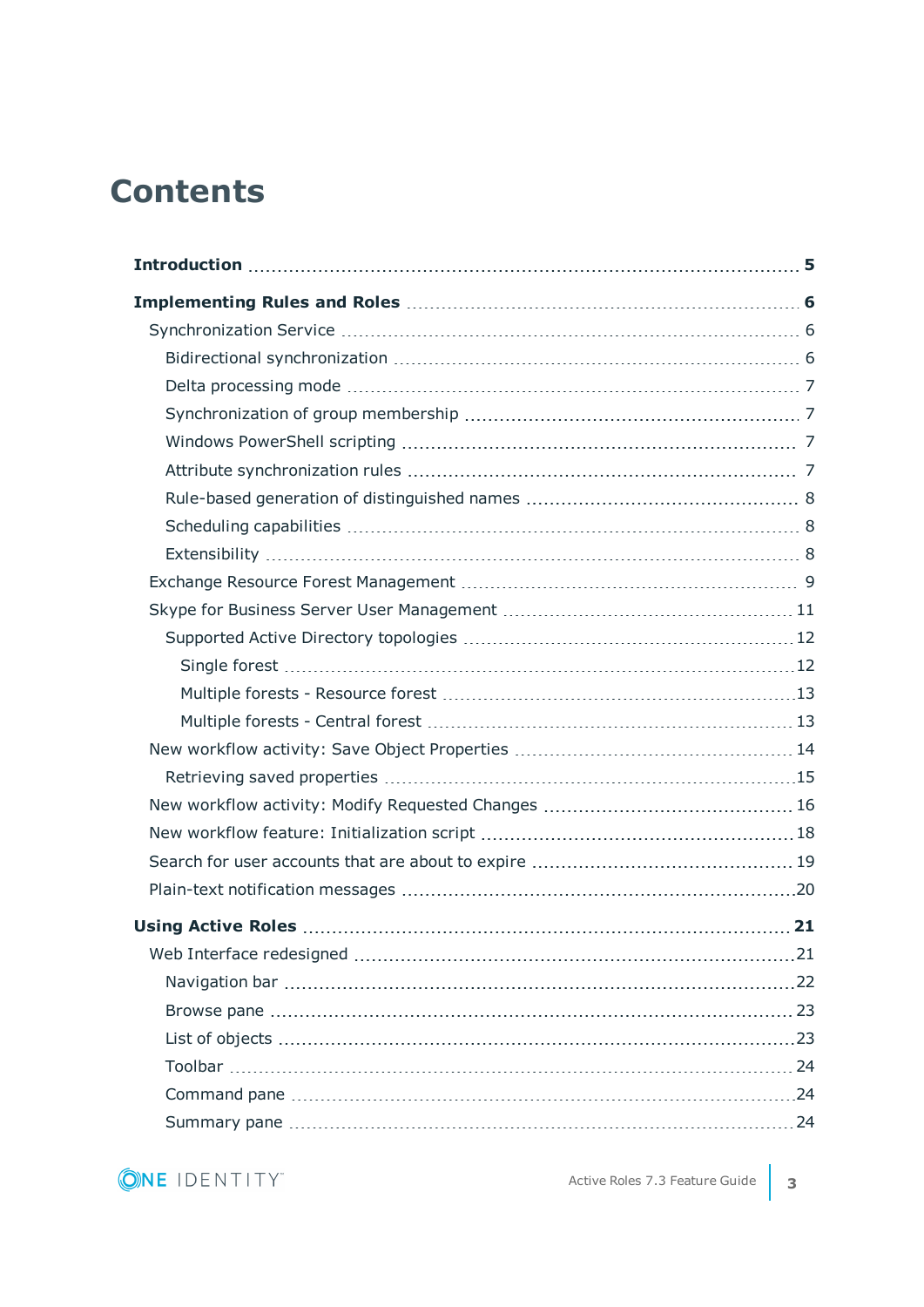# **Contents**

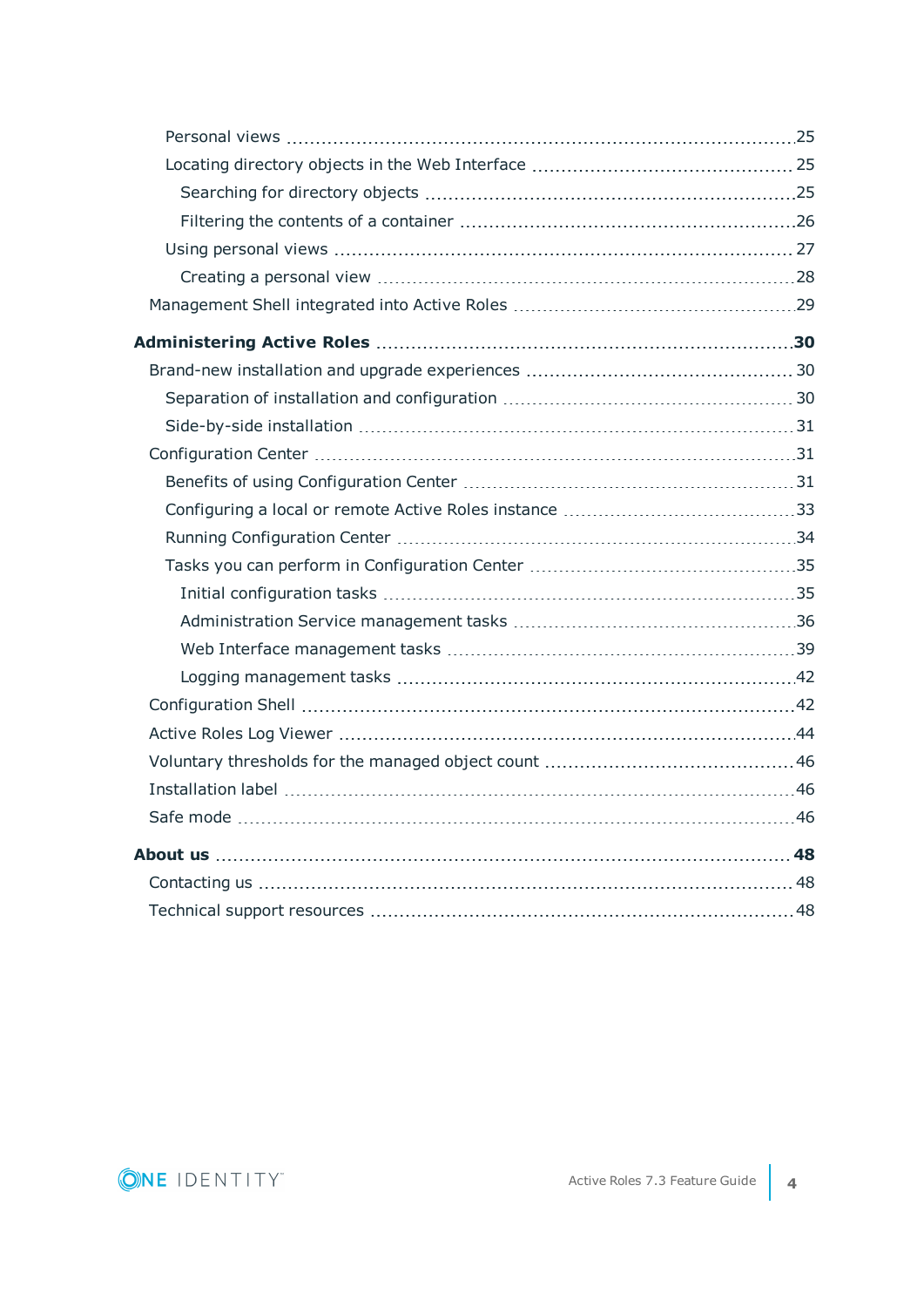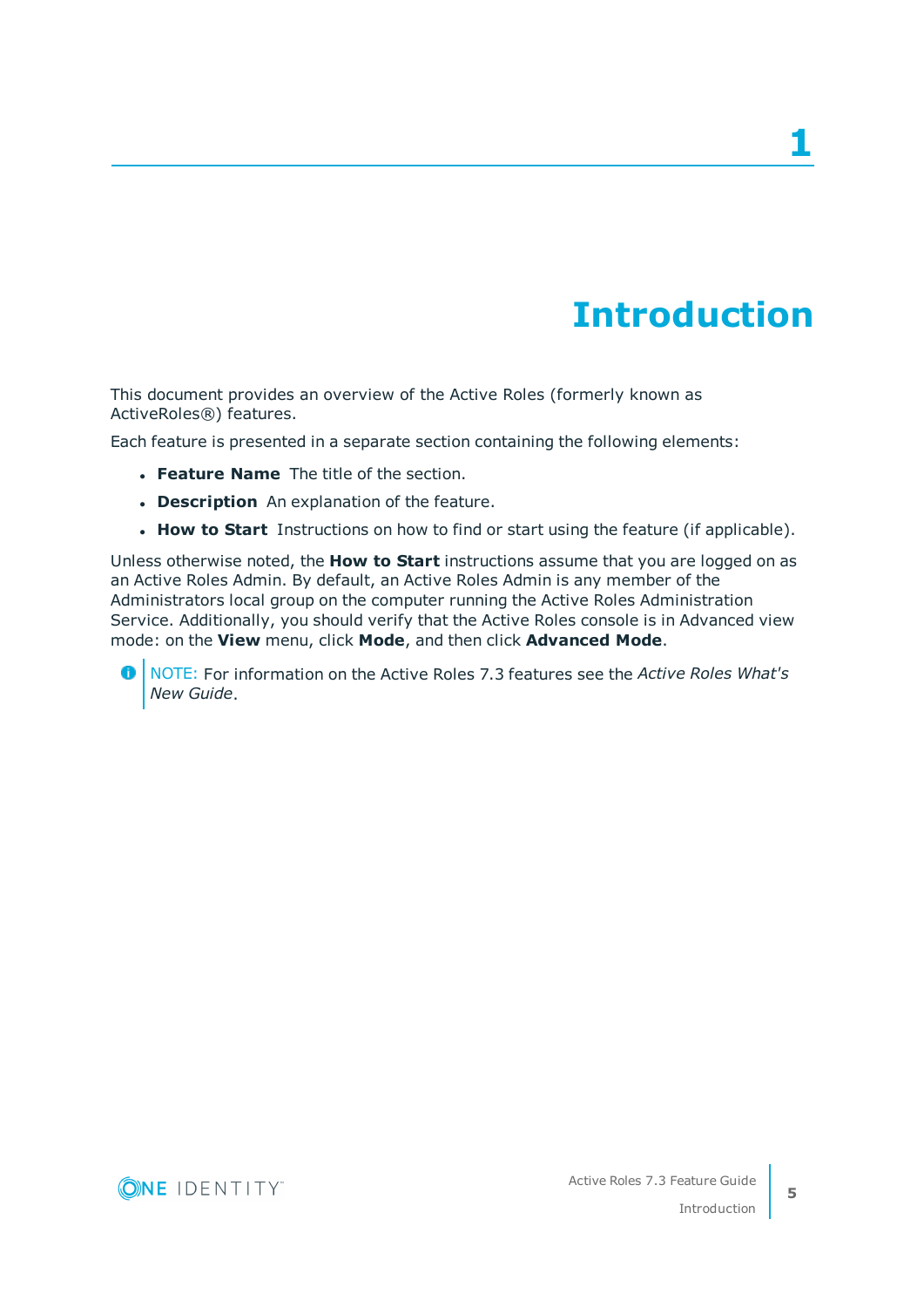**1**

# **Introduction**

<span id="page-4-0"></span>This document provides an overview of the Active Roles (formerly known as ActiveRoles®) features.

Each feature is presented in a separate section containing the following elements:

- **. Feature Name** The title of the section.
- **. Description** An explanation of the feature.
- **How to Start** Instructions on how to find or start using the feature (if applicable).

Unless otherwise noted, the **How to Start** instructions assume that you are logged on as an Active Roles Admin. By default, an Active Roles Admin is any member of the Administrators local group on the computer running the Active Roles Administration Service. Additionally, you should verify that the Active Roles console is in Advanced view mode: on the **View** menu, click **Mode**, and then click **Advanced Mode**.

6 NOTE: For information on the Active Roles 7.3 features see the *Active Roles What's New Guide*.

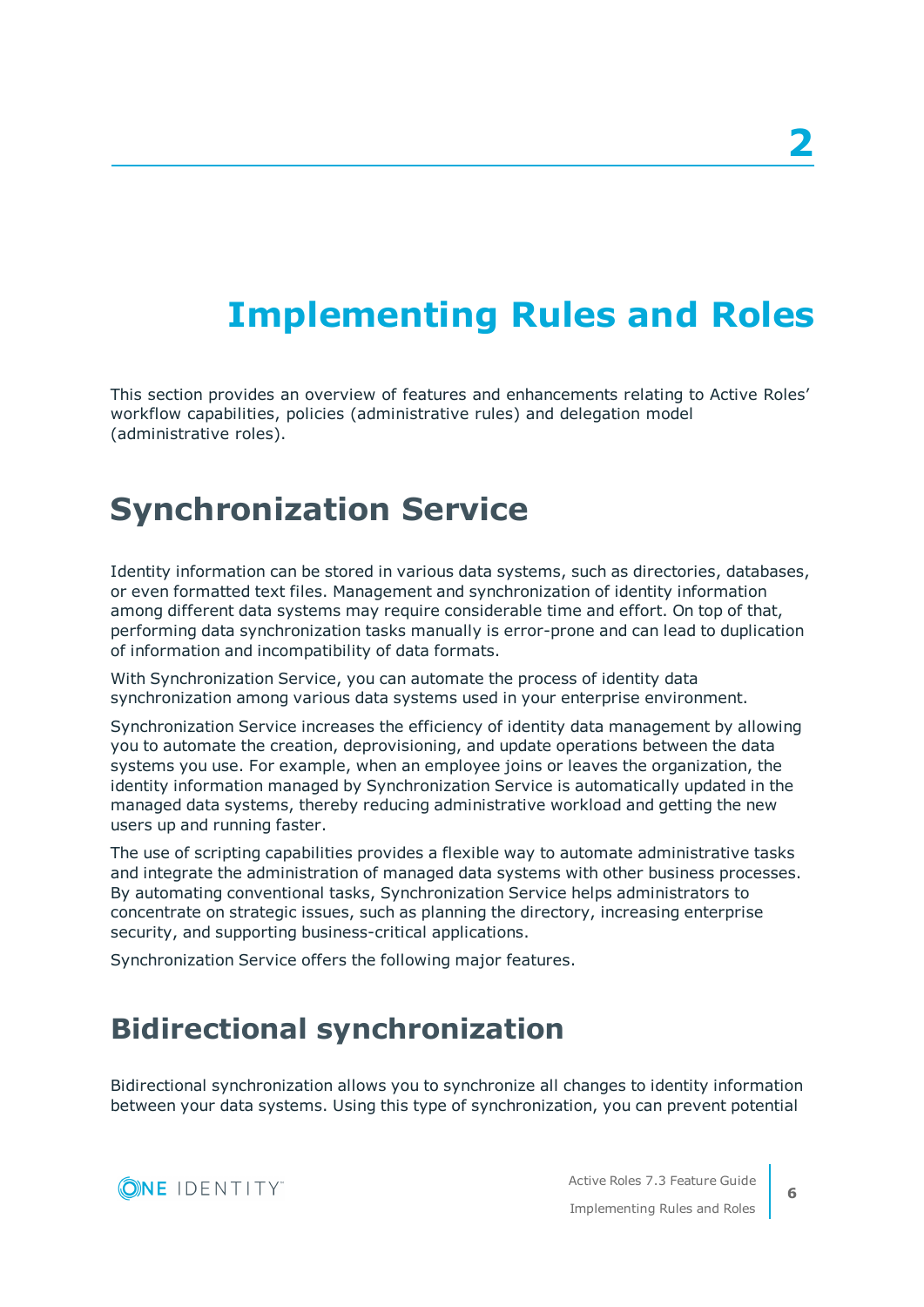# <span id="page-5-0"></span>**Implementing Rules and Roles**

This section provides an overview of features and enhancements relating to Active Roles' workflow capabilities, policies (administrative rules) and delegation model (administrative roles).

# <span id="page-5-1"></span>**Synchronization Service**

Identity information can be stored in various data systems, such as directories, databases, or even formatted text files. Management and synchronization of identity information among different data systems may require considerable time and effort. On top of that, performing data synchronization tasks manually is error-prone and can lead to duplication of information and incompatibility of data formats.

With Synchronization Service, you can automate the process of identity data synchronization among various data systems used in your enterprise environment.

Synchronization Service increases the efficiency of identity data management by allowing you to automate the creation, deprovisioning, and update operations between the data systems you use. For example, when an employee joins or leaves the organization, the identity information managed by Synchronization Service is automatically updated in the managed data systems, thereby reducing administrative workload and getting the new users up and running faster.

The use of scripting capabilities provides a flexible way to automate administrative tasks and integrate the administration of managed data systems with other business processes. By automating conventional tasks, Synchronization Service helps administrators to concentrate on strategic issues, such as planning the directory, increasing enterprise security, and supporting business-critical applications.

<span id="page-5-2"></span>Synchronization Service offers the following major features.

## **Bidirectional synchronization**

Bidirectional synchronization allows you to synchronize all changes to identity information between your data systems. Using this type of synchronization, you can prevent potential

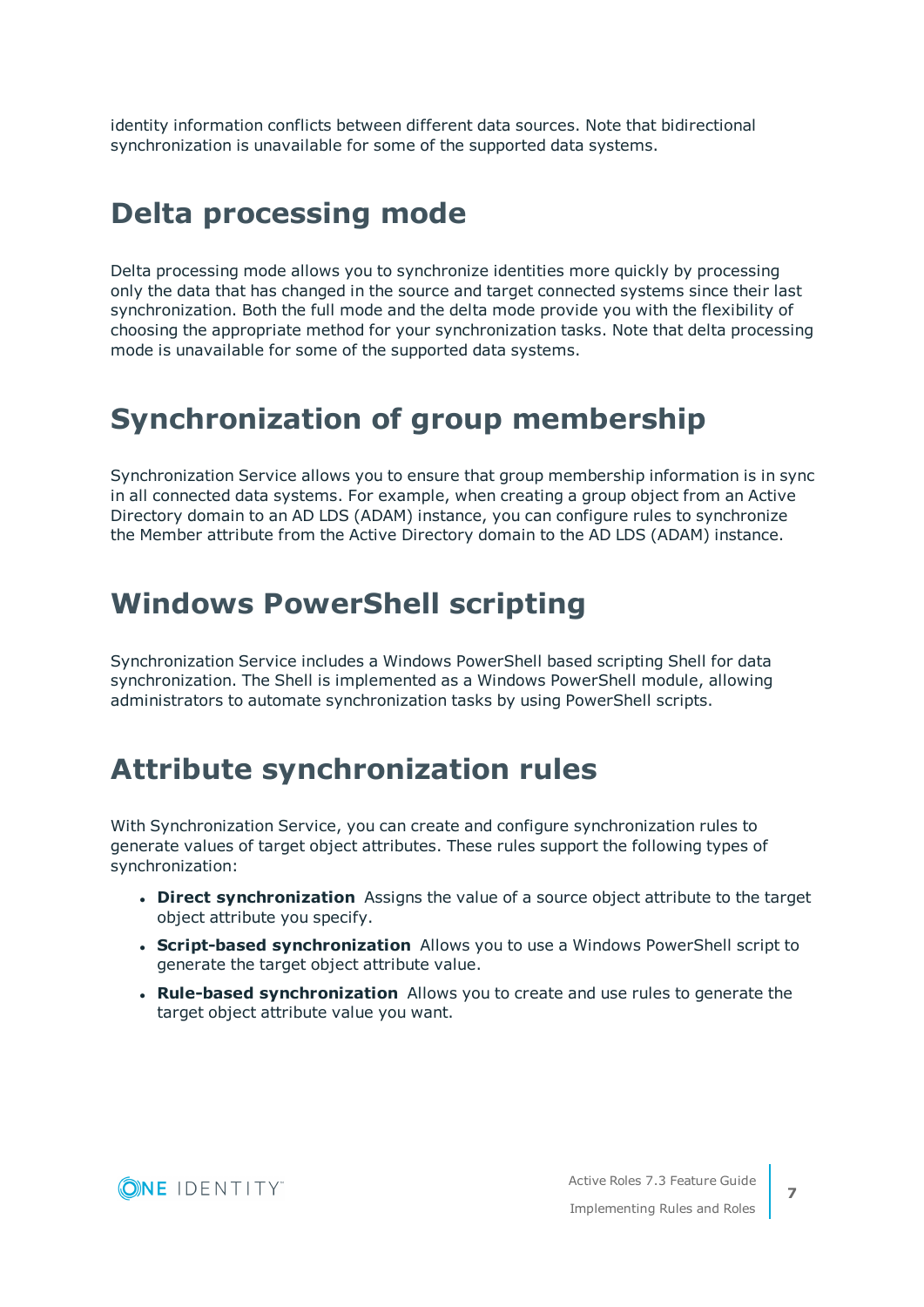identity information conflicts between different data sources. Note that bidirectional synchronization is unavailable for some of the supported data systems.

## <span id="page-6-0"></span>**Delta processing mode**

Delta processing mode allows you to synchronize identities more quickly by processing only the data that has changed in the source and target connected systems since their last synchronization. Both the full mode and the delta mode provide you with the flexibility of choosing the appropriate method for your synchronization tasks. Note that delta processing mode is unavailable for some of the supported data systems.

## <span id="page-6-1"></span>**Synchronization of group membership**

Synchronization Service allows you to ensure that group membership information is in sync in all connected data systems. For example, when creating a group object from an Active Directory domain to an AD LDS (ADAM) instance, you can configure rules to synchronize the Member attribute from the Active Directory domain to the AD LDS (ADAM) instance.

## <span id="page-6-2"></span>**Windows PowerShell scripting**

Synchronization Service includes a Windows PowerShell based scripting Shell for data synchronization. The Shell is implemented as a Windows PowerShell module, allowing administrators to automate synchronization tasks by using PowerShell scripts.

## <span id="page-6-3"></span>**Attribute synchronization rules**

With Synchronization Service, you can create and configure synchronization rules to generate values of target object attributes. These rules support the following types of synchronization:

- **. Direct synchronization** Assigns the value of a source object attribute to the target object attribute you specify.
- **. Script-based synchronization** Allows you to use a Windows PowerShell script to generate the target object attribute value.
- <sup>l</sup> **Rule-based synchronization** Allows you to create and use rules to generate the target object attribute value you want.



**7**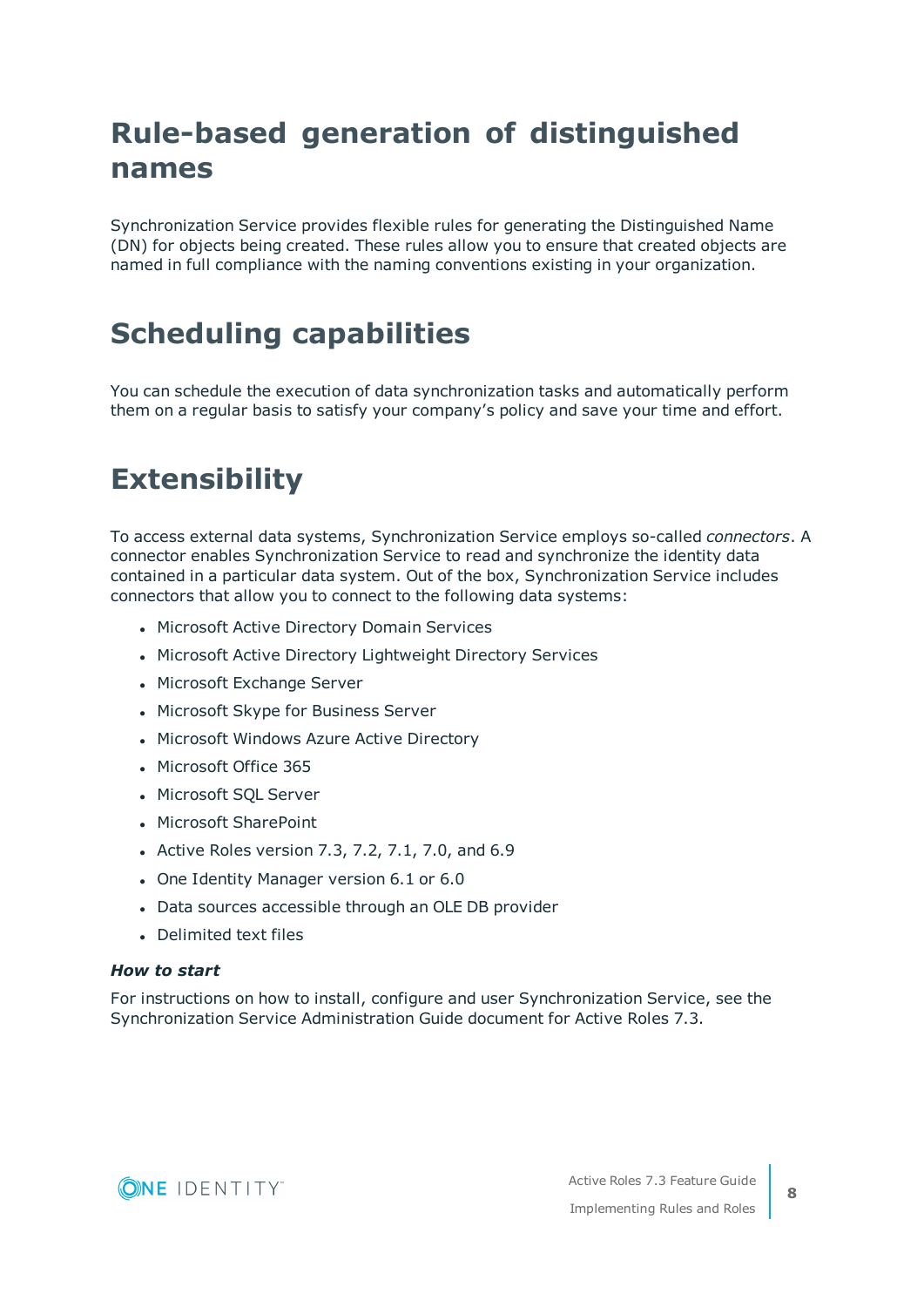# <span id="page-7-0"></span>**Rule-based generation of distinguished names**

Synchronization Service provides flexible rules for generating the Distinguished Name (DN) for objects being created. These rules allow you to ensure that created objects are named in full compliance with the naming conventions existing in your organization.

# <span id="page-7-1"></span>**Scheduling capabilities**

You can schedule the execution of data synchronization tasks and automatically perform them on a regular basis to satisfy your company's policy and save your time and effort.

# <span id="page-7-2"></span>**Extensibility**

To access external data systems, Synchronization Service employs so-called *connectors*. A connector enables Synchronization Service to read and synchronize the identity data contained in a particular data system. Out of the box, Synchronization Service includes connectors that allow you to connect to the following data systems:

- Microsoft Active Directory Domain Services
- Microsoft Active Directory Lightweight Directory Services
- Microsoft Exchange Server
- Microsoft Skype for Business Server
- Microsoft Windows Azure Active Directory
- Microsoft Office 365
- Microsoft SOL Server
- Microsoft SharePoint
- Active Roles version 7.3, 7.2, 7.1, 7.0, and 6.9
- One Identity Manager version 6.1 or 6.0
- Data sources accessible through an OLE DB provider
- **.** Delimited text files

#### *How to start*

For instructions on how to install, configure and user Synchronization Service, see the Synchronization Service Administration Guide document for Active Roles 7.3.

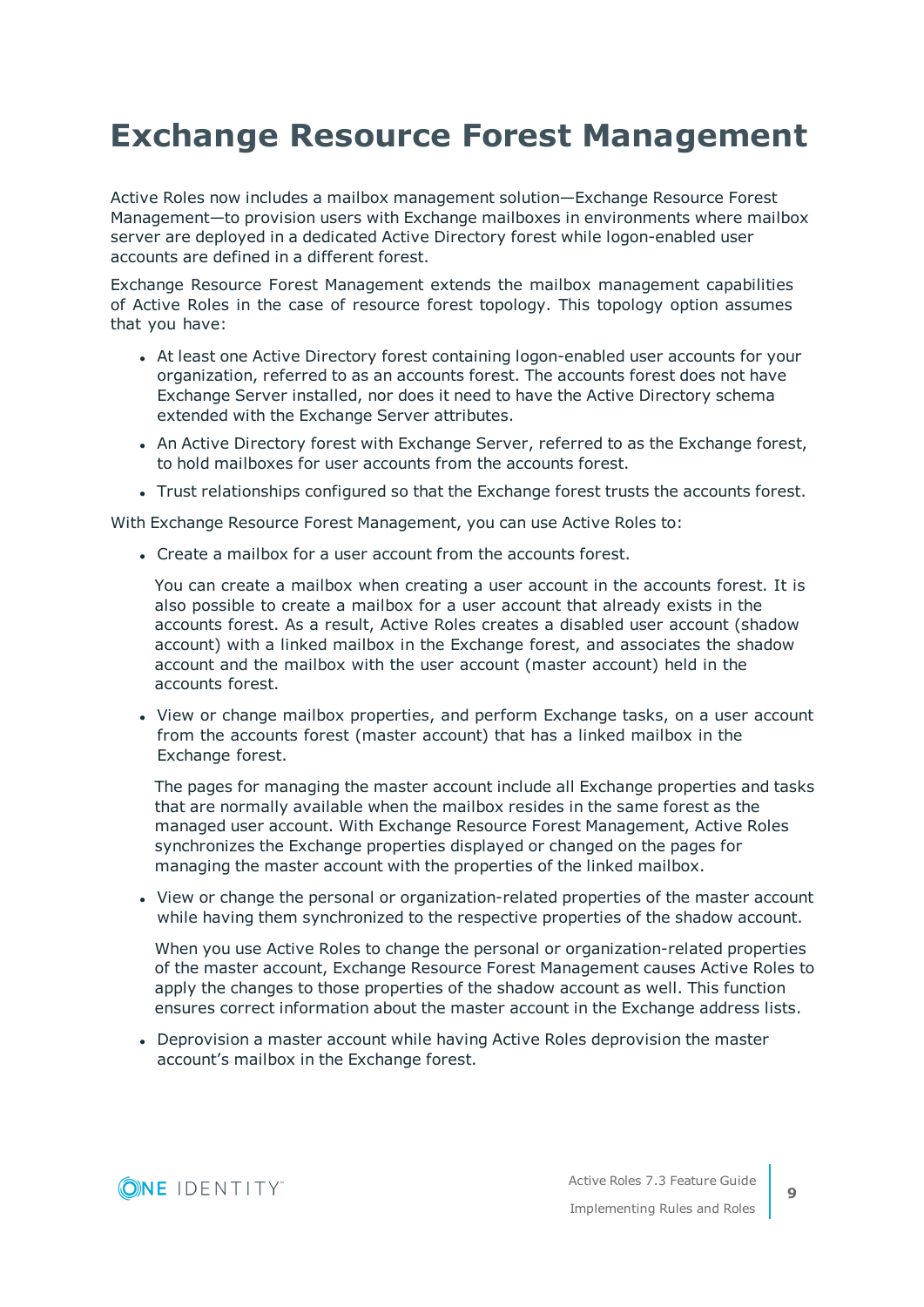# <span id="page-8-0"></span>**Exchange Resource Forest Management**

Active Roles now includes a mailbox management solution—Exchange Resource Forest Management—to provision users with Exchange mailboxes in environments where mailbox server are deployed in a dedicated Active Directory forest while logon-enabled user accounts are defined in a different forest.

Exchange Resource Forest Management extends the mailbox management capabilities of Active Roles in the case of resource forest topology. This topology option assumes that you have:

- At least one Active Directory forest containing logon-enabled user accounts for your organization, referred to as an accounts forest. The accounts forest does not have Exchange Server installed, nor does it need to have the Active Directory schema extended with the Exchange Server attributes.
- An Active Directory forest with Exchange Server, referred to as the Exchange forest, to hold mailboxes for user accounts from the accounts forest.
- Trust relationships configured so that the Exchange forest trusts the accounts forest.

With Exchange Resource Forest Management, you can use Active Roles to:

• Create a mailbox for a user account from the accounts forest.

You can create a mailbox when creating a user account in the accounts forest. It is also possible to create a mailbox for a user account that already exists in the accounts forest. As a result, Active Roles creates a disabled user account (shadow account) with a linked mailbox in the Exchange forest, and associates the shadow account and the mailbox with the user account (master account) held in the accounts forest.

• View or change mailbox properties, and perform Exchange tasks, on a user account from the accounts forest (master account) that has a linked mailbox in the Exchange forest.

The pages for managing the master account include all Exchange properties and tasks that are normally available when the mailbox resides in the same forest as the managed user account. With Exchange Resource Forest Management, Active Roles synchronizes the Exchange properties displayed or changed on the pages for managing the master account with the properties of the linked mailbox.

• View or change the personal or organization-related properties of the master account while having them synchronized to the respective properties of the shadow account.

When you use Active Roles to change the personal or organization-related properties of the master account, Exchange Resource Forest Management causes Active Roles to apply the changes to those properties of the shadow account as well. This function ensures correct information about the master account in the Exchange address lists.

• Deprovision a master account while having Active Roles deprovision the master account's mailbox in the Exchange forest.

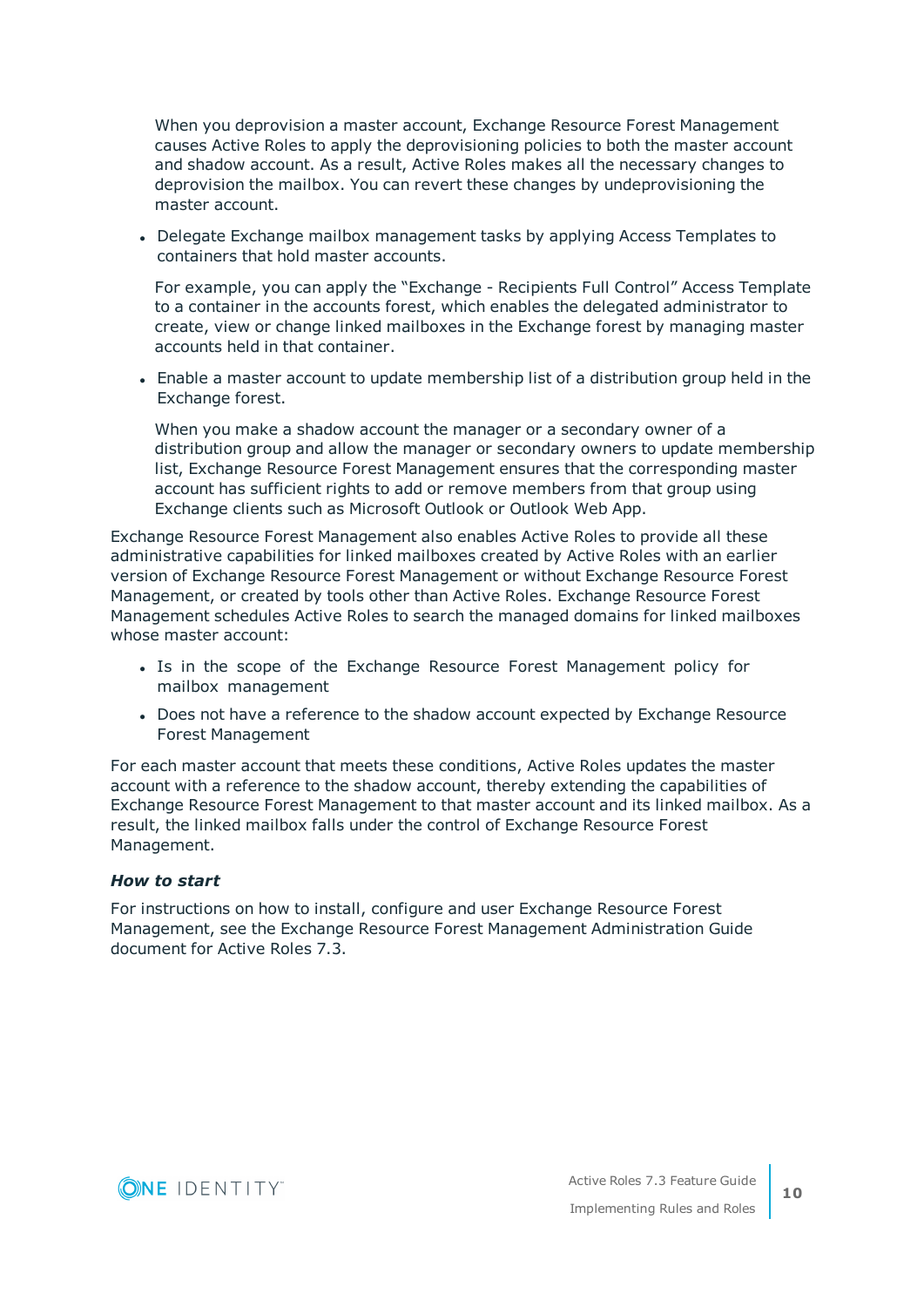When you deprovision a master account, Exchange Resource Forest Management causes Active Roles to apply the deprovisioning policies to both the master account and shadow account. As a result, Active Roles makes all the necessary changes to deprovision the mailbox. You can revert these changes by undeprovisioning the master account.

• Delegate Exchange mailbox management tasks by applying Access Templates to containers that hold master accounts.

For example, you can apply the "Exchange - Recipients Full Control" Access Template to a container in the accounts forest, which enables the delegated administrator to create, view or change linked mailboxes in the Exchange forest by managing master accounts held in that container.

• Enable a master account to update membership list of a distribution group held in the Exchange forest.

When you make a shadow account the manager or a secondary owner of a distribution group and allow the manager or secondary owners to update membership list, Exchange Resource Forest Management ensures that the corresponding master account has sufficient rights to add or remove members from that group using Exchange clients such as Microsoft Outlook or Outlook Web App.

Exchange Resource Forest Management also enables Active Roles to provide all these administrative capabilities for linked mailboxes created by Active Roles with an earlier version of Exchange Resource Forest Management or without Exchange Resource Forest Management, or created by tools other than Active Roles. Exchange Resource Forest Management schedules Active Roles to search the managed domains for linked mailboxes whose master account:

- Is in the scope of the Exchange Resource Forest Management policy for mailbox management
- Does not have a reference to the shadow account expected by Exchange Resource Forest Management

For each master account that meets these conditions, Active Roles updates the master account with a reference to the shadow account, thereby extending the capabilities of Exchange Resource Forest Management to that master account and its linked mailbox. As a result, the linked mailbox falls under the control of Exchange Resource Forest Management.

#### *How to start*

For instructions on how to install, configure and user Exchange Resource Forest Management, see the Exchange Resource Forest Management Administration Guide document for Active Roles 7.3.

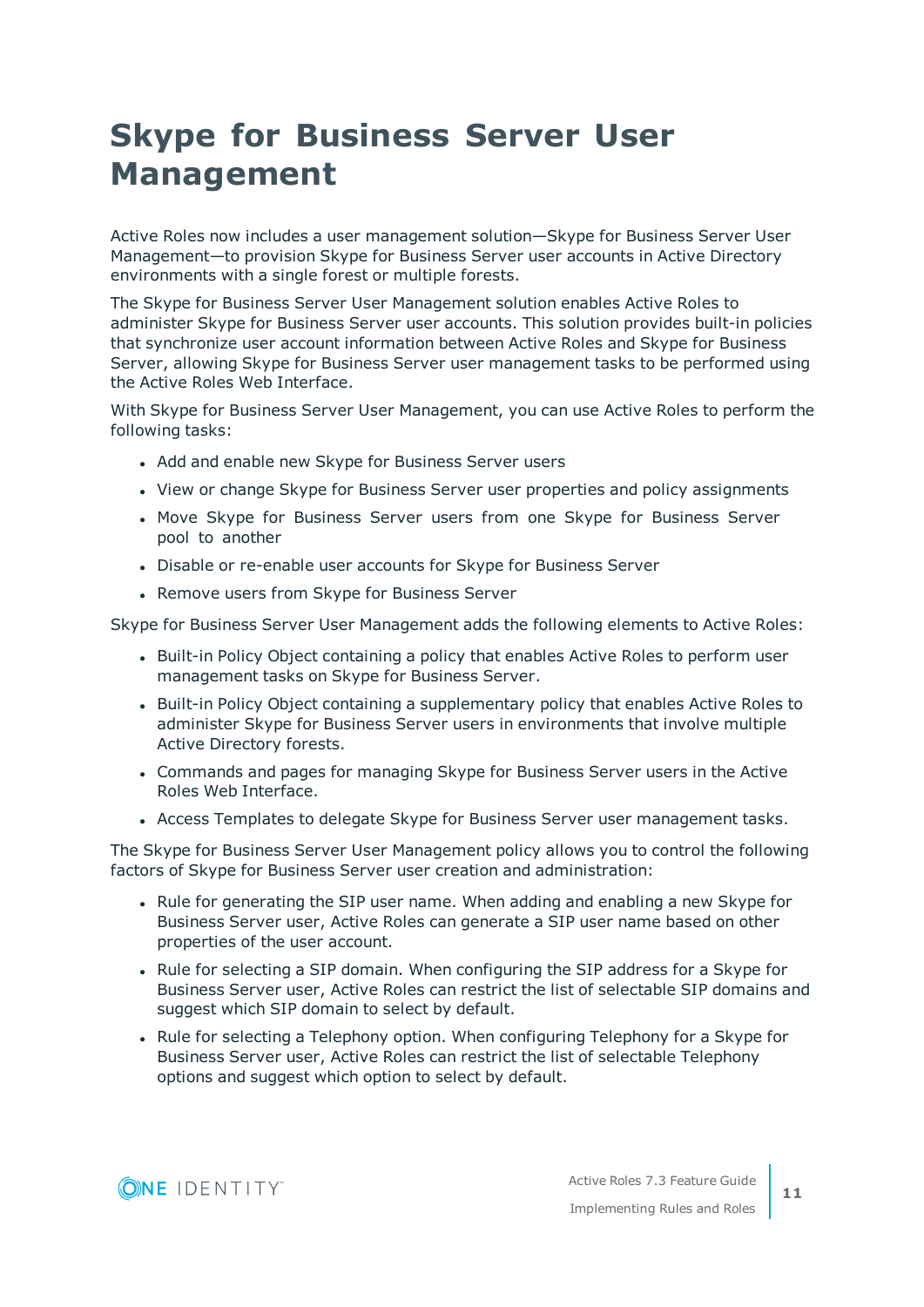# <span id="page-10-0"></span>**Skype for Business Server User Management**

Active Roles now includes a user management solution—Skype for Business Server User Management—to provision Skype for Business Server user accounts in Active Directory environments with a single forest or multiple forests.

The Skype for Business Server User Management solution enables Active Roles to administer Skype for Business Server user accounts. This solution provides built-in policies that synchronize user account information between Active Roles and Skype for Business Server, allowing Skype for Business Server user management tasks to be performed using the Active Roles Web Interface.

With Skype for Business Server User Management, you can use Active Roles to perform the following tasks:

- Add and enable new Skype for Business Server users
- View or change Skype for Business Server user properties and policy assignments
- Move Skype for Business Server users from one Skype for Business Server pool to another
- Disable or re-enable user accounts for Skype for Business Server
- Remove users from Skype for Business Server

Skype for Business Server User Management adds the following elements to Active Roles:

- Built-in Policy Object containing a policy that enables Active Roles to perform user management tasks on Skype for Business Server.
- Built-in Policy Object containing a supplementary policy that enables Active Roles to administer Skype for Business Server users in environments that involve multiple Active Directory forests.
- Commands and pages for managing Skype for Business Server users in the Active Roles Web Interface.
- Access Templates to delegate Skype for Business Server user management tasks.

The Skype for Business Server User Management policy allows you to control the following factors of Skype for Business Server user creation and administration:

- Rule for generating the SIP user name. When adding and enabling a new Skype for Business Server user, Active Roles can generate a SIP user name based on other properties of the user account.
- Rule for selecting a SIP domain. When configuring the SIP address for a Skype for Business Server user, Active Roles can restrict the list of selectable SIP domains and suggest which SIP domain to select by default.
- Rule for selecting a Telephony option. When configuring Telephony for a Skype for Business Server user, Active Roles can restrict the list of selectable Telephony options and suggest which option to select by default.

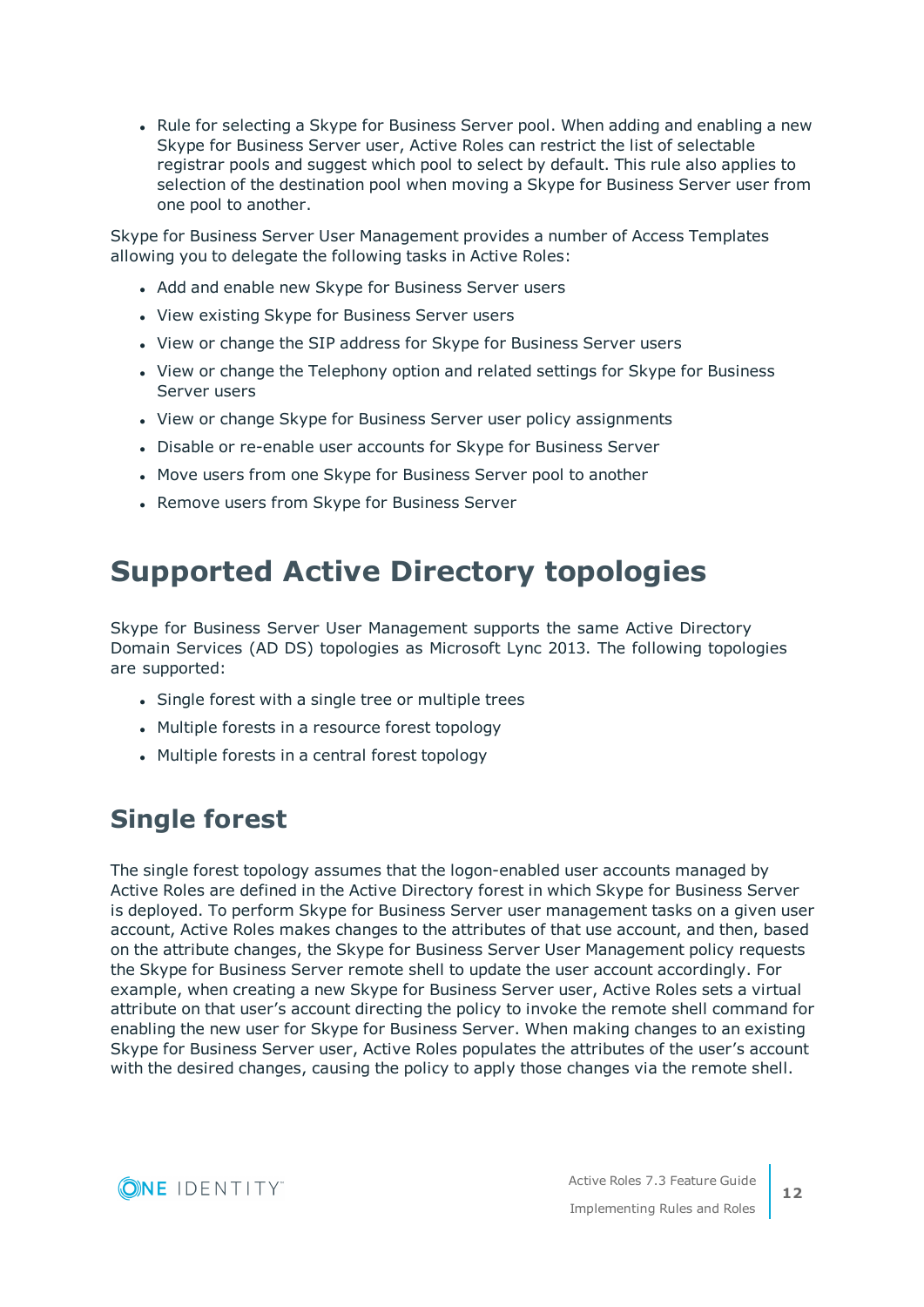• Rule for selecting a Skype for Business Server pool. When adding and enabling a new Skype for Business Server user, Active Roles can restrict the list of selectable registrar pools and suggest which pool to select by default. This rule also applies to selection of the destination pool when moving a Skype for Business Server user from one pool to another.

Skype for Business Server User Management provides a number of Access Templates allowing you to delegate the following tasks in Active Roles:

- Add and enable new Skype for Business Server users
- View existing Skype for Business Server users
- View or change the SIP address for Skype for Business Server users
- View or change the Telephony option and related settings for Skype for Business Server users
- View or change Skype for Business Server user policy assignments
- Disable or re-enable user accounts for Skype for Business Server
- Move users from one Skype for Business Server pool to another
- Remove users from Skype for Business Server

# <span id="page-11-0"></span>**Supported Active Directory topologies**

Skype for Business Server User Management supports the same Active Directory Domain Services (AD DS) topologies as Microsoft Lync 2013. The following topologies are supported:

- Single forest with a single tree or multiple trees
- Multiple forests in a resource forest topology
- Multiple forests in a central forest topology

## <span id="page-11-1"></span>**Single forest**

The single forest topology assumes that the logon-enabled user accounts managed by Active Roles are defined in the Active Directory forest in which Skype for Business Server is deployed. To perform Skype for Business Server user management tasks on a given user account, Active Roles makes changes to the attributes of that use account, and then, based on the attribute changes, the Skype for Business Server User Management policy requests the Skype for Business Server remote shell to update the user account accordingly. For example, when creating a new Skype for Business Server user, Active Roles sets a virtual attribute on that user's account directing the policy to invoke the remote shell command for enabling the new user for Skype for Business Server. When making changes to an existing Skype for Business Server user, Active Roles populates the attributes of the user's account with the desired changes, causing the policy to apply those changes via the remote shell.

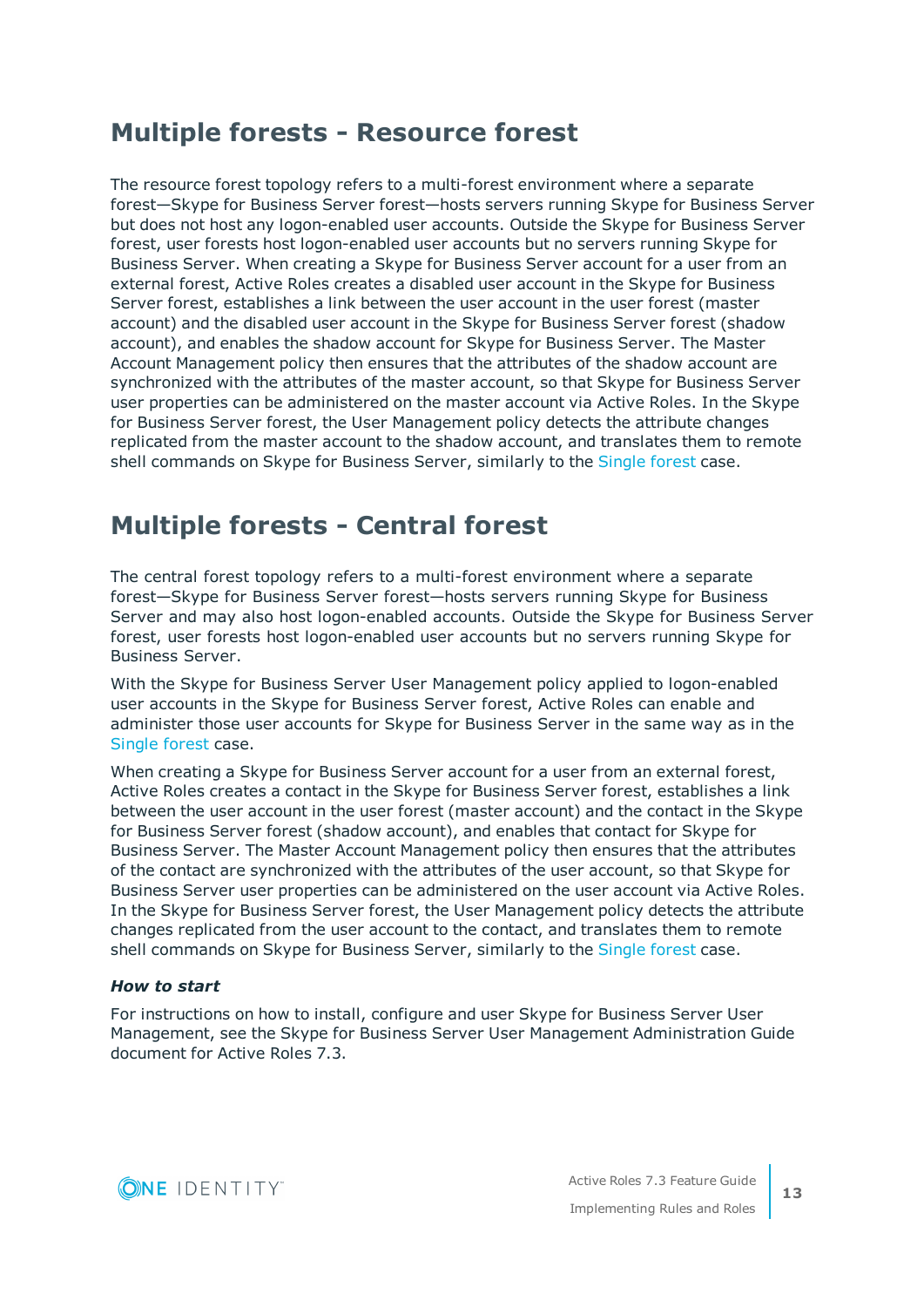## <span id="page-12-0"></span>**Multiple forests - Resource forest**

The resource forest topology refers to a multi-forest environment where a separate forest—Skype for Business Server forest—hosts servers running Skype for Business Server but does not host any logon-enabled user accounts. Outside the Skype for Business Server forest, user forests host logon-enabled user accounts but no servers running Skype for Business Server. When creating a Skype for Business Server account for a user from an external forest, Active Roles creates a disabled user account in the Skype for Business Server forest, establishes a link between the user account in the user forest (master account) and the disabled user account in the Skype for Business Server forest (shadow account), and enables the shadow account for Skype for Business Server. The Master Account Management policy then ensures that the attributes of the shadow account are synchronized with the attributes of the master account, so that Skype for Business Server user properties can be administered on the master account via Active Roles. In the Skype for Business Server forest, the User Management policy detects the attribute changes replicated from the master account to the shadow account, and translates them to remote shell commands on Skype for Business Server, similarly to the [Single](#page-11-1) forest case.

## <span id="page-12-1"></span>**Multiple forests - Central forest**

The central forest topology refers to a multi-forest environment where a separate forest—Skype for Business Server forest—hosts servers running Skype for Business Server and may also host logon-enabled accounts. Outside the Skype for Business Server forest, user forests host logon-enabled user accounts but no servers running Skype for Business Server.

With the Skype for Business Server User Management policy applied to logon-enabled user accounts in the Skype for Business Server forest, Active Roles can enable and administer those user accounts for Skype for Business Server in the same way as in the [Single](#page-11-1) forest case.

When creating a Skype for Business Server account for a user from an external forest, Active Roles creates a contact in the Skype for Business Server forest, establishes a link between the user account in the user forest (master account) and the contact in the Skype for Business Server forest (shadow account), and enables that contact for Skype for Business Server. The Master Account Management policy then ensures that the attributes of the contact are synchronized with the attributes of the user account, so that Skype for Business Server user properties can be administered on the user account via Active Roles. In the Skype for Business Server forest, the User Management policy detects the attribute changes replicated from the user account to the contact, and translates them to remote shell commands on Skype for Business Server, similarly to the [Single](#page-11-1) forest case.

#### *How to start*

For instructions on how to install, configure and user Skype for Business Server User Management, see the Skype for Business Server User Management Administration Guide document for Active Roles 7.3.

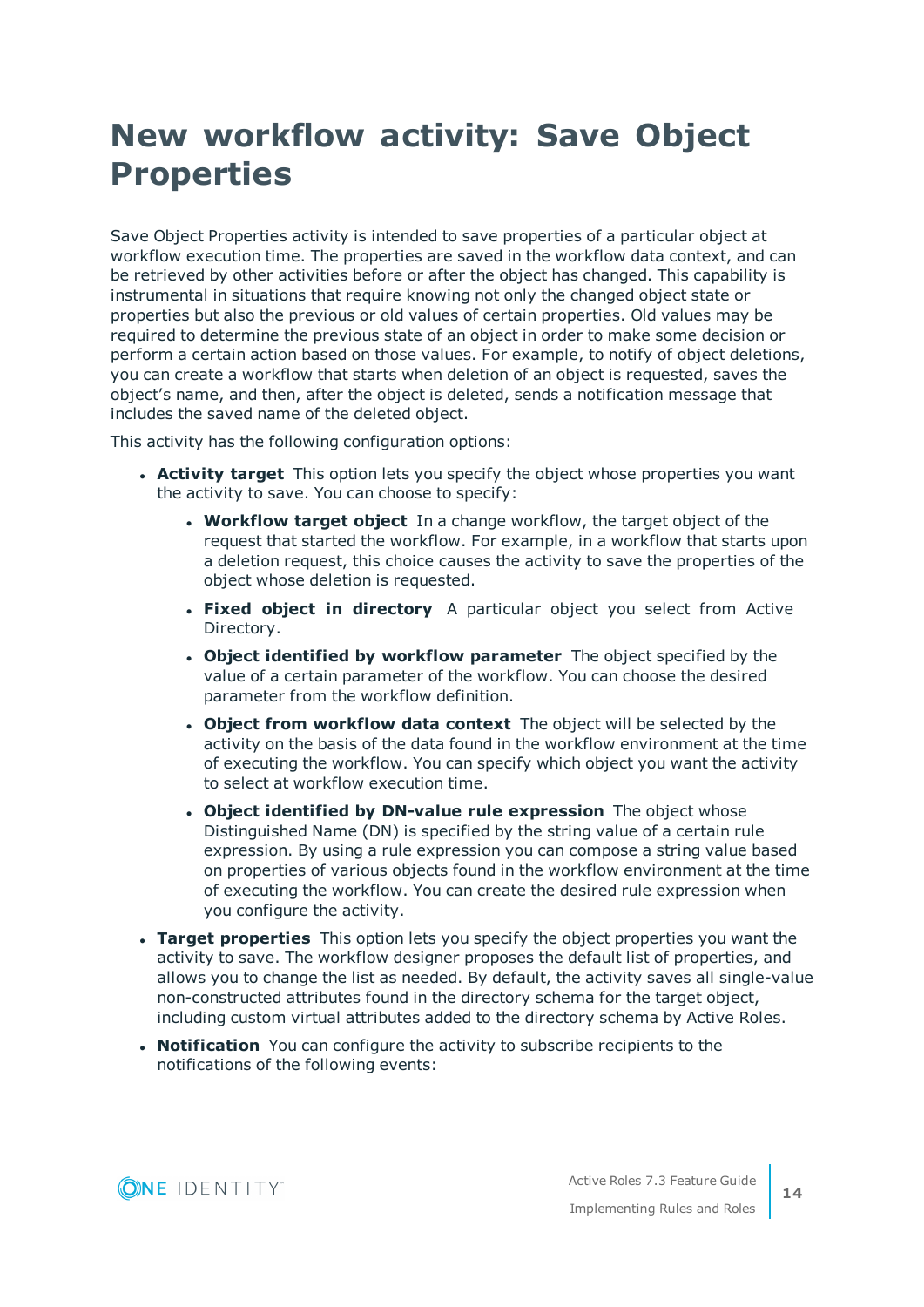# <span id="page-13-0"></span>**New workflow activity: Save Object Properties**

Save Object Properties activity is intended to save properties of a particular object at workflow execution time. The properties are saved in the workflow data context, and can be retrieved by other activities before or after the object has changed. This capability is instrumental in situations that require knowing not only the changed object state or properties but also the previous or old values of certain properties. Old values may be required to determine the previous state of an object in order to make some decision or perform a certain action based on those values. For example, to notify of object deletions, you can create a workflow that starts when deletion of an object is requested, saves the object's name, and then, after the object is deleted, sends a notification message that includes the saved name of the deleted object.

This activity has the following configuration options:

- **Activity target** This option lets you specify the object whose properties you want the activity to save. You can choose to specify:
	- **Workflow target object** In a change workflow, the target object of the request that started the workflow. For example, in a workflow that starts upon a deletion request, this choice causes the activity to save the properties of the object whose deletion is requested.
	- <sup>l</sup> **Fixed object in directory** A particular object you select from Active Directory.
	- <sup>l</sup> **Object identified by workflow parameter** The object specified by the value of a certain parameter of the workflow. You can choose the desired parameter from the workflow definition.
	- <sup>l</sup> **Object from workflow data context** The object will be selected by the activity on the basis of the data found in the workflow environment at the time of executing the workflow. You can specify which object you want the activity to select at workflow execution time.
	- <sup>l</sup> **Object identified by DN-value rule expression** The object whose Distinguished Name (DN) is specified by the string value of a certain rule expression. By using a rule expression you can compose a string value based on properties of various objects found in the workflow environment at the time of executing the workflow. You can create the desired rule expression when you configure the activity.
- **· Target properties** This option lets you specify the object properties you want the activity to save. The workflow designer proposes the default list of properties, and allows you to change the list as needed. By default, the activity saves all single-value non-constructed attributes found in the directory schema for the target object, including custom virtual attributes added to the directory schema by Active Roles.
- **Notification** You can configure the activity to subscribe recipients to the notifications of the following events:

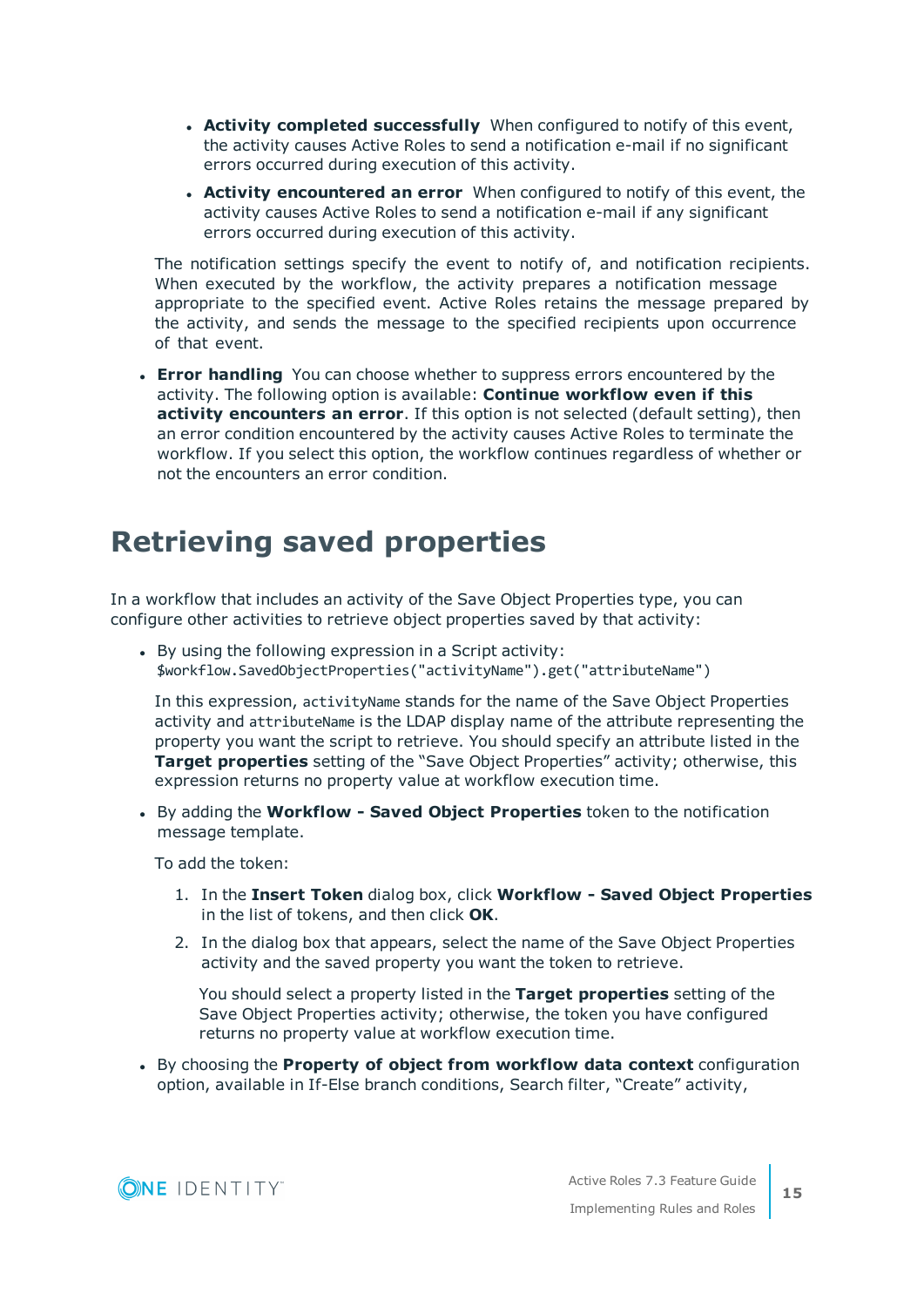- <sup>l</sup> **Activity completed successfully** When configured to notify of this event, the activity causes Active Roles to send a notification e-mail if no significant errors occurred during execution of this activity.
- <sup>l</sup> **Activity encountered an error** When configured to notify of this event, the activity causes Active Roles to send a notification e-mail if any significant errors occurred during execution of this activity.

The notification settings specify the event to notify of, and notification recipients. When executed by the workflow, the activity prepares a notification message appropriate to the specified event. Active Roles retains the message prepared by the activity, and sends the message to the specified recipients upon occurrence of that event.

**Error handling** You can choose whether to suppress errors encountered by the activity. The following option is available: **Continue workflow even if this activity encounters an error**. If this option is not selected (default setting), then an error condition encountered by the activity causes Active Roles to terminate the workflow. If you select this option, the workflow continues regardless of whether or not the encounters an error condition.

## <span id="page-14-0"></span>**Retrieving saved properties**

In a workflow that includes an activity of the Save Object Properties type, you can configure other activities to retrieve object properties saved by that activity:

• By using the following expression in a Script activity: \$workflow.SavedObjectProperties("activityName").get("attributeName")

In this expression, activityName stands for the name of the Save Object Properties activity and attributeName is the LDAP display name of the attribute representing the property you want the script to retrieve. You should specify an attribute listed in the **Target properties** setting of the "Save Object Properties" activity; otherwise, this expression returns no property value at workflow execution time.

<sup>l</sup> By adding the **Workflow - Saved Object Properties** token to the notification message template.

To add the token:

- 1. In the **Insert Token** dialog box, click **Workflow - Saved Object Properties** in the list of tokens, and then click **OK**.
- 2. In the dialog box that appears, select the name of the Save Object Properties activity and the saved property you want the token to retrieve.

You should select a property listed in the **Target properties** setting of the Save Object Properties activity; otherwise, the token you have configured returns no property value at workflow execution time.

<sup>l</sup> By choosing the **Property of object from workflow data context** configuration option, available in If-Else branch conditions, Search filter, "Create" activity,

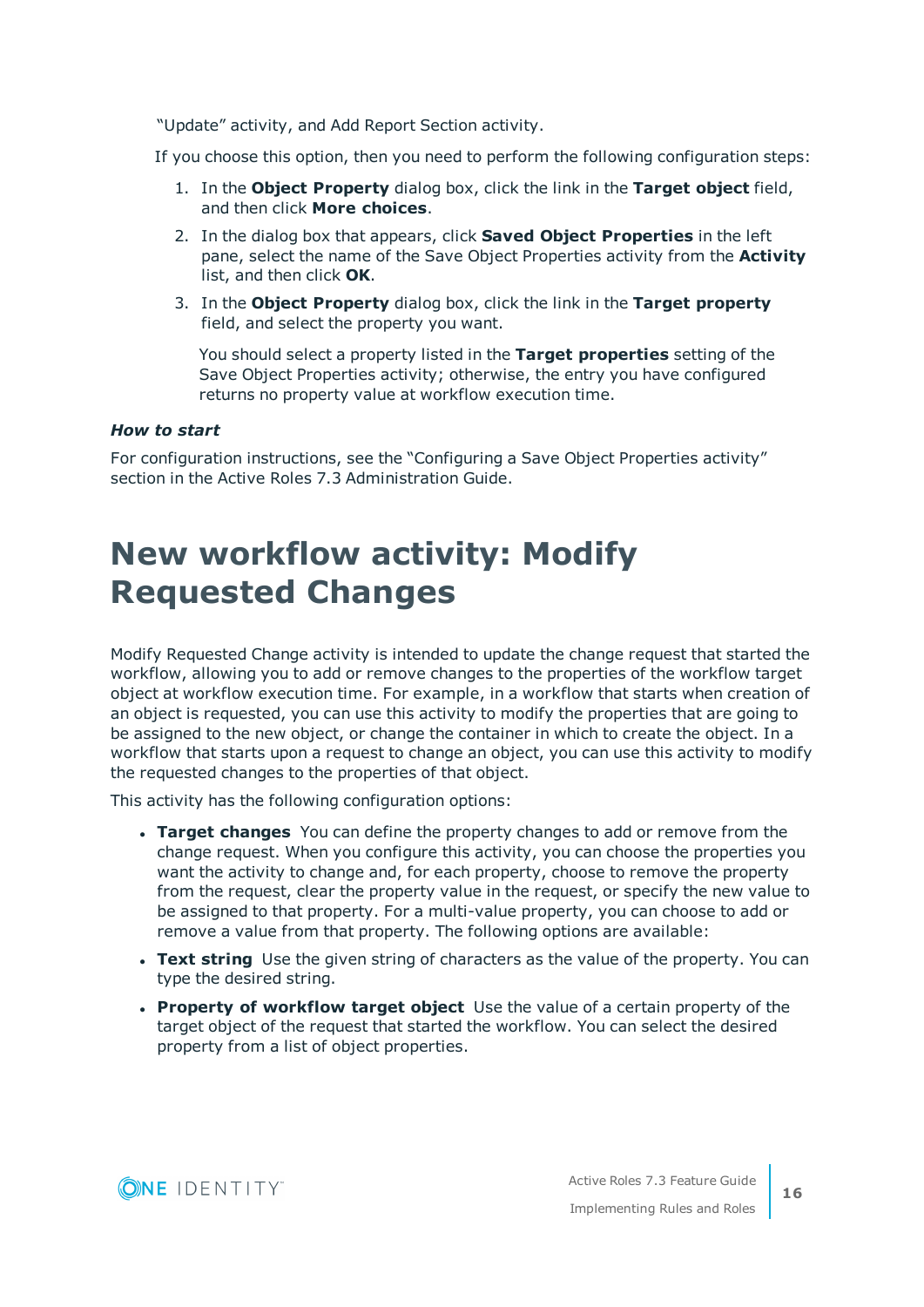"Update" activity, and Add Report Section activity.

If you choose this option, then you need to perform the following configuration steps:

- 1. In the **Object Property** dialog box, click the link in the **Target object** field, and then click **More choices**.
- 2. In the dialog box that appears, click **Saved Object Properties** in the left pane, select the name of the Save Object Properties activity from the **Activity** list, and then click **OK**.
- 3. In the **Object Property** dialog box, click the link in the **Target property** field, and select the property you want.

You should select a property listed in the **Target properties** setting of the Save Object Properties activity; otherwise, the entry you have configured returns no property value at workflow execution time.

#### *How to start*

For configuration instructions, see the "Configuring a Save Object Properties activity" section in the Active Roles 7.3 Administration Guide.

# <span id="page-15-0"></span>**New workflow activity: Modify Requested Changes**

Modify Requested Change activity is intended to update the change request that started the workflow, allowing you to add or remove changes to the properties of the workflow target object at workflow execution time. For example, in a workflow that starts when creation of an object is requested, you can use this activity to modify the properties that are going to be assigned to the new object, or change the container in which to create the object. In a workflow that starts upon a request to change an object, you can use this activity to modify the requested changes to the properties of that object.

This activity has the following configuration options:

- **· Target changes** You can define the property changes to add or remove from the change request. When you configure this activity, you can choose the properties you want the activity to change and, for each property, choose to remove the property from the request, clear the property value in the request, or specify the new value to be assigned to that property. For a multi-value property, you can choose to add or remove a value from that property. The following options are available:
- **· Text string** Use the given string of characters as the value of the property. You can type the desired string.
- <sup>l</sup> **Property of workflow target object** Use the value of a certain property of the target object of the request that started the workflow. You can select the desired property from a list of object properties.

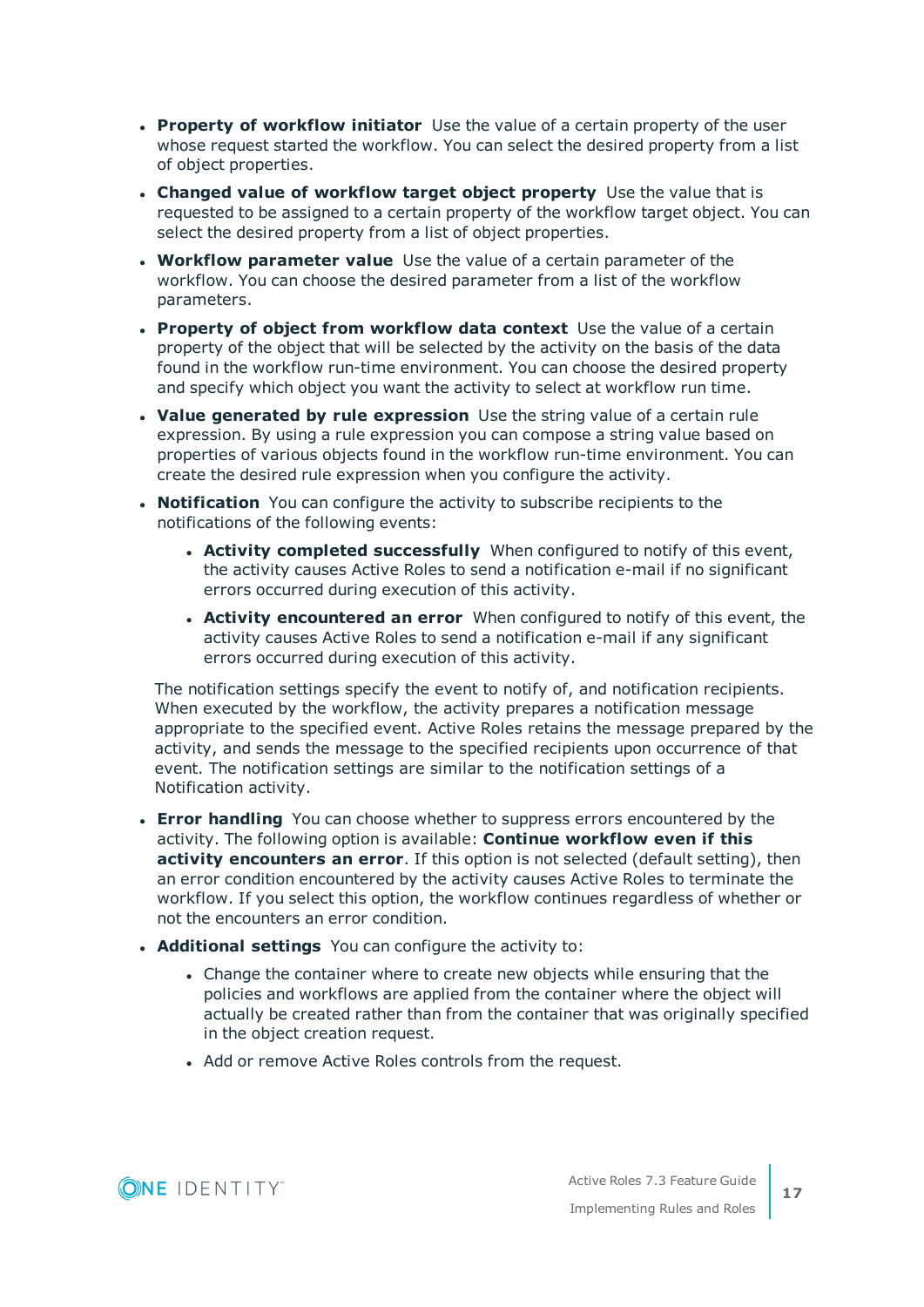- **Property of workflow initiator** Use the value of a certain property of the user whose request started the workflow. You can select the desired property from a list of object properties.
- <sup>l</sup> **Changed value of workflow target object property** Use the value that is requested to be assigned to a certain property of the workflow target object. You can select the desired property from a list of object properties.
- **Workflow parameter value** Use the value of a certain parameter of the workflow. You can choose the desired parameter from a list of the workflow parameters.
- <sup>l</sup> **Property of object from workflow data context** Use the value of a certain property of the object that will be selected by the activity on the basis of the data found in the workflow run-time environment. You can choose the desired property and specify which object you want the activity to select at workflow run time.
- **. Value generated by rule expression** Use the string value of a certain rule expression. By using a rule expression you can compose a string value based on properties of various objects found in the workflow run-time environment. You can create the desired rule expression when you configure the activity.
- **· Notification** You can configure the activity to subscribe recipients to the notifications of the following events:
	- **Activity completed successfully** When configured to notify of this event, the activity causes Active Roles to send a notification e-mail if no significant errors occurred during execution of this activity.
	- <sup>l</sup> **Activity encountered an error** When configured to notify of this event, the activity causes Active Roles to send a notification e-mail if any significant errors occurred during execution of this activity.

The notification settings specify the event to notify of, and notification recipients. When executed by the workflow, the activity prepares a notification message appropriate to the specified event. Active Roles retains the message prepared by the activity, and sends the message to the specified recipients upon occurrence of that event. The notification settings are similar to the notification settings of a Notification activity.

- **Error handling** You can choose whether to suppress errors encountered by the activity. The following option is available: **Continue workflow even if this activity encounters an error**. If this option is not selected (default setting), then an error condition encountered by the activity causes Active Roles to terminate the workflow. If you select this option, the workflow continues regardless of whether or not the encounters an error condition.
- **.** Additional settings You can configure the activity to:
	- Change the container where to create new objects while ensuring that the policies and workflows are applied from the container where the object will actually be created rather than from the container that was originally specified in the object creation request.
	- Add or remove Active Roles controls from the request.

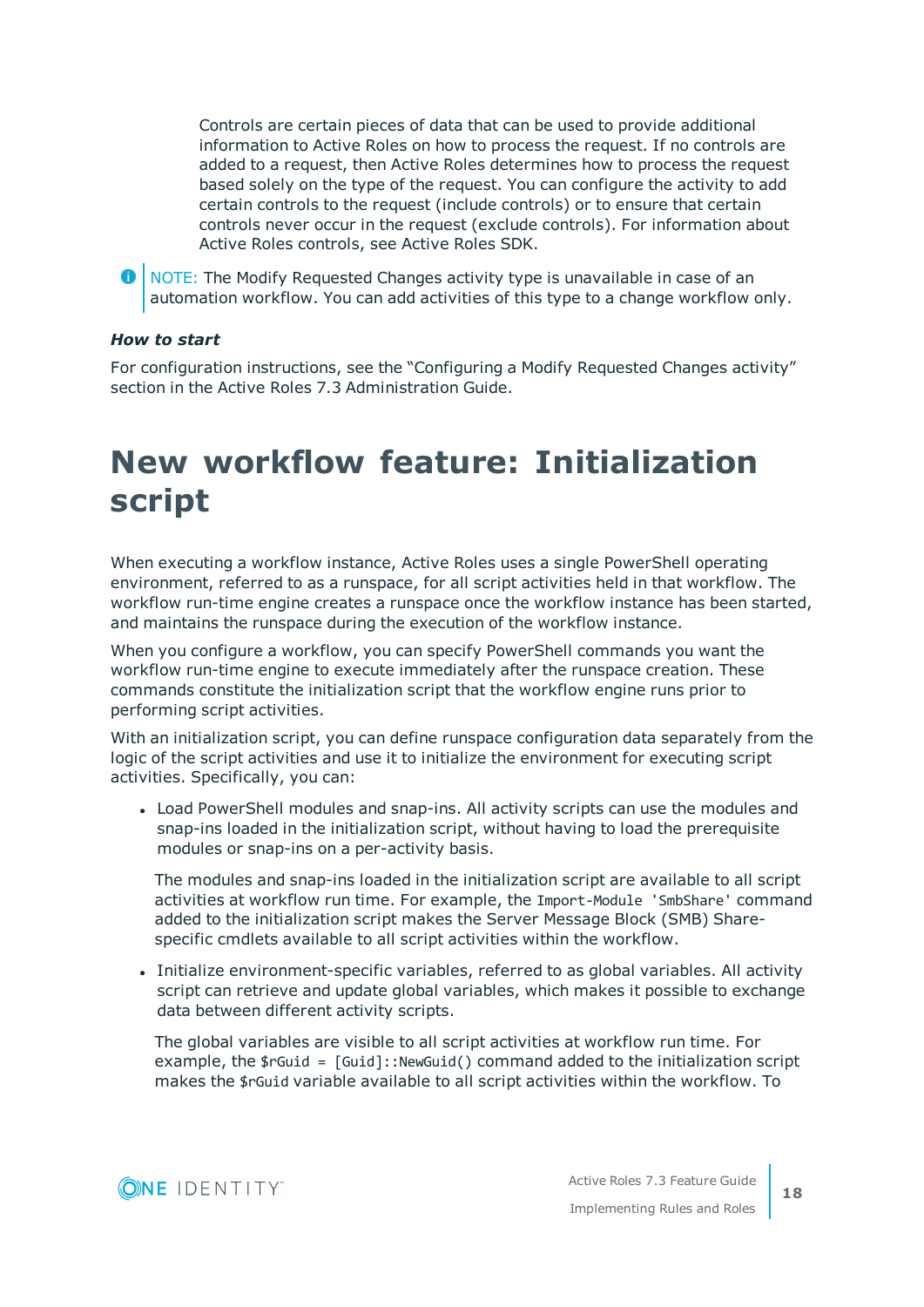Controls are certain pieces of data that can be used to provide additional information to Active Roles on how to process the request. If no controls are added to a request, then Active Roles determines how to process the request based solely on the type of the request. You can configure the activity to add certain controls to the request (include controls) or to ensure that certain controls never occur in the request (exclude controls). For information about Active Roles controls, see Active Roles SDK.

**O** | NOTE: The Modify Requested Changes activity type is unavailable in case of an automation workflow. You can add activities of this type to a change workflow only.

#### *How to start*

For configuration instructions, see the "Configuring a Modify Requested Changes activity" section in the Active Roles 7.3 Administration Guide.

# <span id="page-17-0"></span>**New workflow feature: Initialization script**

When executing a workflow instance, Active Roles uses a single PowerShell operating environment, referred to as a runspace, for all script activities held in that workflow. The workflow run-time engine creates a runspace once the workflow instance has been started, and maintains the runspace during the execution of the workflow instance.

When you configure a workflow, you can specify PowerShell commands you want the workflow run-time engine to execute immediately after the runspace creation. These commands constitute the initialization script that the workflow engine runs prior to performing script activities.

With an initialization script, you can define runspace configuration data separately from the logic of the script activities and use it to initialize the environment for executing script activities. Specifically, you can:

• Load PowerShell modules and snap-ins. All activity scripts can use the modules and snap-ins loaded in the initialization script, without having to load the prerequisite modules or snap-ins on a per-activity basis.

The modules and snap-ins loaded in the initialization script are available to all script activities at workflow run time. For example, the Import-Module 'SmbShare' command added to the initialization script makes the Server Message Block (SMB) Sharespecific cmdlets available to all script activities within the workflow.

<sup>l</sup> Initialize environment-specific variables, referred to as global variables. All activity script can retrieve and update global variables, which makes it possible to exchange data between different activity scripts.

The global variables are visible to all script activities at workflow run time. For example, the  $\frac{1}{2}$  resolution = [Guid]:: NewGuid() command added to the initialization script makes the \$rGuid variable available to all script activities within the workflow. To

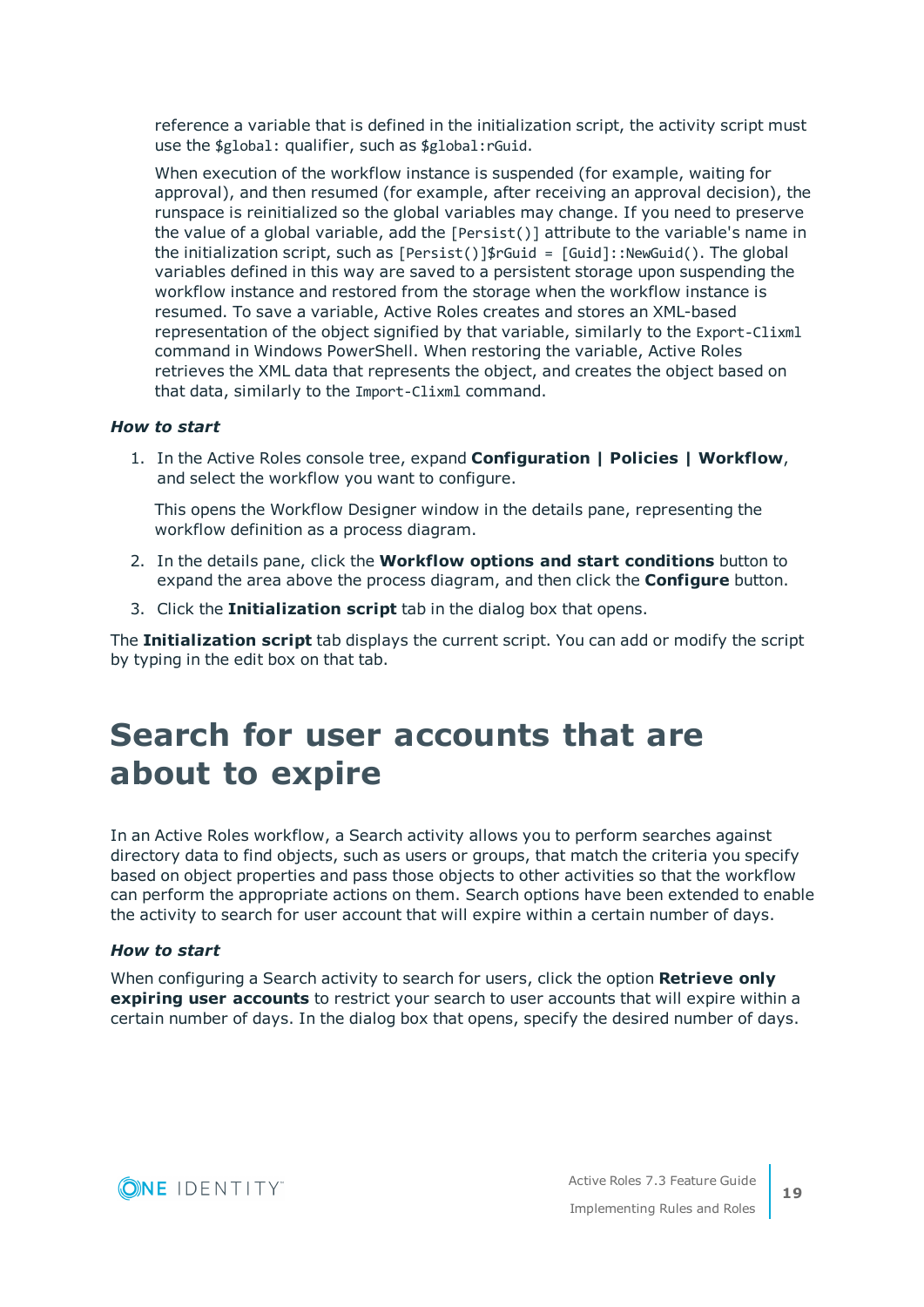reference a variable that is defined in the initialization script, the activity script must use the \$global: qualifier, such as \$global:rGuid.

When execution of the workflow instance is suspended (for example, waiting for approval), and then resumed (for example, after receiving an approval decision), the runspace is reinitialized so the global variables may change. If you need to preserve the value of a global variable, add the [Persist()] attribute to the variable's name in the initialization script, such as  $[Persist()]\$ figuid =  $[Guid]::NewGuid()$ . The global variables defined in this way are saved to a persistent storage upon suspending the workflow instance and restored from the storage when the workflow instance is resumed. To save a variable, Active Roles creates and stores an XML-based representation of the object signified by that variable, similarly to the Export-Clixml command in Windows PowerShell. When restoring the variable, Active Roles retrieves the XML data that represents the object, and creates the object based on that data, similarly to the Import-Clixml command.

#### *How to start*

1. In the Active Roles console tree, expand **Configuration | Policies | Workflow**, and select the workflow you want to configure.

This opens the Workflow Designer window in the details pane, representing the workflow definition as a process diagram.

- 2. In the details pane, click the **Workflow options and start conditions** button to expand the area above the process diagram, and then click the **Configure** button.
- 3. Click the **Initialization script** tab in the dialog box that opens.

The **Initialization script** tab displays the current script. You can add or modify the script by typing in the edit box on that tab.

# <span id="page-18-0"></span>**Search for user accounts that are about to expire**

In an Active Roles workflow, a Search activity allows you to perform searches against directory data to find objects, such as users or groups, that match the criteria you specify based on object properties and pass those objects to other activities so that the workflow can perform the appropriate actions on them. Search options have been extended to enable the activity to search for user account that will expire within a certain number of days.

#### *How to start*

When configuring a Search activity to search for users, click the option **Retrieve only expiring user accounts** to restrict your search to user accounts that will expire within a certain number of days. In the dialog box that opens, specify the desired number of days.

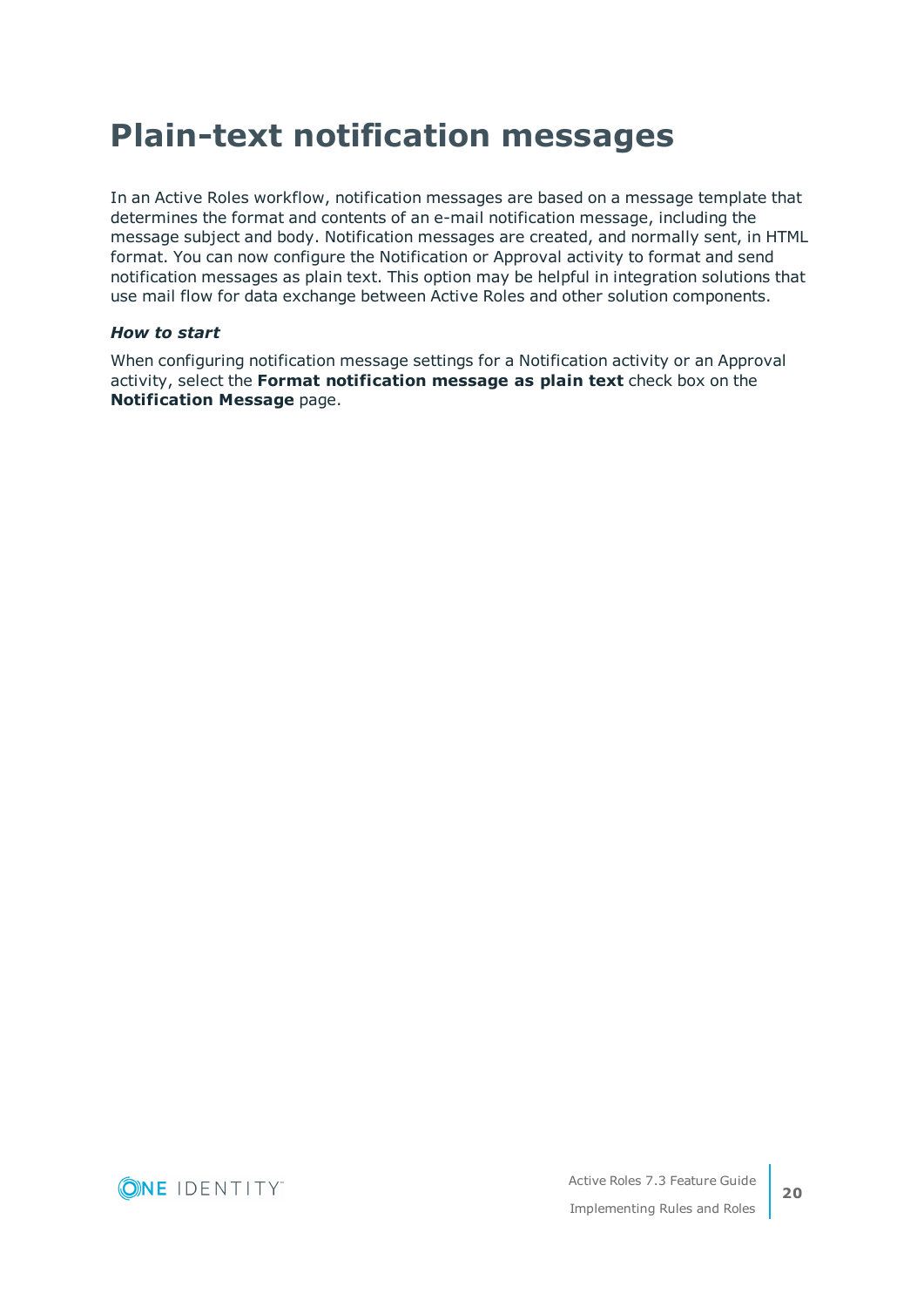# <span id="page-19-0"></span>**Plain-text notification messages**

In an Active Roles workflow, notification messages are based on a message template that determines the format and contents of an e-mail notification message, including the message subject and body. Notification messages are created, and normally sent, in HTML format. You can now configure the Notification or Approval activity to format and send notification messages as plain text. This option may be helpful in integration solutions that use mail flow for data exchange between Active Roles and other solution components.

#### *How to start*

When configuring notification message settings for a Notification activity or an Approval activity, select the **Format notification message as plain text** check box on the **Notification Message** page.

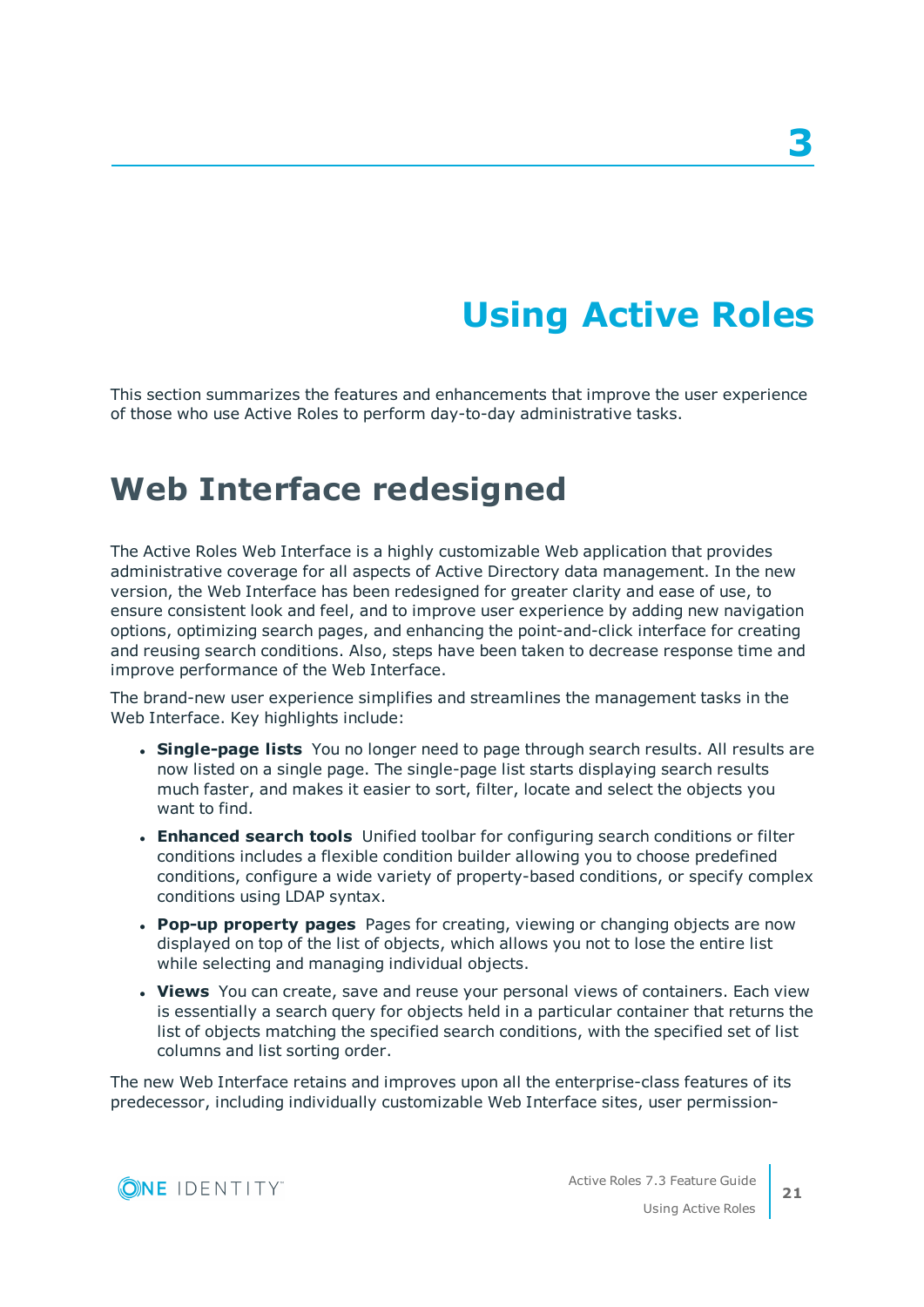# **Using Active Roles**

<span id="page-20-0"></span>This section summarizes the features and enhancements that improve the user experience of those who use Active Roles to perform day-to-day administrative tasks.

# <span id="page-20-1"></span>**Web Interface redesigned**

The Active Roles Web Interface is a highly customizable Web application that provides administrative coverage for all aspects of Active Directory data management. In the new version, the Web Interface has been redesigned for greater clarity and ease of use, to ensure consistent look and feel, and to improve user experience by adding new navigation options, optimizing search pages, and enhancing the point-and-click interface for creating and reusing search conditions. Also, steps have been taken to decrease response time and improve performance of the Web Interface.

The brand-new user experience simplifies and streamlines the management tasks in the Web Interface. Key highlights include:

- <sup>l</sup> **Single-page lists** You no longer need to page through search results. All results are now listed on a single page. The single-page list starts displaying search results much faster, and makes it easier to sort, filter, locate and select the objects you want to find.
- **Enhanced search tools** Unified toolbar for configuring search conditions or filter conditions includes a flexible condition builder allowing you to choose predefined conditions, configure a wide variety of property-based conditions, or specify complex conditions using LDAP syntax.
- <sup>l</sup> **Pop-up property pages** Pages for creating, viewing or changing objects are now displayed on top of the list of objects, which allows you not to lose the entire list while selecting and managing individual objects.
- **· Views** You can create, save and reuse your personal views of containers. Each view is essentially a search query for objects held in a particular container that returns the list of objects matching the specified search conditions, with the specified set of list columns and list sorting order.

The new Web Interface retains and improves upon all the enterprise-class features of its predecessor, including individually customizable Web Interface sites, user permission-

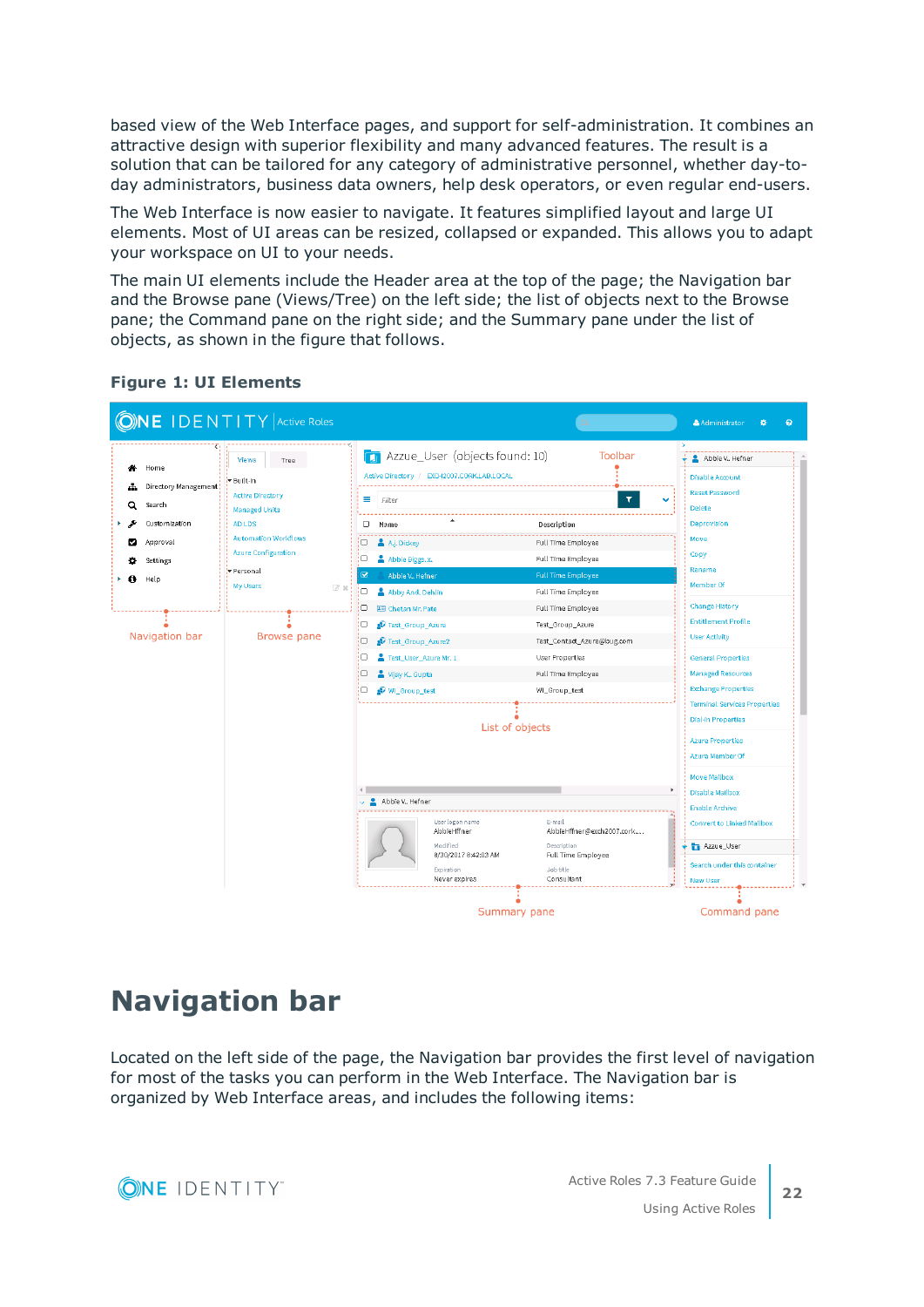based view of the Web Interface pages, and support for self-administration. It combines an attractive design with superior flexibility and many advanced features. The result is a solution that can be tailored for any category of administrative personnel, whether day-today administrators, business data owners, help desk operators, or even regular end-users.

The Web Interface is now easier to navigate. It features simplified layout and large UI elements. Most of UI areas can be resized, collapsed or expanded. This allows you to adapt your workspace on UI to your needs.

The main UI elements include the Header area at the top of the page; the Navigation bar and the Browse pane (Views/Tree) on the left side; the list of objects next to the Browse pane; the Command pane on the right side; and the Summary pane under the list of objects, as shown in the figure that follows.



#### **Figure 1: UI Elements**

## <span id="page-21-0"></span>**Navigation bar**

Located on the left side of the page, the Navigation bar provides the first level of navigation for most of the tasks you can perform in the Web Interface. The Navigation bar is organized by Web Interface areas, and includes the following items:

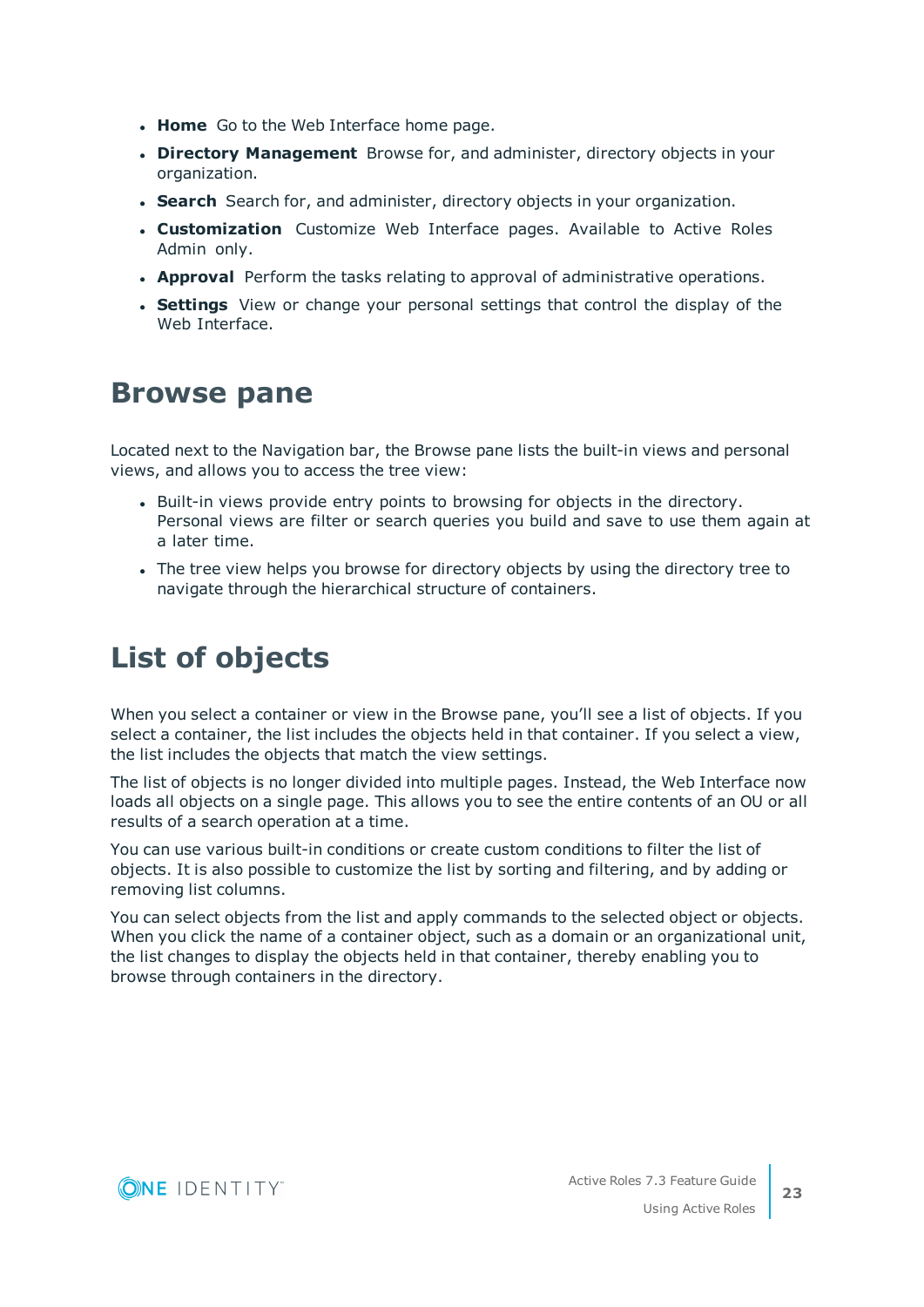- **Home** Go to the Web Interface home page.
- <sup>l</sup> **Directory Management** Browse for, and administer, directory objects in your organization.
- **Search** Search for, and administer, directory objects in your organization.
- **. Customization** Customize Web Interface pages. Available to Active Roles Admin only.
- **Approval** Perform the tasks relating to approval of administrative operations.
- **Settings** View or change your personal settings that control the display of the Web Interface.

## <span id="page-22-0"></span>**Browse pane**

Located next to the Navigation bar, the Browse pane lists the built-in views and personal views, and allows you to access the tree view:

- Built-in views provide entry points to browsing for objects in the directory. Personal views are filter or search queries you build and save to use them again at a later time.
- The tree view helps you browse for directory objects by using the directory tree to navigate through the hierarchical structure of containers.

# <span id="page-22-1"></span>**List of objects**

When you select a container or view in the Browse pane, you'll see a list of objects. If you select a container, the list includes the objects held in that container. If you select a view, the list includes the objects that match the view settings.

The list of objects is no longer divided into multiple pages. Instead, the Web Interface now loads all objects on a single page. This allows you to see the entire contents of an OU or all results of a search operation at a time.

You can use various built-in conditions or create custom conditions to filter the list of objects. It is also possible to customize the list by sorting and filtering, and by adding or removing list columns.

You can select objects from the list and apply commands to the selected object or objects. When you click the name of a container object, such as a domain or an organizational unit, the list changes to display the objects held in that container, thereby enabling you to browse through containers in the directory.

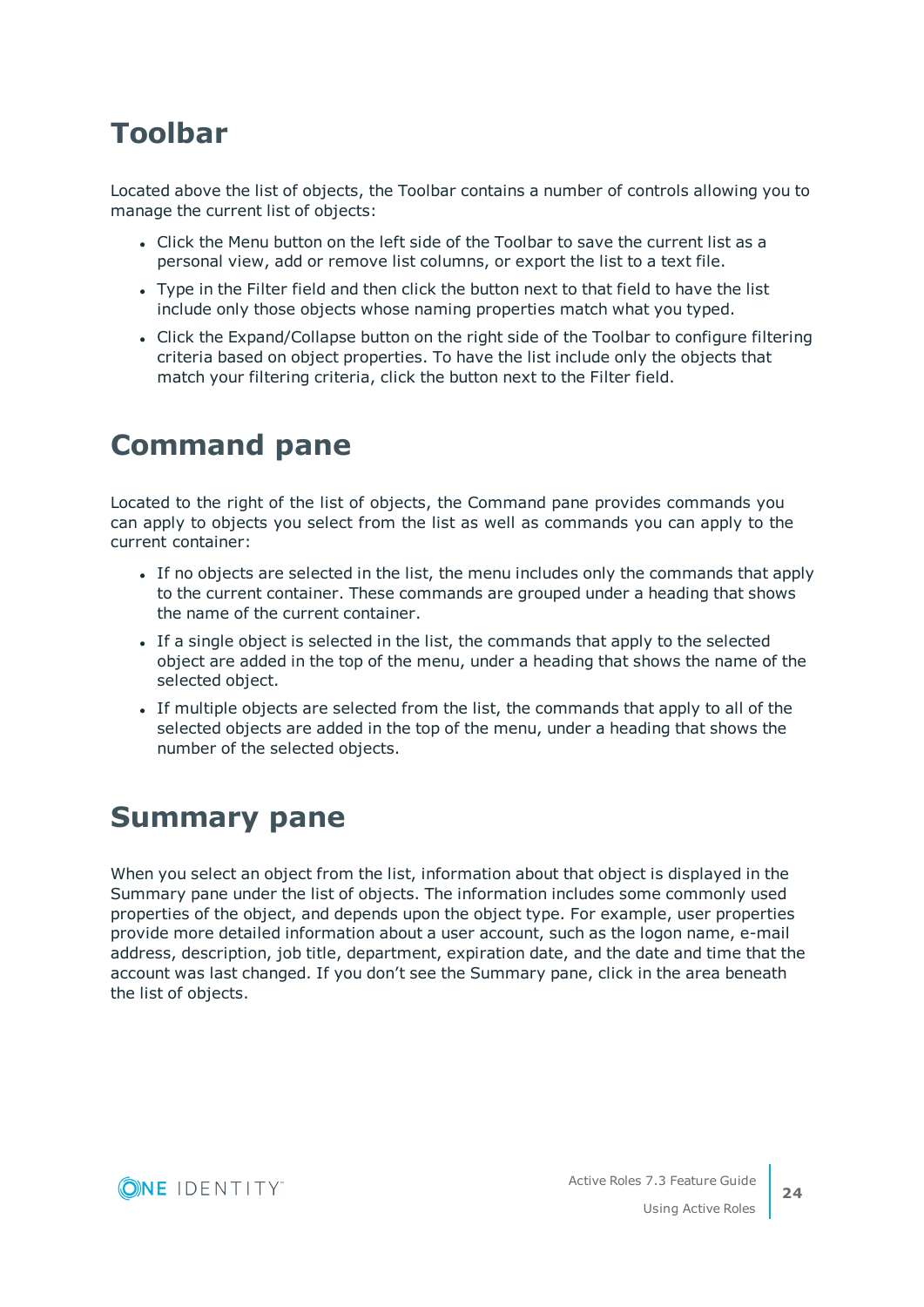# <span id="page-23-0"></span>**Toolbar**

Located above the list of objects, the Toolbar contains a number of controls allowing you to manage the current list of objects:

- Click the Menu button on the left side of the Toolbar to save the current list as a personal view, add or remove list columns, or export the list to a text file.
- Type in the Filter field and then click the button next to that field to have the list include only those objects whose naming properties match what you typed.
- Click the Expand/Collapse button on the right side of the Toolbar to configure filtering criteria based on object properties. To have the list include only the objects that match your filtering criteria, click the button next to the Filter field.

# <span id="page-23-1"></span>**Command pane**

Located to the right of the list of objects, the Command pane provides commands you can apply to objects you select from the list as well as commands you can apply to the current container:

- If no objects are selected in the list, the menu includes only the commands that apply to the current container. These commands are grouped under a heading that shows the name of the current container.
- If a single object is selected in the list, the commands that apply to the selected object are added in the top of the menu, under a heading that shows the name of the selected object.
- If multiple objects are selected from the list, the commands that apply to all of the selected objects are added in the top of the menu, under a heading that shows the number of the selected objects.

# <span id="page-23-2"></span>**Summary pane**

When you select an object from the list, information about that object is displayed in the Summary pane under the list of objects. The information includes some commonly used properties of the object, and depends upon the object type. For example, user properties provide more detailed information about a user account, such as the logon name, e-mail address, description, job title, department, expiration date, and the date and time that the account was last changed. If you don't see the Summary pane, click in the area beneath the list of objects.



**24**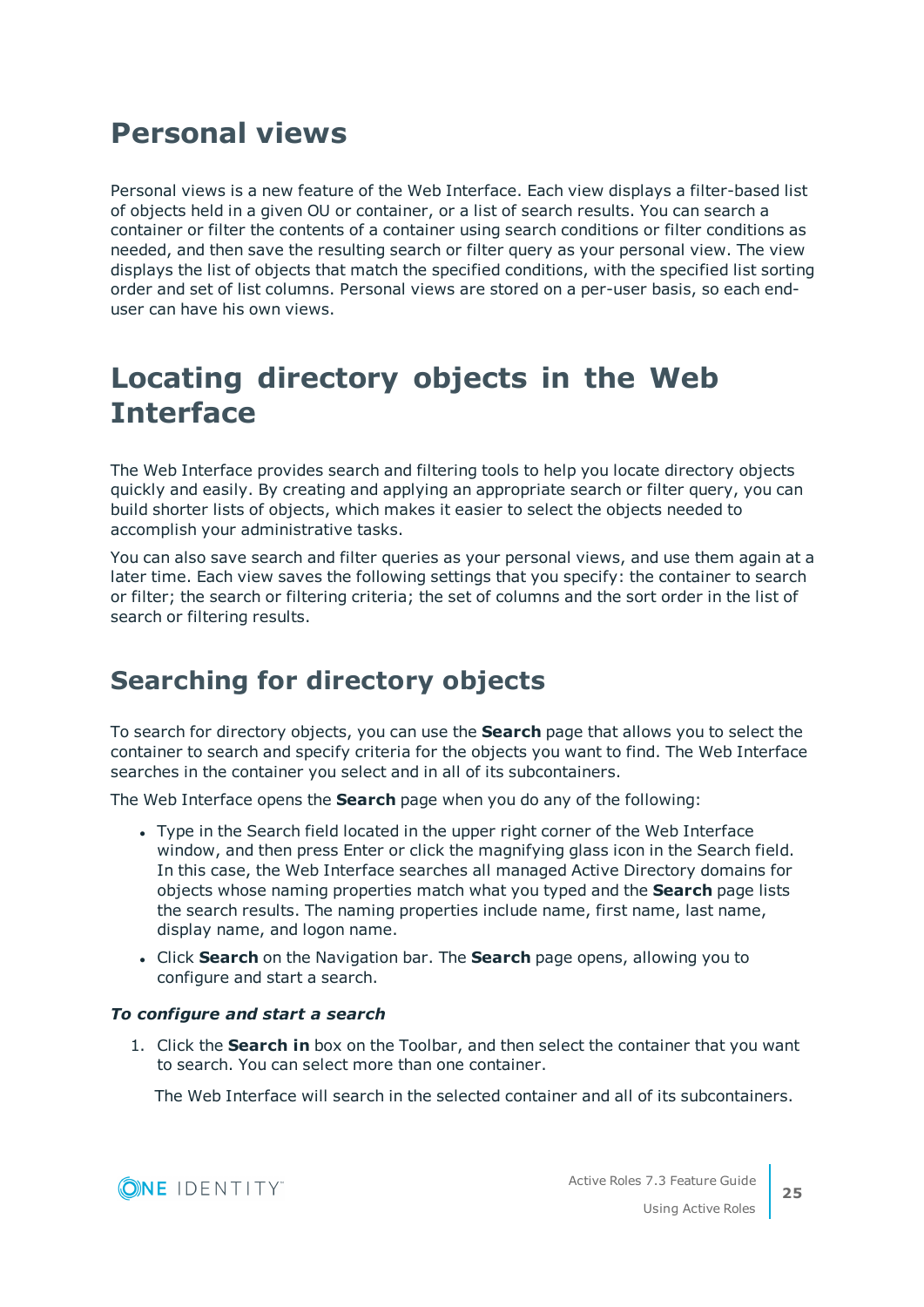## <span id="page-24-0"></span>**Personal views**

Personal views is a new feature of the Web Interface. Each view displays a filter-based list of objects held in a given OU or container, or a list of search results. You can search a container or filter the contents of a container using search conditions or filter conditions as needed, and then save the resulting search or filter query as your personal view. The view displays the list of objects that match the specified conditions, with the specified list sorting order and set of list columns. Personal views are stored on a per-user basis, so each enduser can have his own views.

# <span id="page-24-1"></span>**Locating directory objects in the Web Interface**

The Web Interface provides search and filtering tools to help you locate directory objects quickly and easily. By creating and applying an appropriate search or filter query, you can build shorter lists of objects, which makes it easier to select the objects needed to accomplish your administrative tasks.

You can also save search and filter queries as your personal views, and use them again at a later time. Each view saves the following settings that you specify: the container to search or filter; the search or filtering criteria; the set of columns and the sort order in the list of search or filtering results.

## <span id="page-24-2"></span>**Searching for directory objects**

To search for directory objects, you can use the **Search** page that allows you to select the container to search and specify criteria for the objects you want to find. The Web Interface searches in the container you select and in all of its subcontainers.

The Web Interface opens the **Search** page when you do any of the following:

- Type in the Search field located in the upper right corner of the Web Interface window, and then press Enter or click the magnifying glass icon in the Search field. In this case, the Web Interface searches all managed Active Directory domains for objects whose naming properties match what you typed and the **Search** page lists the search results. The naming properties include name, first name, last name, display name, and logon name.
- <sup>l</sup> Click **Search** on the Navigation bar. The **Search** page opens, allowing you to configure and start a search.

#### *To configure and start a search*

1. Click the **Search in** box on the Toolbar, and then select the container that you want to search. You can select more than one container.

The Web Interface will search in the selected container and all of its subcontainers.



**25**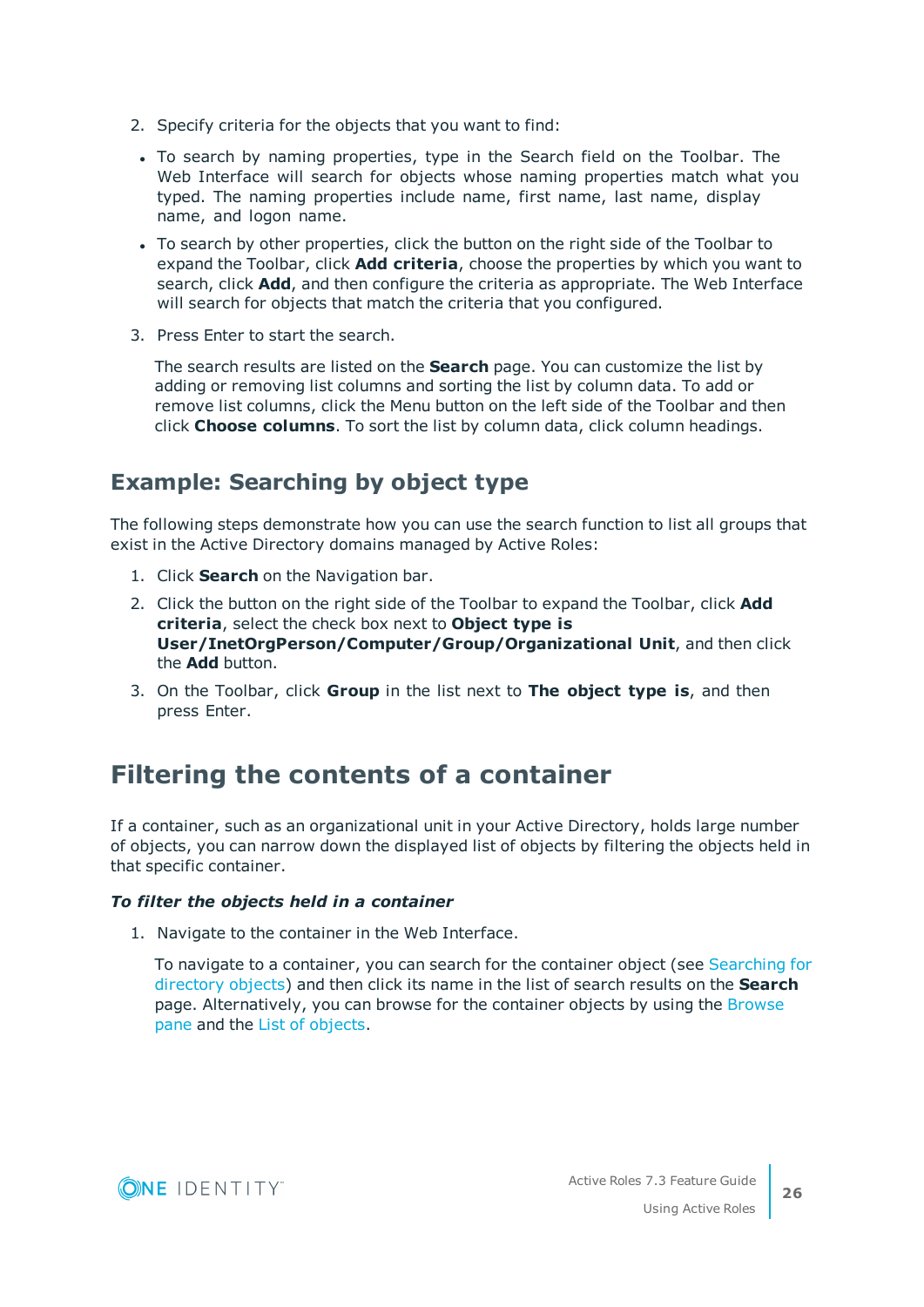- 2. Specify criteria for the objects that you want to find:
- To search by naming properties, type in the Search field on the Toolbar. The Web Interface will search for objects whose naming properties match what you typed. The naming properties include name, first name, last name, display name, and logon name.
- To search by other properties, click the button on the right side of the Toolbar to expand the Toolbar, click **Add criteria**, choose the properties by which you want to search, click **Add**, and then configure the criteria as appropriate. The Web Interface will search for objects that match the criteria that you configured.
- 3. Press Enter to start the search.

The search results are listed on the **Search** page. You can customize the list by adding or removing list columns and sorting the list by column data. To add or remove list columns, click the Menu button on the left side of the Toolbar and then click **Choose columns**. To sort the list by column data, click column headings.

## **Example: Searching by object type**

The following steps demonstrate how you can use the search function to list all groups that exist in the Active Directory domains managed by Active Roles:

- 1. Click **Search** on the Navigation bar.
- 2. Click the button on the right side of the Toolbar to expand the Toolbar, click **Add criteria**, select the check box next to **Object type is User/InetOrgPerson/Computer/Group/Organizational Unit**, and then click the **Add** button.
- 3. On the Toolbar, click **Group** in the list next to **The object type is**, and then press Enter.

## <span id="page-25-0"></span>**Filtering the contents of a container**

If a container, such as an organizational unit in your Active Directory, holds large number of objects, you can narrow down the displayed list of objects by filtering the objects held in that specific container.

#### *To filter the objects held in a container*

1. Navigate to the container in the Web Interface.

To navigate to a container, you can search for the container object (see [Searching](#page-24-2) for [directory](#page-24-2) objects) and then click its name in the list of search results on the **Search** page. Alternatively, you can browse for the container objects by using the [Browse](#page-22-0) [pane](#page-22-0) and the List of [objects.](#page-22-1)

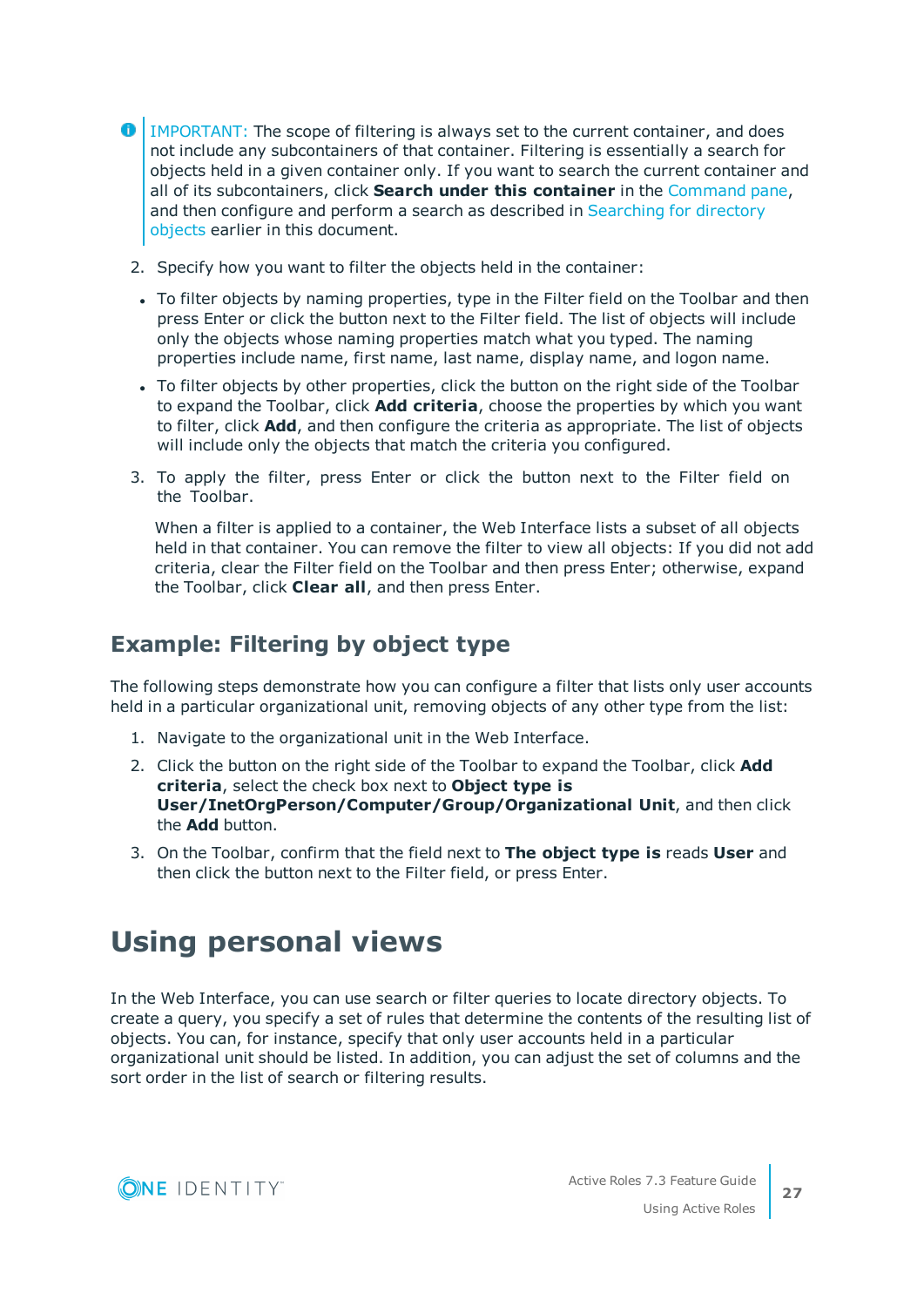- **O** | IMPORTANT: The scope of filtering is always set to the current container, and does not include any subcontainers of that container. Filtering is essentially a search for objects held in a given container only. If you want to search the current container and all of its subcontainers, click **Search under this container** in the [Command](#page-23-1) pane, and then configure and perform a search as described in [Searching](#page-24-2) for directory [objects](#page-24-2) earlier in this document.
	- 2. Specify how you want to filter the objects held in the container:
	- To filter objects by naming properties, type in the Filter field on the Toolbar and then press Enter or click the button next to the Filter field. The list of objects will include only the objects whose naming properties match what you typed. The naming properties include name, first name, last name, display name, and logon name.
	- To filter objects by other properties, click the button on the right side of the Toolbar to expand the Toolbar, click **Add criteria**, choose the properties by which you want to filter, click **Add**, and then configure the criteria as appropriate. The list of objects will include only the objects that match the criteria you configured.
	- 3. To apply the filter, press Enter or click the button next to the Filter field on the Toolbar.

When a filter is applied to a container, the Web Interface lists a subset of all objects held in that container. You can remove the filter to view all objects: If you did not add criteria, clear the Filter field on the Toolbar and then press Enter; otherwise, expand the Toolbar, click **Clear all**, and then press Enter.

## **Example: Filtering by object type**

The following steps demonstrate how you can configure a filter that lists only user accounts held in a particular organizational unit, removing objects of any other type from the list:

- 1. Navigate to the organizational unit in the Web Interface.
- 2. Click the button on the right side of the Toolbar to expand the Toolbar, click **Add criteria**, select the check box next to **Object type is User/InetOrgPerson/Computer/Group/Organizational Unit**, and then click the **Add** button.
- 3. On the Toolbar, confirm that the field next to **The object type is** reads **User** and then click the button next to the Filter field, or press Enter.

# <span id="page-26-0"></span>**Using personal views**

In the Web Interface, you can use search or filter queries to locate directory objects. To create a query, you specify a set of rules that determine the contents of the resulting list of objects. You can, for instance, specify that only user accounts held in a particular organizational unit should be listed. In addition, you can adjust the set of columns and the sort order in the list of search or filtering results.

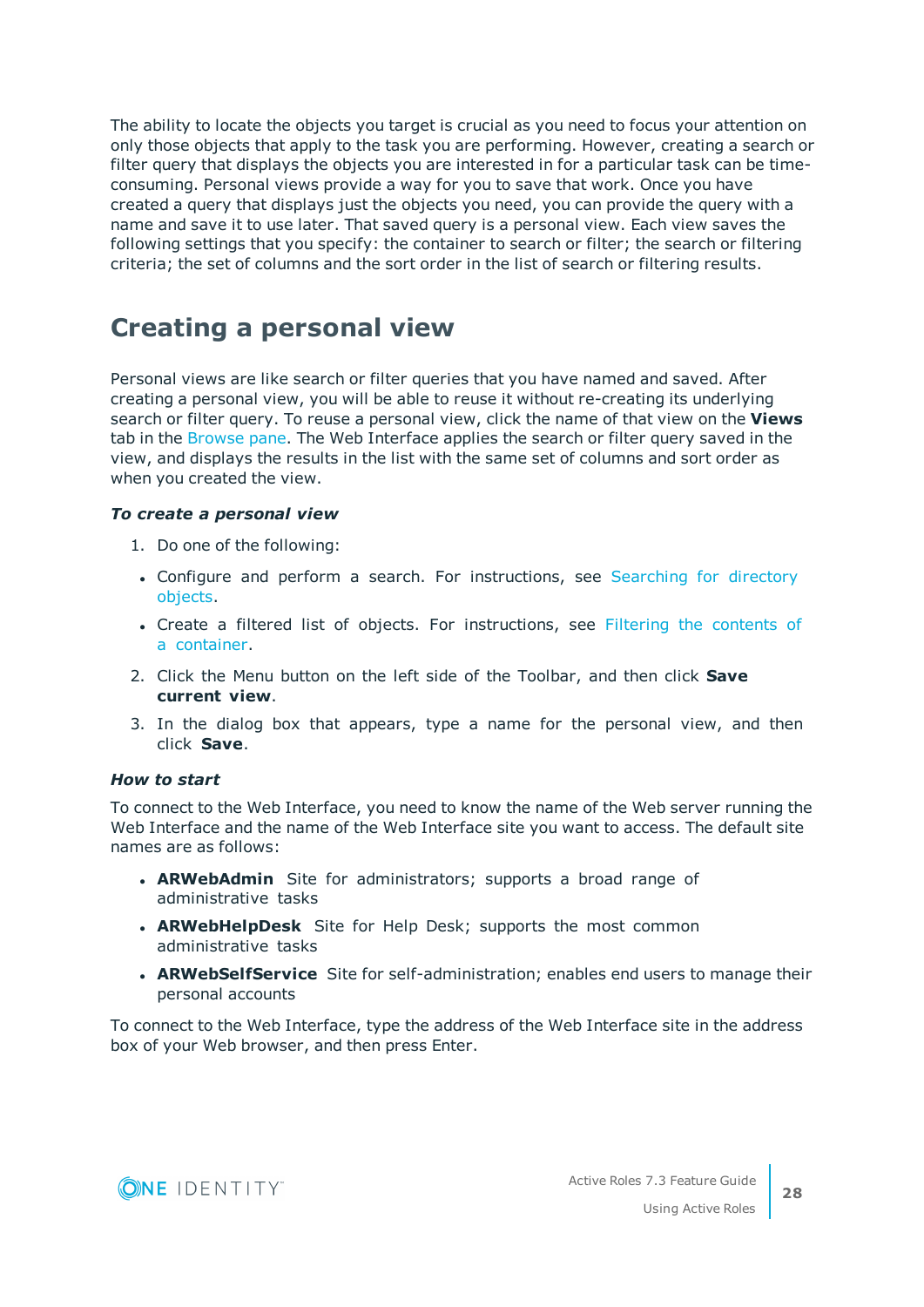The ability to locate the objects you target is crucial as you need to focus your attention on only those objects that apply to the task you are performing. However, creating a search or filter query that displays the objects you are interested in for a particular task can be timeconsuming. Personal views provide a way for you to save that work. Once you have created a query that displays just the objects you need, you can provide the query with a name and save it to use later. That saved query is a personal view. Each view saves the following settings that you specify: the container to search or filter; the search or filtering criteria; the set of columns and the sort order in the list of search or filtering results.

## <span id="page-27-0"></span>**Creating a personal view**

Personal views are like search or filter queries that you have named and saved. After creating a personal view, you will be able to reuse it without re-creating its underlying search or filter query. To reuse a personal view, click the name of that view on the **Views** tab in the [Browse](#page-22-0) pane. The Web Interface applies the search or filter query saved in the view, and displays the results in the list with the same set of columns and sort order as when you created the view.

#### *To create a personal view*

- 1. Do one of the following:
- Configure and perform a search. For instructions, see [Searching](#page-24-2) for directory [objects](#page-24-2).
- Create a filtered list of objects. For instructions, see Filtering the [contents](#page-25-0) of a [container.](#page-25-0)
- 2. Click the Menu button on the left side of the Toolbar, and then click **Save current view**.
- 3. In the dialog box that appears, type a name for the personal view, and then click **Save**.

#### *How to start*

To connect to the Web Interface, you need to know the name of the Web server running the Web Interface and the name of the Web Interface site you want to access. The default site names are as follows:

- **ARWebAdmin** Site for administrators; supports a broad range of administrative tasks
- **ARWebHelpDesk** Site for Help Desk; supports the most common administrative tasks
- **ARWebSelfService** Site for self-administration; enables end users to manage their personal accounts

To connect to the Web Interface, type the address of the Web Interface site in the address box of your Web browser, and then press Enter.

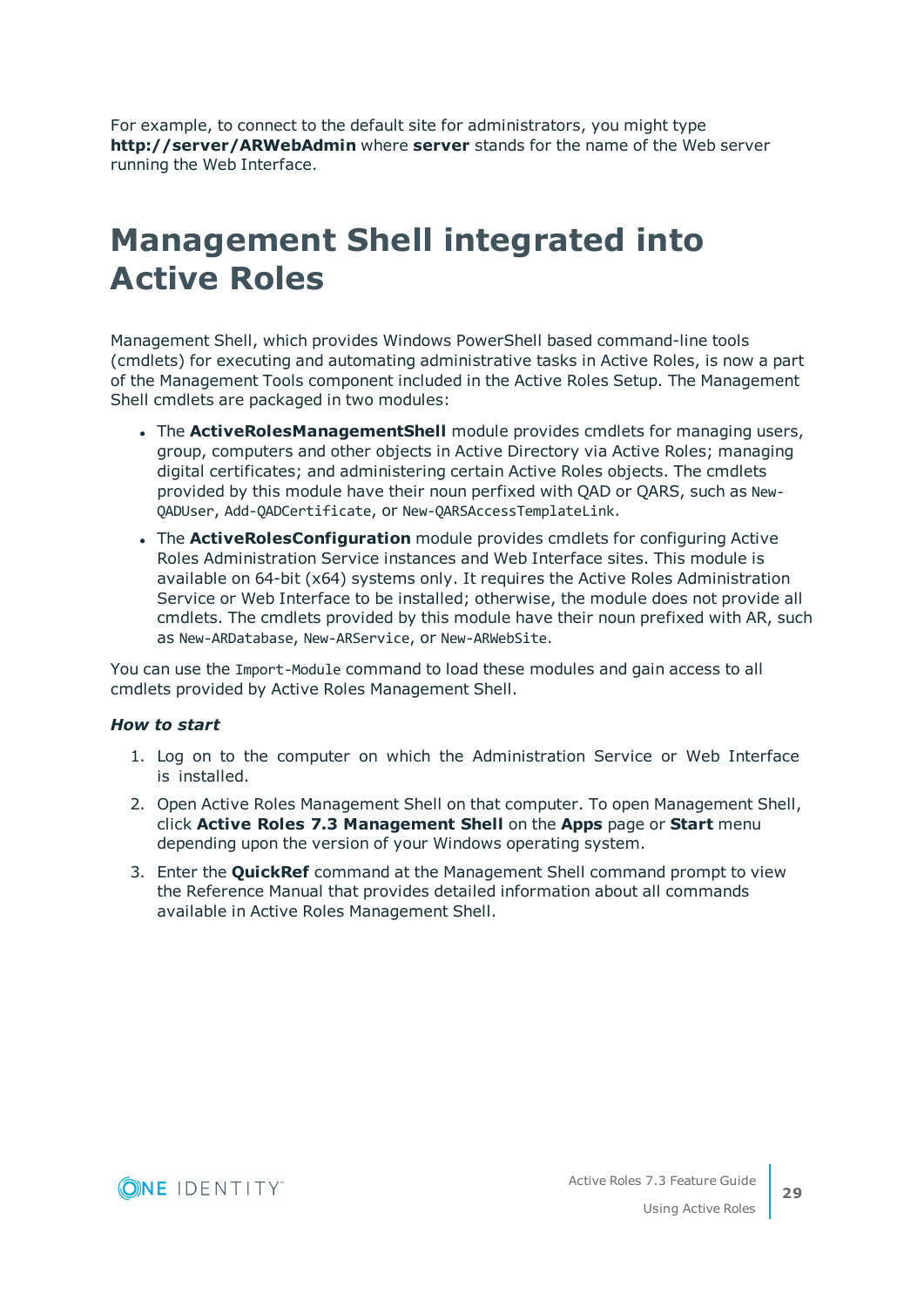For example, to connect to the default site for administrators, you might type **http://server/ARWebAdmin** where **server** stands for the name of the Web server running the Web Interface.

# <span id="page-28-0"></span>**Management Shell integrated into Active Roles**

Management Shell, which provides Windows PowerShell based command-line tools (cmdlets) for executing and automating administrative tasks in Active Roles, is now a part of the Management Tools component included in the Active Roles Setup. The Management Shell cmdlets are packaged in two modules:

- **.** The **ActiveRolesManagementShell** module provides cmdlets for managing users, group, computers and other objects in Active Directory via Active Roles; managing digital certificates; and administering certain Active Roles objects. The cmdlets provided by this module have their noun perfixed with QAD or QARS, such as New-QADUser, Add-QADCertificate, or New-QARSAccessTemplateLink.
- <sup>l</sup> The **ActiveRolesConfiguration** module provides cmdlets for configuring Active Roles Administration Service instances and Web Interface sites. This module is available on 64-bit (x64) systems only. It requires the Active Roles Administration Service or Web Interface to be installed; otherwise, the module does not provide all cmdlets. The cmdlets provided by this module have their noun prefixed with AR, such as New-ARDatabase, New-ARService, or New-ARWebSite.

You can use the Import-Module command to load these modules and gain access to all cmdlets provided by Active Roles Management Shell.

#### *How to start*

- 1. Log on to the computer on which the Administration Service or Web Interface is installed.
- 2. Open Active Roles Management Shell on that computer. To open Management Shell, click **Active Roles 7.3 Management Shell** on the **Apps** page or **Start** menu depending upon the version of your Windows operating system.
- 3. Enter the **QuickRef** command at the Management Shell command prompt to view the Reference Manual that provides detailed information about all commands available in Active Roles Management Shell.

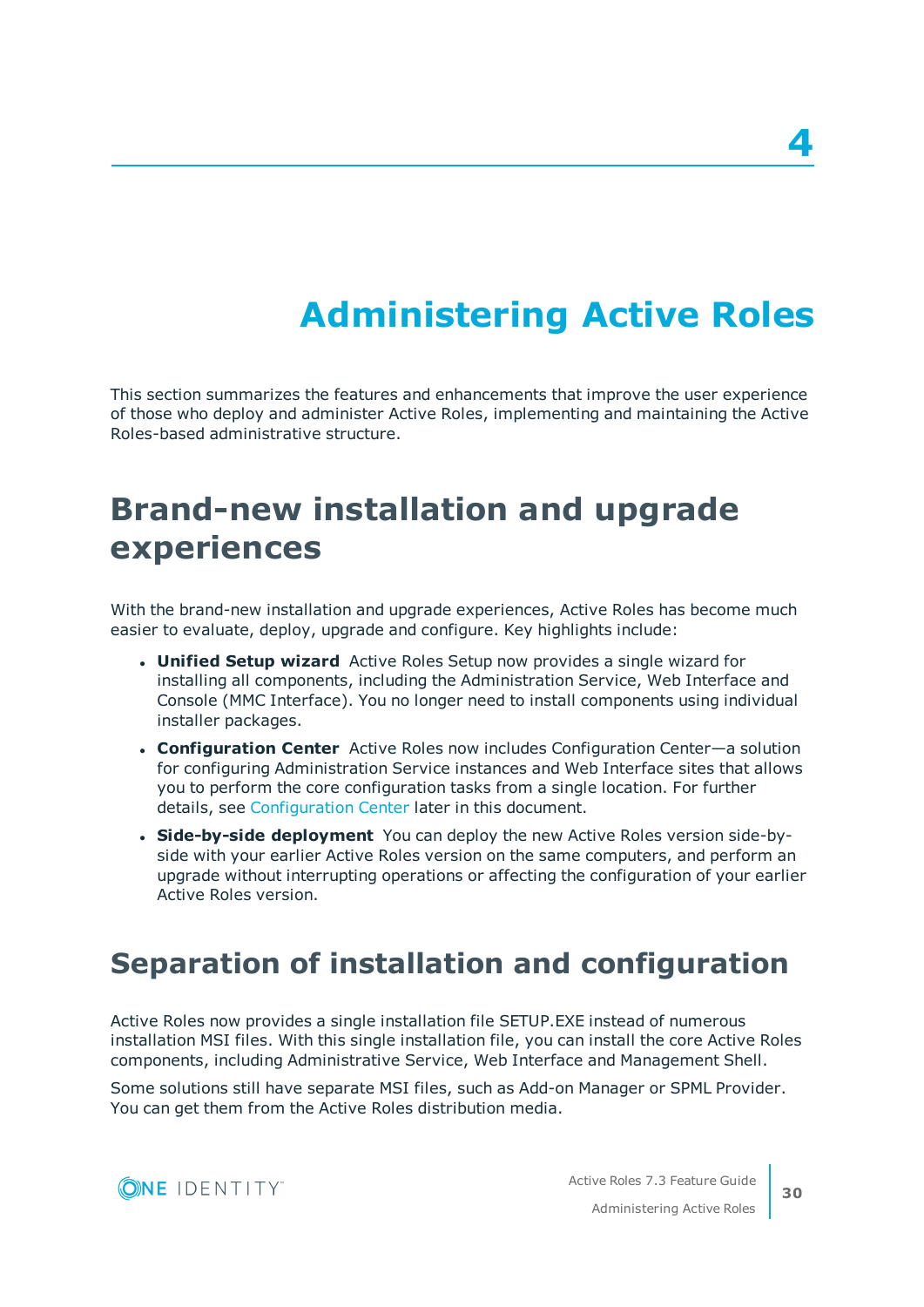# **Administering Active Roles**

<span id="page-29-0"></span>This section summarizes the features and enhancements that improve the user experience of those who deploy and administer Active Roles, implementing and maintaining the Active Roles-based administrative structure.

# <span id="page-29-1"></span>**Brand-new installation and upgrade experiences**

With the brand-new installation and upgrade experiences, Active Roles has become much easier to evaluate, deploy, upgrade and configure. Key highlights include:

- **Unified Setup wizard** Active Roles Setup now provides a single wizard for installing all components, including the Administration Service, Web Interface and Console (MMC Interface). You no longer need to install components using individual installer packages.
- <sup>l</sup> **Configuration Center** Active Roles now includes Configuration Center—a solution for configuring Administration Service instances and Web Interface sites that allows you to perform the core configuration tasks from a single location. For further details, see [Configuration](#page-30-1) Center later in this document.
- <sup>l</sup> **Side-by-side deployment** You can deploy the new Active Roles version side-byside with your earlier Active Roles version on the same computers, and perform an upgrade without interrupting operations or affecting the configuration of your earlier Active Roles version.

## <span id="page-29-2"></span>**Separation of installation and configuration**

Active Roles now provides a single installation file SETUP.EXE instead of numerous installation MSI files. With this single installation file, you can install the core Active Roles components, including Administrative Service, Web Interface and Management Shell.

Some solutions still have separate MSI files, such as Add-on Manager or SPML Provider. You can get them from the Active Roles distribution media.

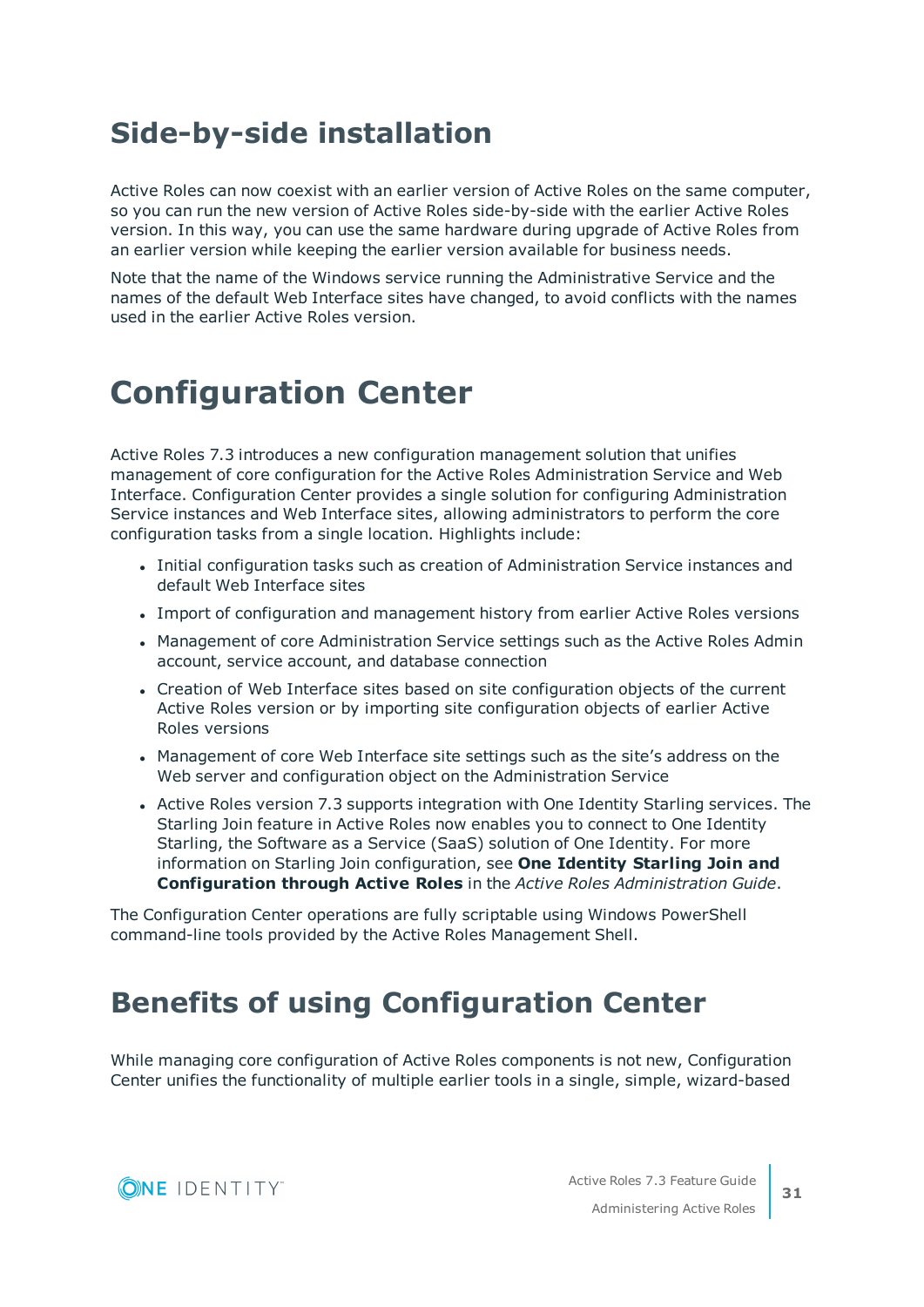# <span id="page-30-0"></span>**Side-by-side installation**

Active Roles can now coexist with an earlier version of Active Roles on the same computer, so you can run the new version of Active Roles side-by-side with the earlier Active Roles version. In this way, you can use the same hardware during upgrade of Active Roles from an earlier version while keeping the earlier version available for business needs.

Note that the name of the Windows service running the Administrative Service and the names of the default Web Interface sites have changed, to avoid conflicts with the names used in the earlier Active Roles version.

# <span id="page-30-1"></span>**Configuration Center**

Active Roles 7.3 introduces a new configuration management solution that unifies management of core configuration for the Active Roles Administration Service and Web Interface. Configuration Center provides a single solution for configuring Administration Service instances and Web Interface sites, allowing administrators to perform the core configuration tasks from a single location. Highlights include:

- Initial configuration tasks such as creation of Administration Service instances and default Web Interface sites
- Import of configuration and management history from earlier Active Roles versions
- Management of core Administration Service settings such as the Active Roles Admin account, service account, and database connection
- Creation of Web Interface sites based on site configuration objects of the current Active Roles version or by importing site configuration objects of earlier Active Roles versions
- Management of core Web Interface site settings such as the site's address on the Web server and configuration object on the Administration Service
- Active Roles version 7.3 supports integration with One Identity Starling services. The Starling Join feature in Active Roles now enables you to connect to One Identity Starling, the Software as a Service (SaaS) solution of One Identity. For more information on Starling Join configuration, see **One Identity Starling Join and Configuration through Active Roles** in the *Active Roles Administration Guide*.

The Configuration Center operations are fully scriptable using Windows PowerShell command-line tools provided by the Active Roles Management Shell.

# <span id="page-30-2"></span>**Benefits of using Configuration Center**

While managing core configuration of Active Roles components is not new, Configuration Center unifies the functionality of multiple earlier tools in a single, simple, wizard-based

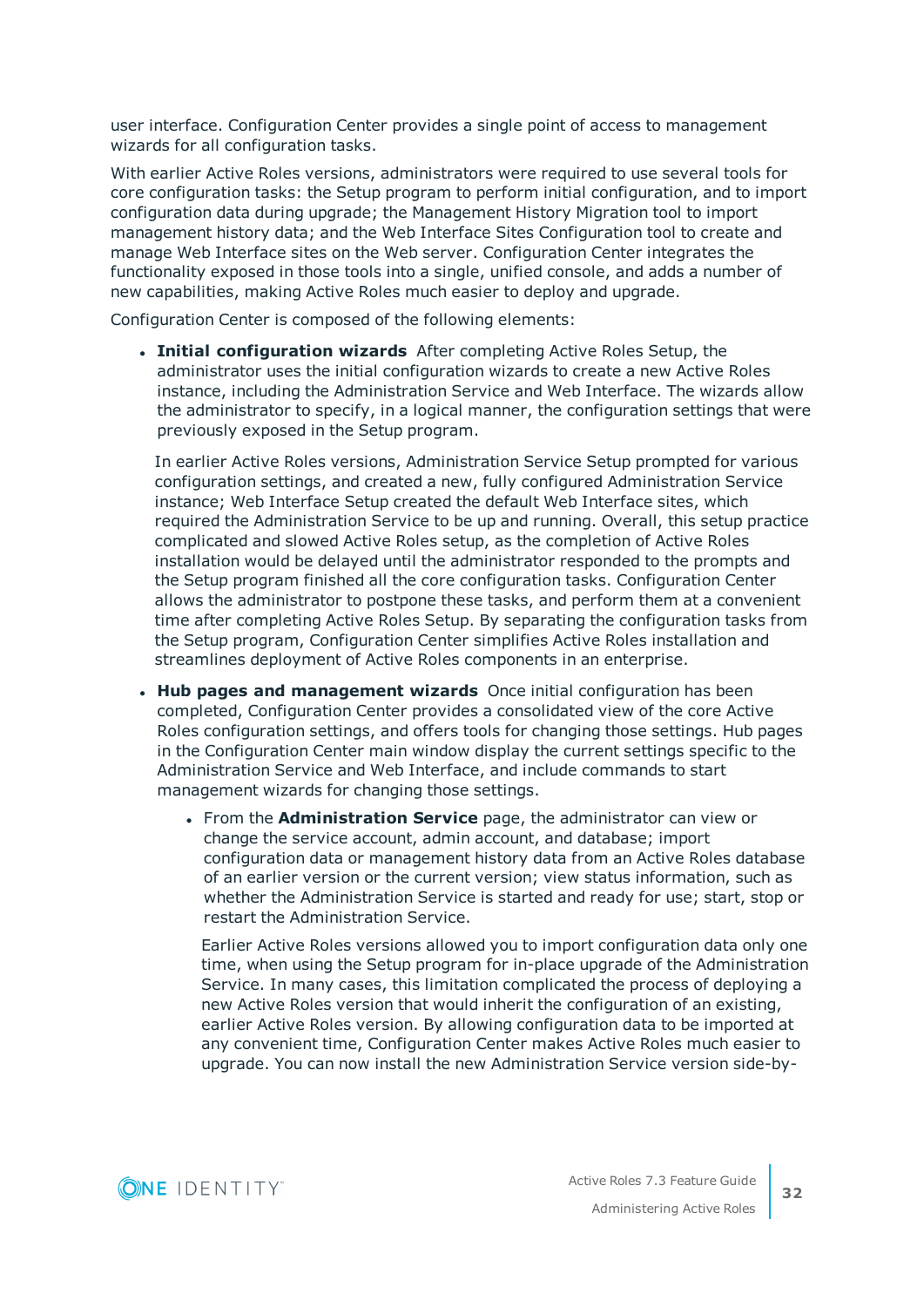user interface. Configuration Center provides a single point of access to management wizards for all configuration tasks.

With earlier Active Roles versions, administrators were required to use several tools for core configuration tasks: the Setup program to perform initial configuration, and to import configuration data during upgrade; the Management History Migration tool to import management history data; and the Web Interface Sites Configuration tool to create and manage Web Interface sites on the Web server. Configuration Center integrates the functionality exposed in those tools into a single, unified console, and adds a number of new capabilities, making Active Roles much easier to deploy and upgrade.

Configuration Center is composed of the following elements:

<sup>l</sup> **Initial configuration wizards** After completing Active Roles Setup, the administrator uses the initial configuration wizards to create a new Active Roles instance, including the Administration Service and Web Interface. The wizards allow the administrator to specify, in a logical manner, the configuration settings that were previously exposed in the Setup program.

In earlier Active Roles versions, Administration Service Setup prompted for various configuration settings, and created a new, fully configured Administration Service instance; Web Interface Setup created the default Web Interface sites, which required the Administration Service to be up and running. Overall, this setup practice complicated and slowed Active Roles setup, as the completion of Active Roles installation would be delayed until the administrator responded to the prompts and the Setup program finished all the core configuration tasks. Configuration Center allows the administrator to postpone these tasks, and perform them at a convenient time after completing Active Roles Setup. By separating the configuration tasks from the Setup program, Configuration Center simplifies Active Roles installation and streamlines deployment of Active Roles components in an enterprise.

- <sup>l</sup> **Hub pages and management wizards** Once initial configuration has been completed, Configuration Center provides a consolidated view of the core Active Roles configuration settings, and offers tools for changing those settings. Hub pages in the Configuration Center main window display the current settings specific to the Administration Service and Web Interface, and include commands to start management wizards for changing those settings.
	- <sup>l</sup> From the **Administration Service** page, the administrator can view or change the service account, admin account, and database; import configuration data or management history data from an Active Roles database of an earlier version or the current version; view status information, such as whether the Administration Service is started and ready for use; start, stop or restart the Administration Service.

Earlier Active Roles versions allowed you to import configuration data only one time, when using the Setup program for in-place upgrade of the Administration Service. In many cases, this limitation complicated the process of deploying a new Active Roles version that would inherit the configuration of an existing, earlier Active Roles version. By allowing configuration data to be imported at any convenient time, Configuration Center makes Active Roles much easier to upgrade. You can now install the new Administration Service version side-by-

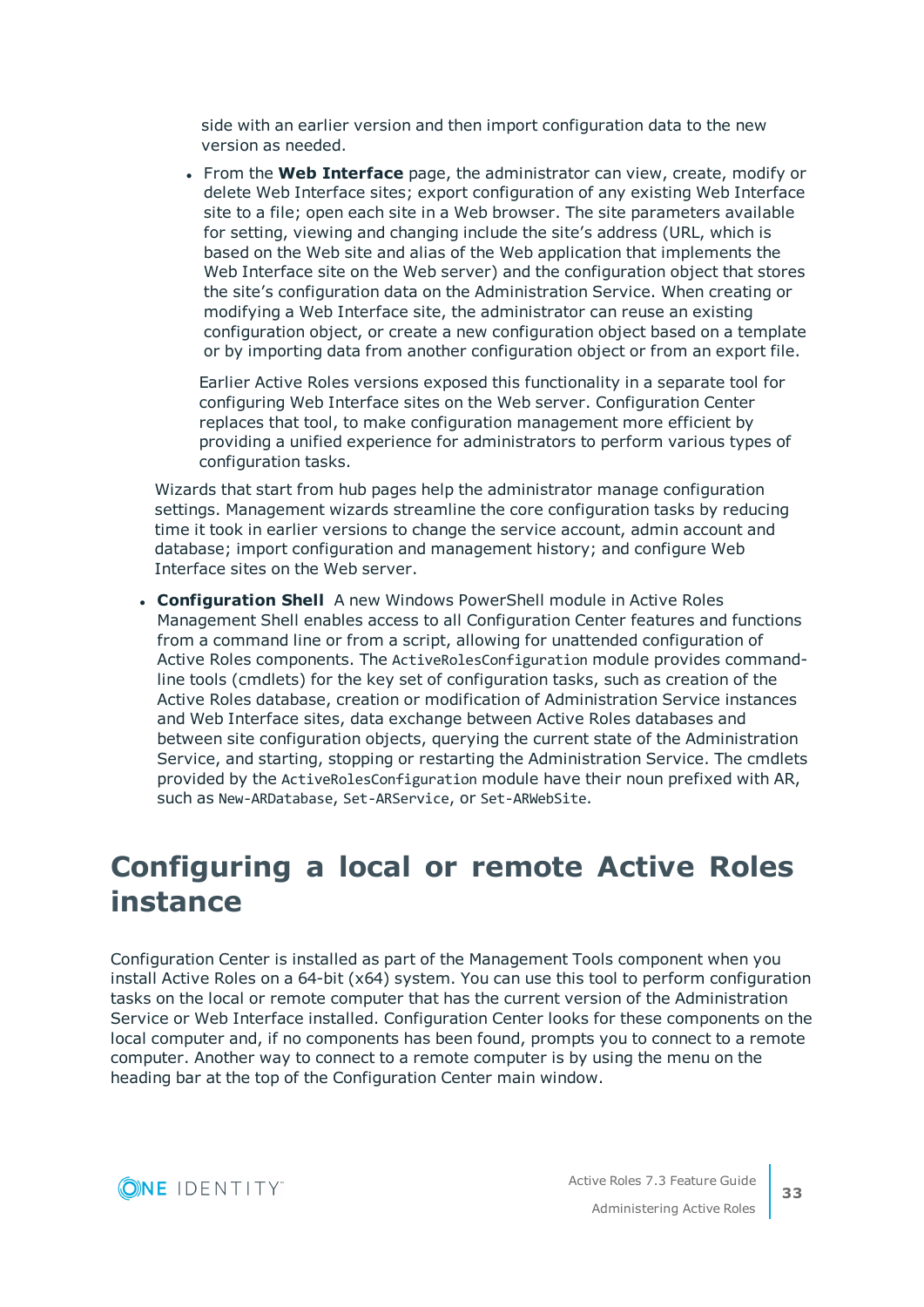side with an earlier version and then import configuration data to the new version as needed.

<sup>l</sup> From the **Web Interface** page, the administrator can view, create, modify or delete Web Interface sites; export configuration of any existing Web Interface site to a file; open each site in a Web browser. The site parameters available for setting, viewing and changing include the site's address (URL, which is based on the Web site and alias of the Web application that implements the Web Interface site on the Web server) and the configuration object that stores the site's configuration data on the Administration Service. When creating or modifying a Web Interface site, the administrator can reuse an existing configuration object, or create a new configuration object based on a template or by importing data from another configuration object or from an export file.

Earlier Active Roles versions exposed this functionality in a separate tool for configuring Web Interface sites on the Web server. Configuration Center replaces that tool, to make configuration management more efficient by providing a unified experience for administrators to perform various types of configuration tasks.

Wizards that start from hub pages help the administrator manage configuration settings. Management wizards streamline the core configuration tasks by reducing time it took in earlier versions to change the service account, admin account and database; import configuration and management history; and configure Web Interface sites on the Web server.

**Configuration Shell** A new Windows PowerShell module in Active Roles Management Shell enables access to all Configuration Center features and functions from a command line or from a script, allowing for unattended configuration of Active Roles components. The ActiveRolesConfiguration module provides commandline tools (cmdlets) for the key set of configuration tasks, such as creation of the Active Roles database, creation or modification of Administration Service instances and Web Interface sites, data exchange between Active Roles databases and between site configuration objects, querying the current state of the Administration Service, and starting, stopping or restarting the Administration Service. The cmdlets provided by the ActiveRolesConfiguration module have their noun prefixed with AR, such as New-ARDatabase, Set-ARService, or Set-ARWebSite.

# <span id="page-32-0"></span>**Configuring a local or remote Active Roles instance**

Configuration Center is installed as part of the Management Tools component when you install Active Roles on a 64-bit (x64) system. You can use this tool to perform configuration tasks on the local or remote computer that has the current version of the Administration Service or Web Interface installed. Configuration Center looks for these components on the local computer and, if no components has been found, prompts you to connect to a remote computer. Another way to connect to a remote computer is by using the menu on the heading bar at the top of the Configuration Center main window.

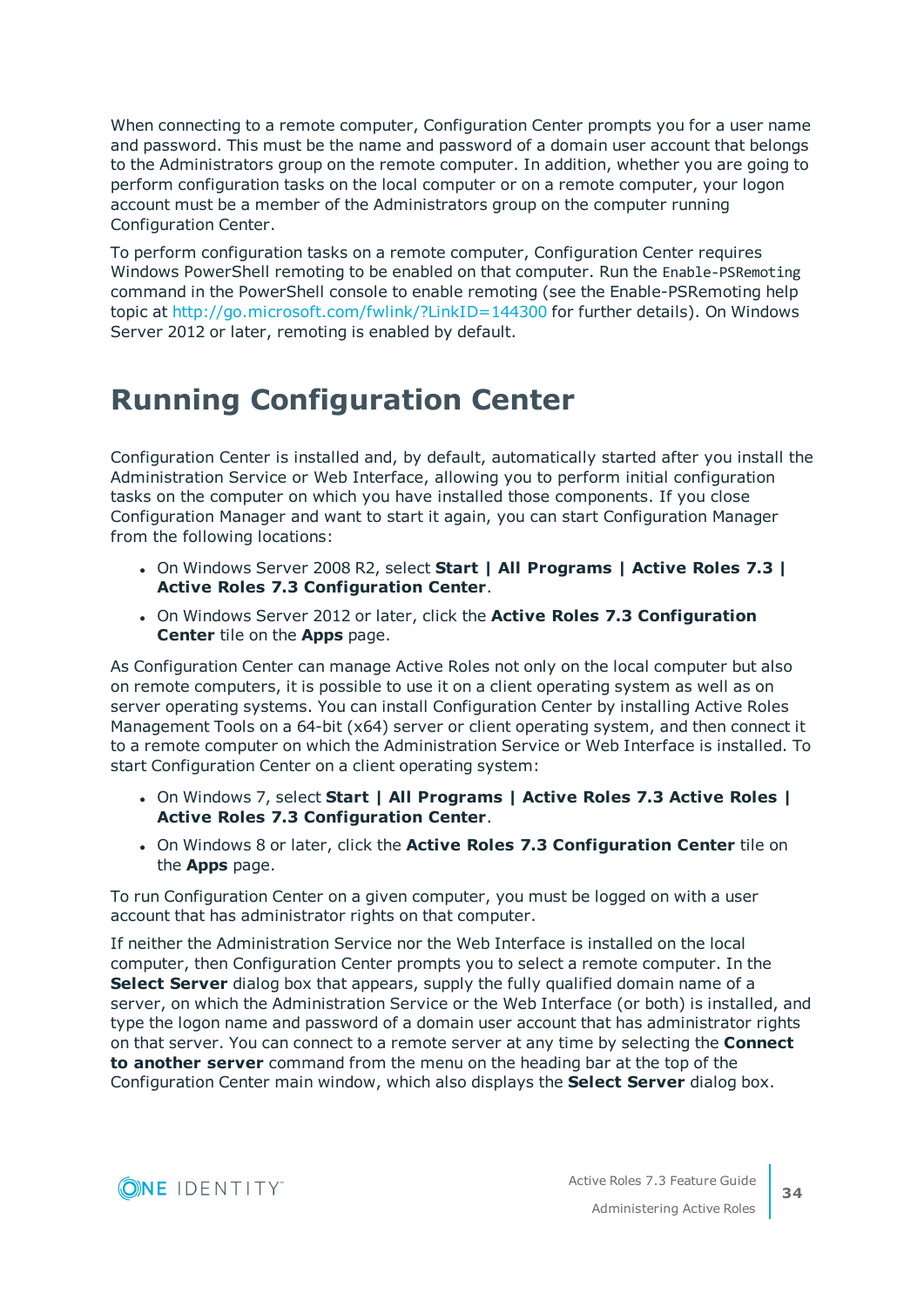When connecting to a remote computer, Configuration Center prompts you for a user name and password. This must be the name and password of a domain user account that belongs to the Administrators group on the remote computer. In addition, whether you are going to perform configuration tasks on the local computer or on a remote computer, your logon account must be a member of the Administrators group on the computer running Configuration Center.

To perform configuration tasks on a remote computer, Configuration Center requires Windows PowerShell remoting to be enabled on that computer. Run the Enable-PSRemoting command in the PowerShell console to enable remoting (see the Enable-PSRemoting help topic at <http://go.microsoft.com/fwlink/?LinkID=144300> for further details). On Windows Server 2012 or later, remoting is enabled by default.

# <span id="page-33-0"></span>**Running Configuration Center**

Configuration Center is installed and, by default, automatically started after you install the Administration Service or Web Interface, allowing you to perform initial configuration tasks on the computer on which you have installed those components. If you close Configuration Manager and want to start it again, you can start Configuration Manager from the following locations:

- <sup>l</sup> On Windows Server 2008 R2, select **Start | All Programs | Active Roles 7.3 | Active Roles 7.3 Configuration Center**.
- <sup>l</sup> On Windows Server 2012 or later, click the **Active Roles 7.3 Configuration Center** tile on the **Apps** page.

As Configuration Center can manage Active Roles not only on the local computer but also on remote computers, it is possible to use it on a client operating system as well as on server operating systems. You can install Configuration Center by installing Active Roles Management Tools on a 64-bit (x64) server or client operating system, and then connect it to a remote computer on which the Administration Service or Web Interface is installed. To start Configuration Center on a client operating system:

- <sup>l</sup> On Windows 7, select **Start | All Programs | Active Roles 7.3 Active Roles | Active Roles 7.3 Configuration Center**.
- <sup>l</sup> On Windows 8 or later, click the **Active Roles 7.3 Configuration Center** tile on the **Apps** page.

To run Configuration Center on a given computer, you must be logged on with a user account that has administrator rights on that computer.

If neither the Administration Service nor the Web Interface is installed on the local computer, then Configuration Center prompts you to select a remote computer. In the **Select Server** dialog box that appears, supply the fully qualified domain name of a server, on which the Administration Service or the Web Interface (or both) is installed, and type the logon name and password of a domain user account that has administrator rights on that server. You can connect to a remote server at any time by selecting the **Connect to another server** command from the menu on the heading bar at the top of the Configuration Center main window, which also displays the **Select Server** dialog box.

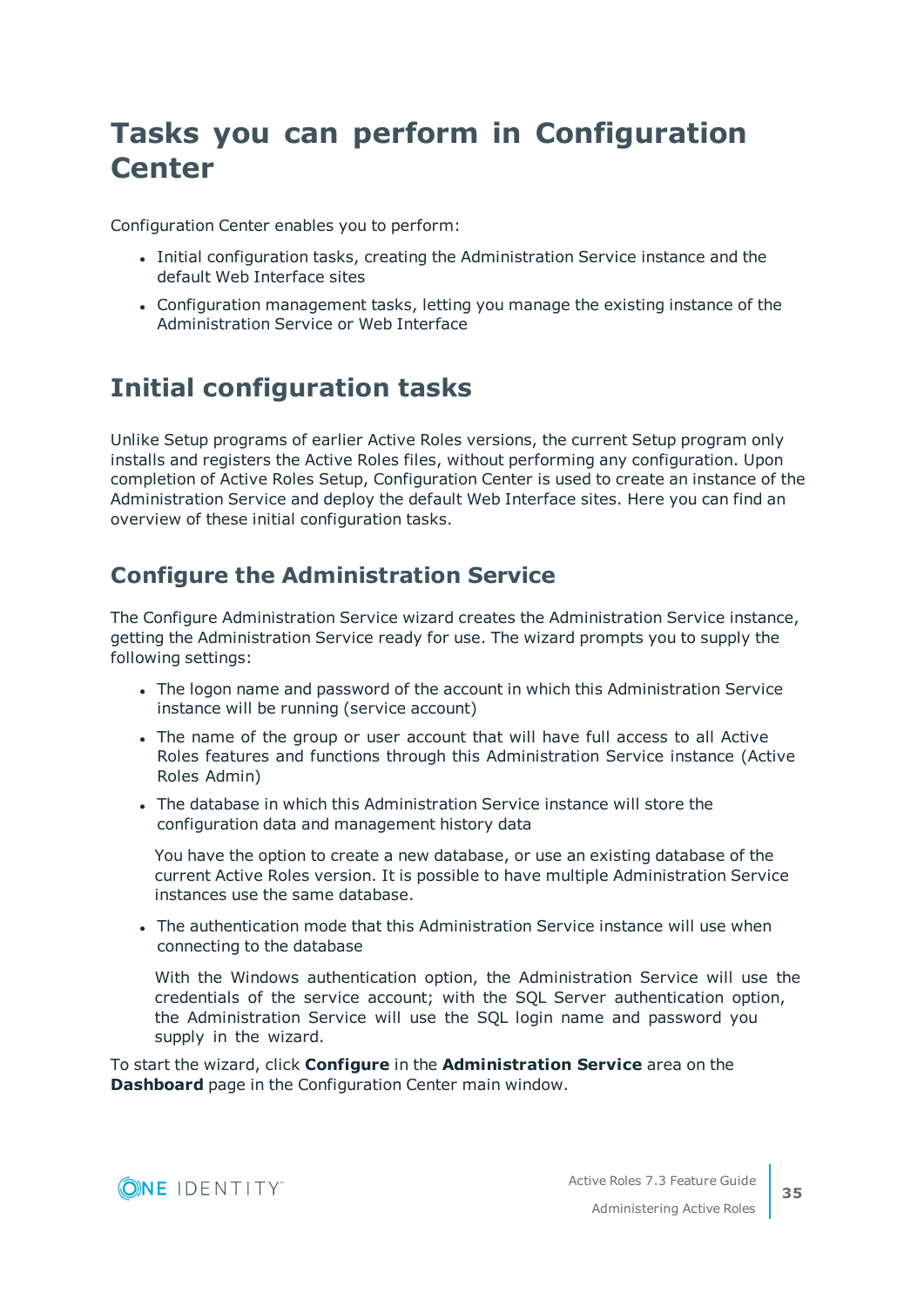# <span id="page-34-0"></span>**Tasks you can perform in Configuration Center**

Configuration Center enables you to perform:

- <sup>l</sup> Initial configuration tasks, creating the Administration Service instance and the default Web Interface sites
- Configuration management tasks, letting you manage the existing instance of the Administration Service or Web Interface

## <span id="page-34-1"></span>**Initial configuration tasks**

Unlike Setup programs of earlier Active Roles versions, the current Setup program only installs and registers the Active Roles files, without performing any configuration. Upon completion of Active Roles Setup, Configuration Center is used to create an instance of the Administration Service and deploy the default Web Interface sites. Here you can find an overview of these initial configuration tasks.

## **Configure the Administration Service**

The Configure Administration Service wizard creates the Administration Service instance, getting the Administration Service ready for use. The wizard prompts you to supply the following settings:

- The logon name and password of the account in which this Administration Service instance will be running (service account)
- The name of the group or user account that will have full access to all Active Roles features and functions through this Administration Service instance (Active Roles Admin)
- The database in which this Administration Service instance will store the configuration data and management history data

You have the option to create a new database, or use an existing database of the current Active Roles version. It is possible to have multiple Administration Service instances use the same database.

• The authentication mode that this Administration Service instance will use when connecting to the database

With the Windows authentication option, the Administration Service will use the credentials of the service account; with the SQL Server authentication option, the Administration Service will use the SQL login name and password you supply in the wizard.

To start the wizard, click **Configure** in the **Administration Service** area on the **Dashboard** page in the Configuration Center main window.

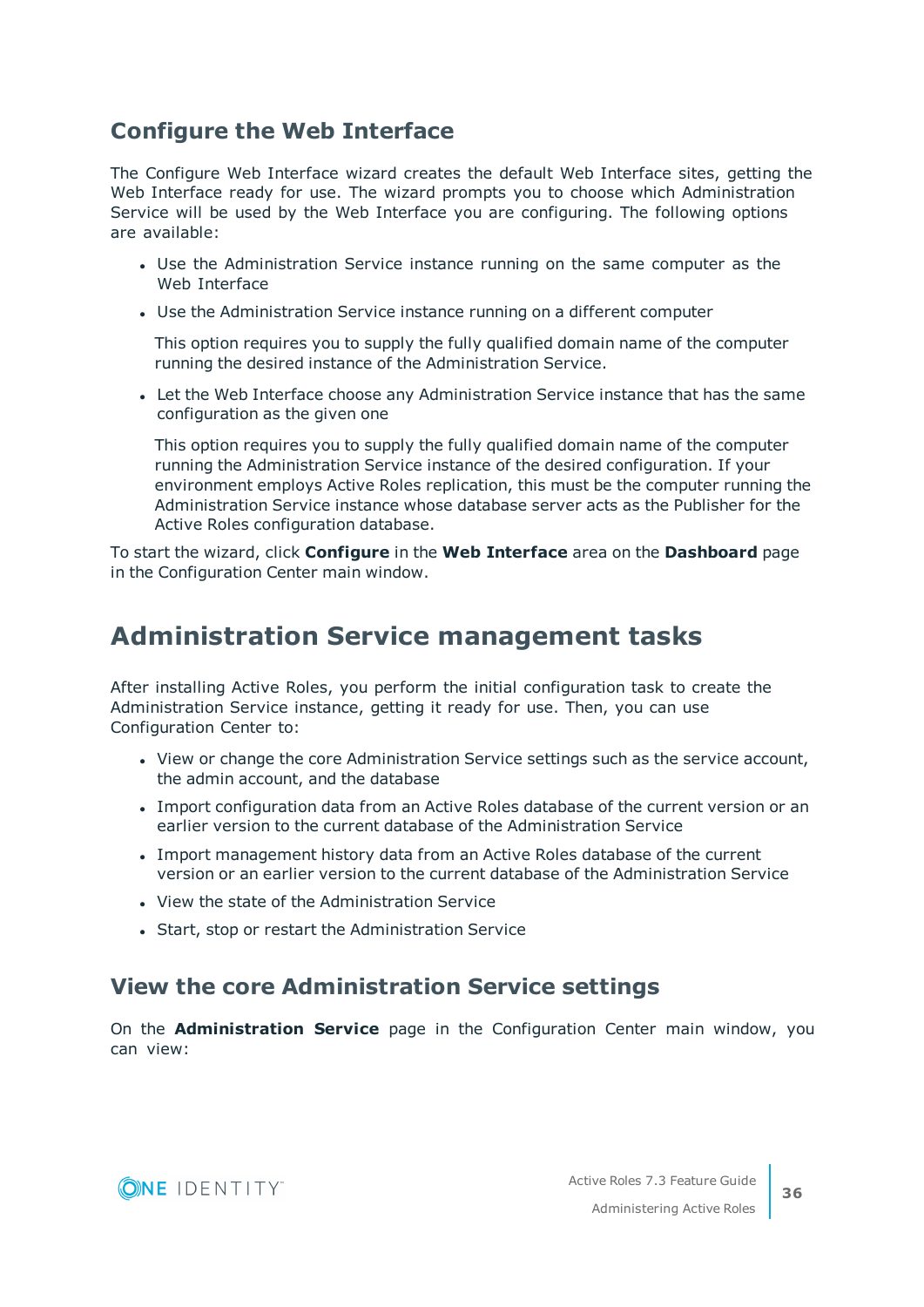### **Configure the Web Interface**

The Configure Web Interface wizard creates the default Web Interface sites, getting the Web Interface ready for use. The wizard prompts you to choose which Administration Service will be used by the Web Interface you are configuring. The following options are available:

- Use the Administration Service instance running on the same computer as the Web Interface
- Use the Administration Service instance running on a different computer

This option requires you to supply the fully qualified domain name of the computer running the desired instance of the Administration Service.

• Let the Web Interface choose any Administration Service instance that has the same configuration as the given one

This option requires you to supply the fully qualified domain name of the computer running the Administration Service instance of the desired configuration. If your environment employs Active Roles replication, this must be the computer running the Administration Service instance whose database server acts as the Publisher for the Active Roles configuration database.

To start the wizard, click **Configure** in the **Web Interface** area on the **Dashboard** page in the Configuration Center main window.

## <span id="page-35-0"></span>**Administration Service management tasks**

After installing Active Roles, you perform the initial configuration task to create the Administration Service instance, getting it ready for use. Then, you can use Configuration Center to:

- View or change the core Administration Service settings such as the service account, the admin account, and the database
- Import configuration data from an Active Roles database of the current version or an earlier version to the current database of the Administration Service
- <sup>l</sup> Import management history data from an Active Roles database of the current version or an earlier version to the current database of the Administration Service
- View the state of the Administration Service
- Start, stop or restart the Administration Service

### **View the core Administration Service settings**

On the **Administration Service** page in the Configuration Center main window, you can view:

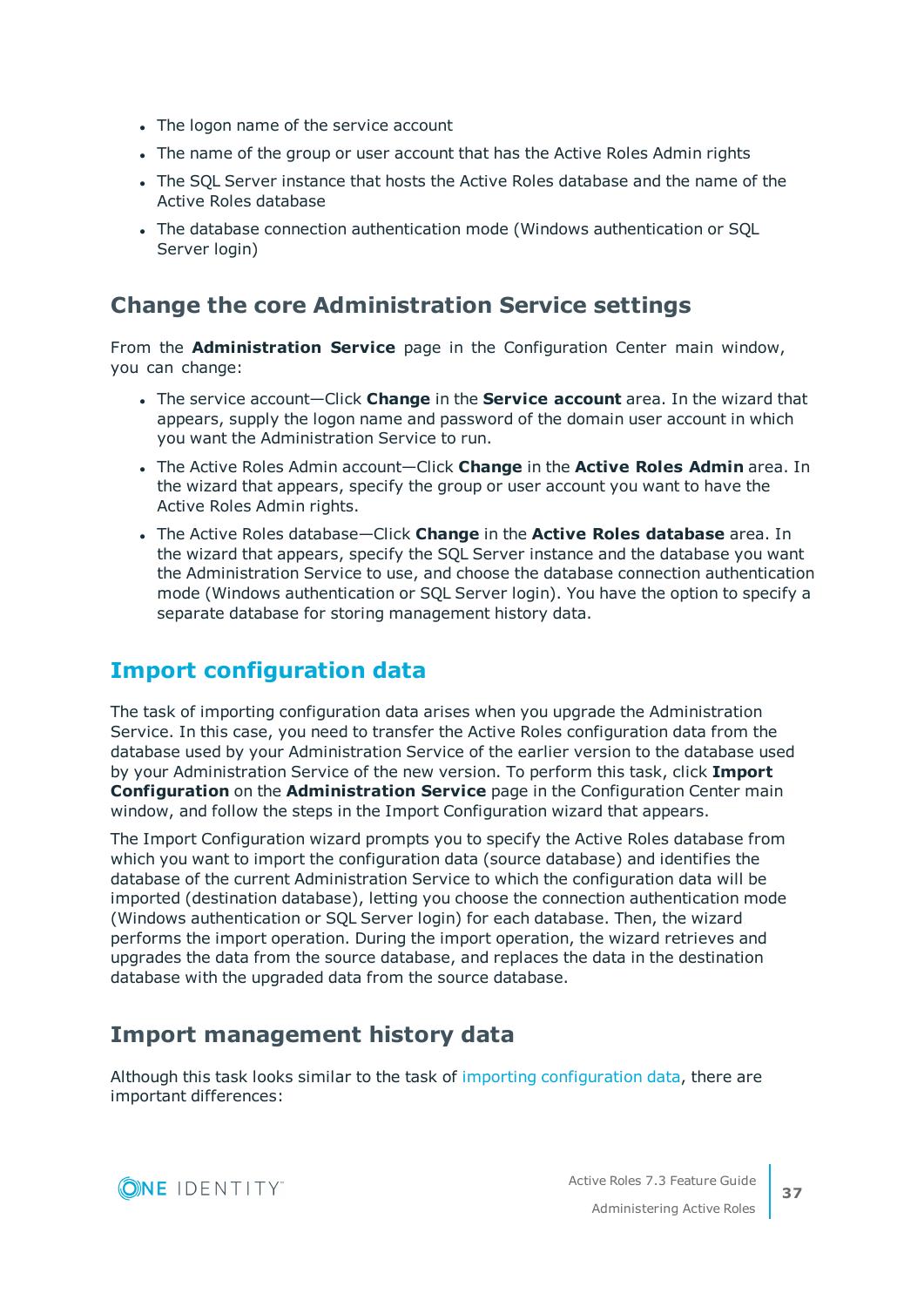- The logon name of the service account
- The name of the group or user account that has the Active Roles Admin rights
- The SQL Server instance that hosts the Active Roles database and the name of the Active Roles database
- The database connection authentication mode (Windows authentication or SQL Server login)

#### **Change the core Administration Service settings**

From the **Administration Service** page in the Configuration Center main window, you can change:

- <sup>l</sup> The service account—Click **Change** in the **Service account** area. In the wizard that appears, supply the logon name and password of the domain user account in which you want the Administration Service to run.
- <sup>l</sup> The Active Roles Admin account—Click **Change** in the **Active Roles Admin** area. In the wizard that appears, specify the group or user account you want to have the Active Roles Admin rights.
- <sup>l</sup> The Active Roles database—Click **Change** in the **Active Roles database** area. In the wizard that appears, specify the SQL Server instance and the database you want the Administration Service to use, and choose the database connection authentication mode (Windows authentication or SQL Server login). You have the option to specify a separate database for storing management history data.

## <span id="page-36-0"></span>**Import [configuration](#page-36-0) data**

The task of importing configuration data arises when you upgrade the Administration Service. In this case, you need to transfer the Active Roles configuration data from the database used by your Administration Service of the earlier version to the database used by your Administration Service of the new version. To perform this task, click **Import Configuration** on the **Administration Service** page in the Configuration Center main window, and follow the steps in the Import Configuration wizard that appears.

The Import Configuration wizard prompts you to specify the Active Roles database from which you want to import the configuration data (source database) and identifies the database of the current Administration Service to which the configuration data will be imported (destination database), letting you choose the connection authentication mode (Windows authentication or SQL Server login) for each database. Then, the wizard performs the import operation. During the import operation, the wizard retrieves and upgrades the data from the source database, and replaces the data in the destination database with the upgraded data from the source database.

## **Import management history data**

Although this task looks similar to the task of importing configuration data, there are important differences:

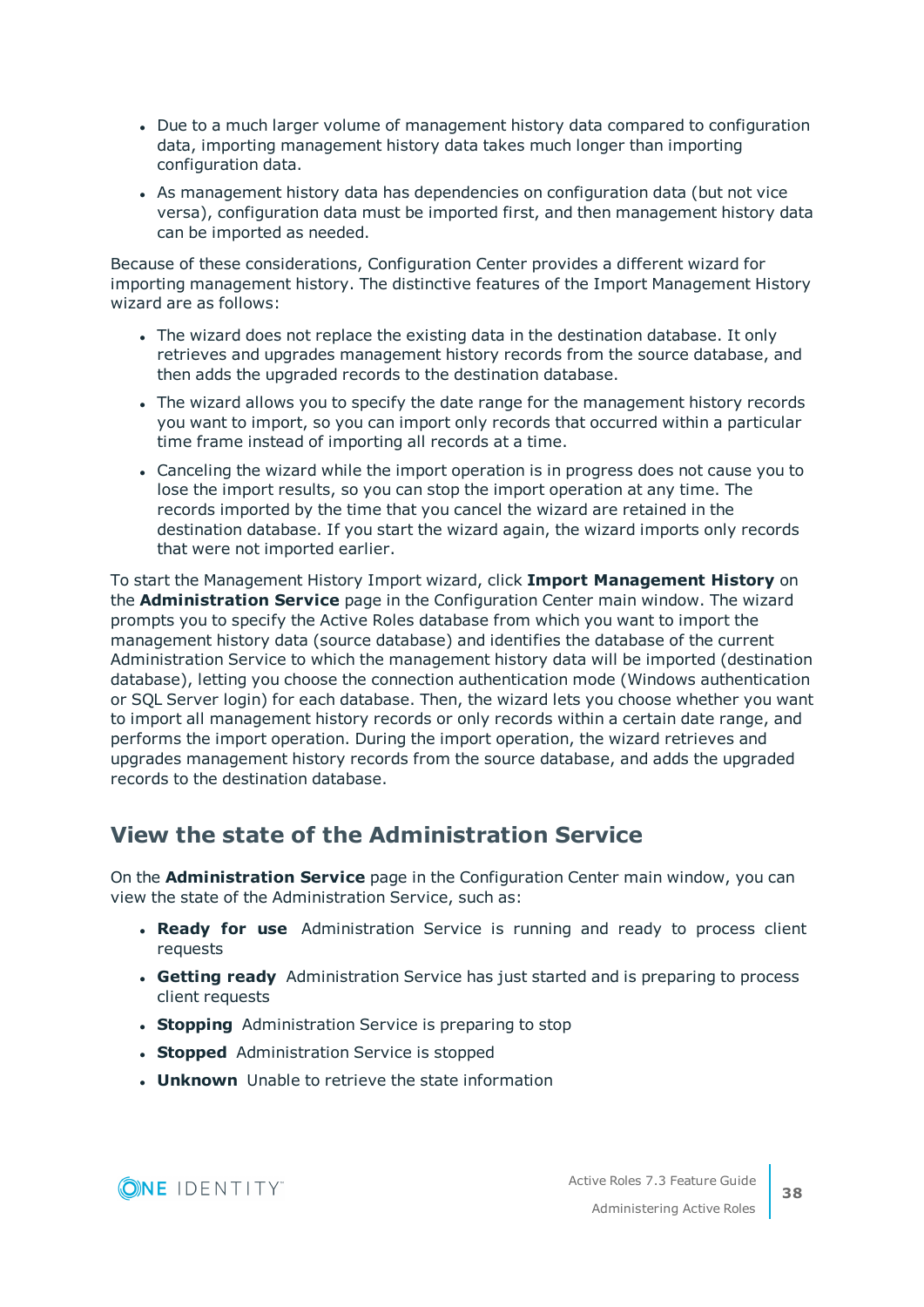- Due to a much larger volume of management history data compared to configuration data, importing management history data takes much longer than importing configuration data.
- As management history data has dependencies on configuration data (but not vice versa), configuration data must be imported first, and then management history data can be imported as needed.

Because of these considerations, Configuration Center provides a different wizard for importing management history. The distinctive features of the Import Management History wizard are as follows:

- The wizard does not replace the existing data in the destination database. It only retrieves and upgrades management history records from the source database, and then adds the upgraded records to the destination database.
- The wizard allows you to specify the date range for the management history records you want to import, so you can import only records that occurred within a particular time frame instead of importing all records at a time.
- Canceling the wizard while the import operation is in progress does not cause you to lose the import results, so you can stop the import operation at any time. The records imported by the time that you cancel the wizard are retained in the destination database. If you start the wizard again, the wizard imports only records that were not imported earlier.

To start the Management History Import wizard, click **Import Management History** on the **Administration Service** page in the Configuration Center main window. The wizard prompts you to specify the Active Roles database from which you want to import the management history data (source database) and identifies the database of the current Administration Service to which the management history data will be imported (destination database), letting you choose the connection authentication mode (Windows authentication or SQL Server login) for each database. Then, the wizard lets you choose whether you want to import all management history records or only records within a certain date range, and performs the import operation. During the import operation, the wizard retrieves and upgrades management history records from the source database, and adds the upgraded records to the destination database.

### **View the state of the Administration Service**

On the **Administration Service** page in the Configuration Center main window, you can view the state of the Administration Service, such as:

- <sup>l</sup> **Ready for use** Administration Service is running and ready to process client requests
- **. Getting ready** Administration Service has just started and is preparing to process client requests
- **. Stopping** Administration Service is preparing to stop
- **. Stopped** Administration Service is stopped
- **. Unknown** Unable to retrieve the state information

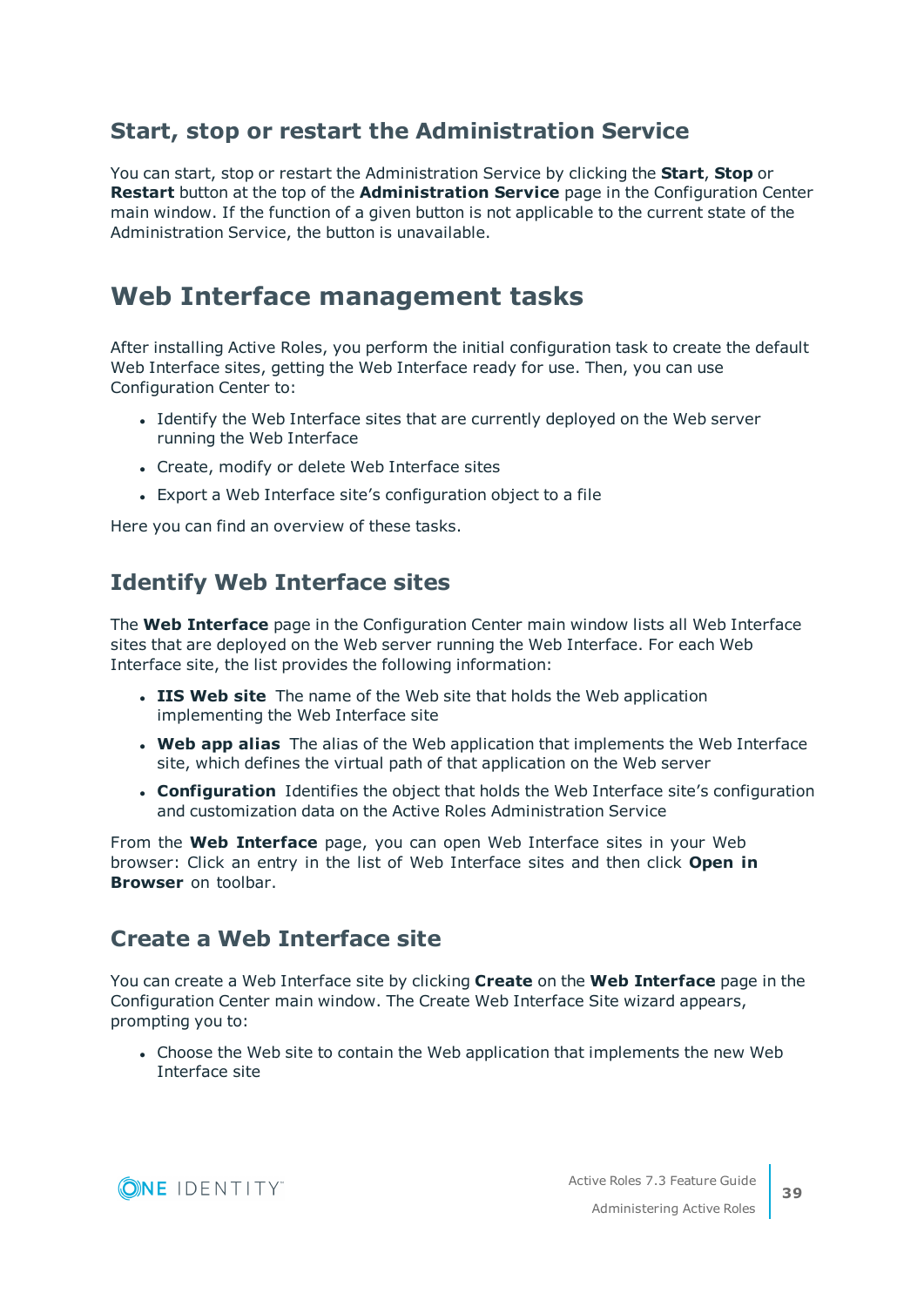### **Start, stop or restart the Administration Service**

You can start, stop or restart the Administration Service by clicking the **Start**, **Stop** or **Restart** button at the top of the **Administration Service** page in the Configuration Center main window. If the function of a given button is not applicable to the current state of the Administration Service, the button is unavailable.

## <span id="page-38-0"></span>**Web Interface management tasks**

After installing Active Roles, you perform the initial configuration task to create the default Web Interface sites, getting the Web Interface ready for use. Then, you can use Configuration Center to:

- <sup>l</sup> Identify the Web Interface sites that are currently deployed on the Web server running the Web Interface
- Create, modify or delete Web Interface sites
- Export a Web Interface site's configuration object to a file

Here you can find an overview of these tasks.

### **Identify Web Interface sites**

The **Web Interface** page in the Configuration Center main window lists all Web Interface sites that are deployed on the Web server running the Web Interface. For each Web Interface site, the list provides the following information:

- **. IIS Web site** The name of the Web site that holds the Web application implementing the Web Interface site
- **Web app alias** The alias of the Web application that implements the Web Interface site, which defines the virtual path of that application on the Web server
- **Configuration** Identifies the object that holds the Web Interface site's configuration and customization data on the Active Roles Administration Service

From the **Web Interface** page, you can open Web Interface sites in your Web browser: Click an entry in the list of Web Interface sites and then click **Open in Browser** on toolbar.

### **Create a Web Interface site**

You can create a Web Interface site by clicking **Create** on the **Web Interface** page in the Configuration Center main window. The Create Web Interface Site wizard appears, prompting you to:

• Choose the Web site to contain the Web application that implements the new Web Interface site

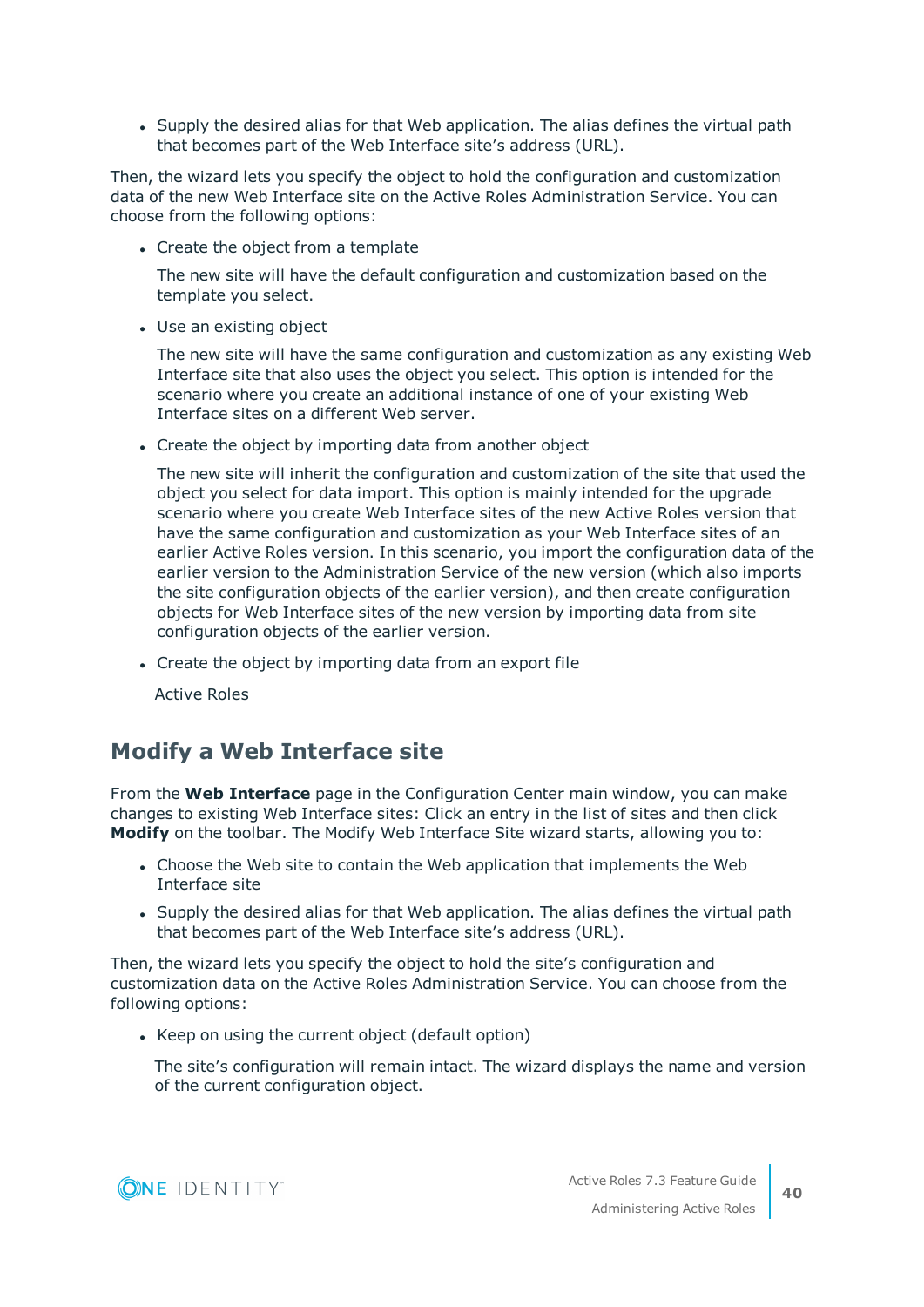• Supply the desired alias for that Web application. The alias defines the virtual path that becomes part of the Web Interface site's address (URL).

Then, the wizard lets you specify the object to hold the configuration and customization data of the new Web Interface site on the Active Roles Administration Service. You can choose from the following options:

• Create the object from a template

The new site will have the default configuration and customization based on the template you select.

• Use an existing object

The new site will have the same configuration and customization as any existing Web Interface site that also uses the object you select. This option is intended for the scenario where you create an additional instance of one of your existing Web Interface sites on a different Web server.

• Create the object by importing data from another object

The new site will inherit the configuration and customization of the site that used the object you select for data import. This option is mainly intended for the upgrade scenario where you create Web Interface sites of the new Active Roles version that have the same configuration and customization as your Web Interface sites of an earlier Active Roles version. In this scenario, you import the configuration data of the earlier version to the Administration Service of the new version (which also imports the site configuration objects of the earlier version), and then create configuration objects for Web Interface sites of the new version by importing data from site configuration objects of the earlier version.

• Create the object by importing data from an export file

Active Roles

### **Modify a Web Interface site**

From the **Web Interface** page in the Configuration Center main window, you can make changes to existing Web Interface sites: Click an entry in the list of sites and then click **Modify** on the toolbar. The Modify Web Interface Site wizard starts, allowing you to:

- Choose the Web site to contain the Web application that implements the Web Interface site
- Supply the desired alias for that Web application. The alias defines the virtual path that becomes part of the Web Interface site's address (URL).

Then, the wizard lets you specify the object to hold the site's configuration and customization data on the Active Roles Administration Service. You can choose from the following options:

• Keep on using the current object (default option)

The site's configuration will remain intact. The wizard displays the name and version of the current configuration object.

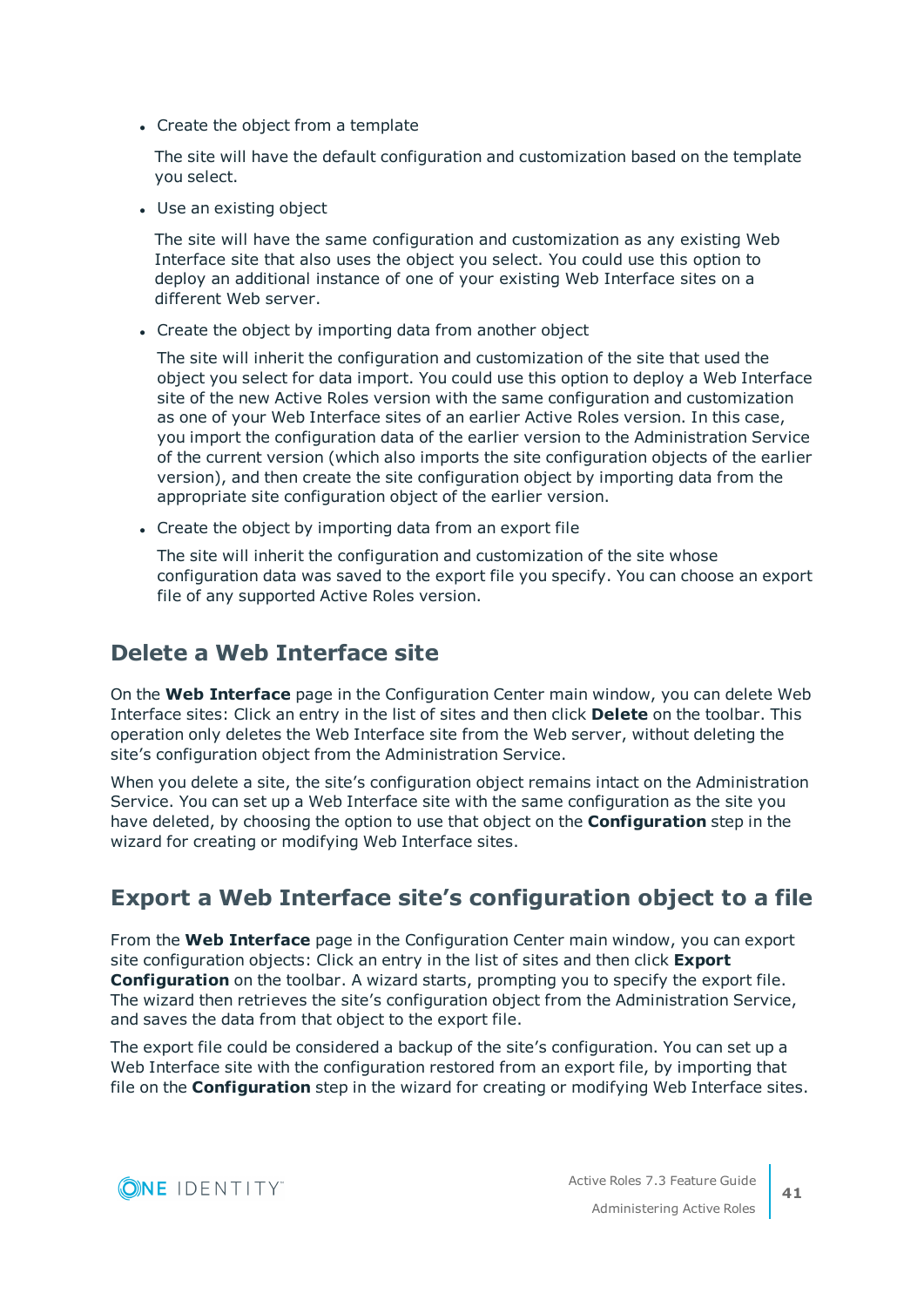• Create the object from a template

The site will have the default configuration and customization based on the template you select.

• Use an existing object

The site will have the same configuration and customization as any existing Web Interface site that also uses the object you select. You could use this option to deploy an additional instance of one of your existing Web Interface sites on a different Web server.

• Create the object by importing data from another object

The site will inherit the configuration and customization of the site that used the object you select for data import. You could use this option to deploy a Web Interface site of the new Active Roles version with the same configuration and customization as one of your Web Interface sites of an earlier Active Roles version. In this case, you import the configuration data of the earlier version to the Administration Service of the current version (which also imports the site configuration objects of the earlier version), and then create the site configuration object by importing data from the appropriate site configuration object of the earlier version.

• Create the object by importing data from an export file

The site will inherit the configuration and customization of the site whose configuration data was saved to the export file you specify. You can choose an export file of any supported Active Roles version.

### **Delete a Web Interface site**

On the **Web Interface** page in the Configuration Center main window, you can delete Web Interface sites: Click an entry in the list of sites and then click **Delete** on the toolbar. This operation only deletes the Web Interface site from the Web server, without deleting the site's configuration object from the Administration Service.

When you delete a site, the site's configuration object remains intact on the Administration Service. You can set up a Web Interface site with the same configuration as the site you have deleted, by choosing the option to use that object on the **Configuration** step in the wizard for creating or modifying Web Interface sites.

## **Export a Web Interface site's configuration object to a file**

From the **Web Interface** page in the Configuration Center main window, you can export site configuration objects: Click an entry in the list of sites and then click **Export Configuration** on the toolbar. A wizard starts, prompting you to specify the export file. The wizard then retrieves the site's configuration object from the Administration Service, and saves the data from that object to the export file.

The export file could be considered a backup of the site's configuration. You can set up a Web Interface site with the configuration restored from an export file, by importing that file on the **Configuration** step in the wizard for creating or modifying Web Interface sites.

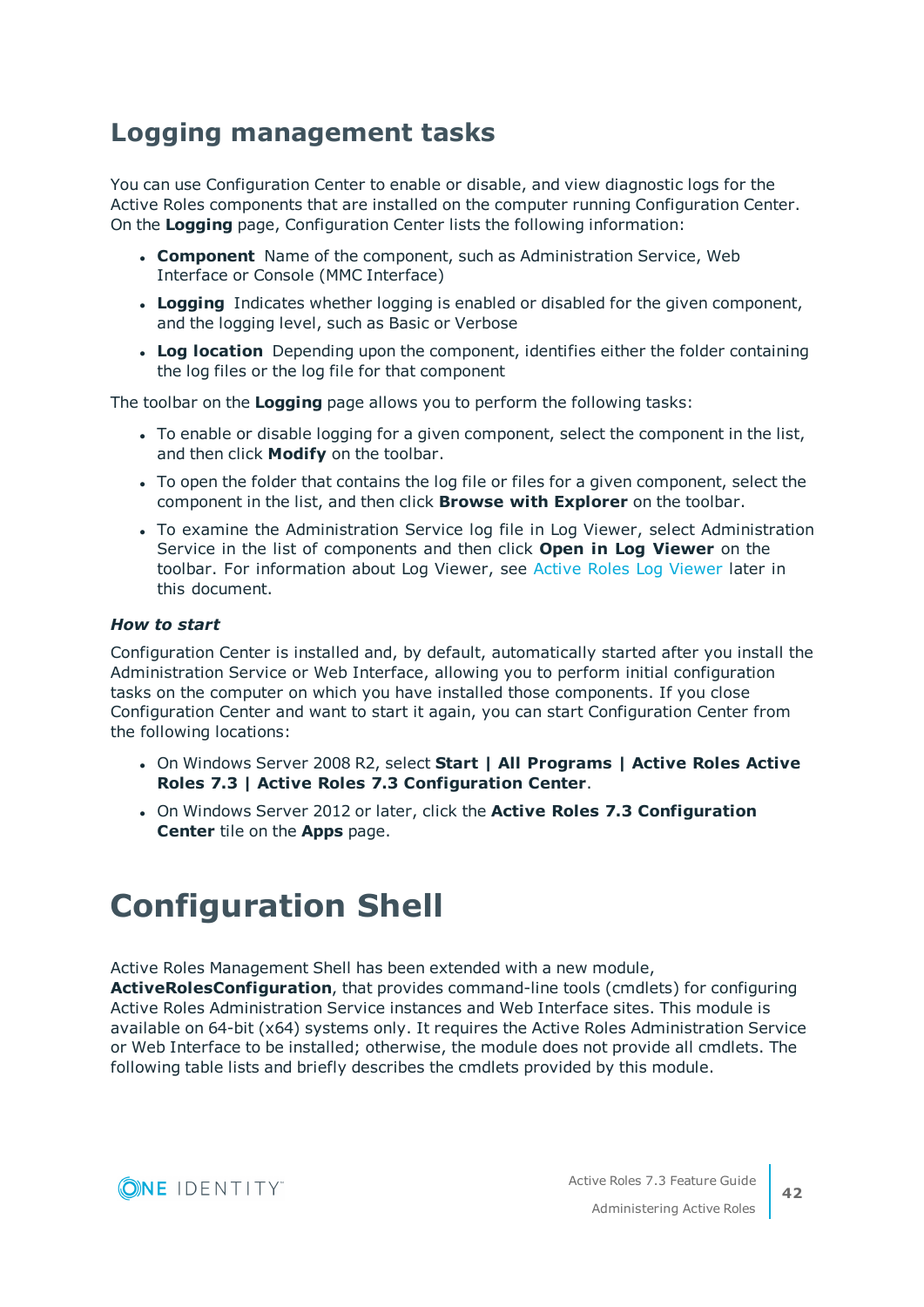## <span id="page-41-0"></span>**Logging management tasks**

You can use Configuration Center to enable or disable, and view diagnostic logs for the Active Roles components that are installed on the computer running Configuration Center. On the **Logging** page, Configuration Center lists the following information:

- **Component** Name of the component, such as Administration Service, Web Interface or Console (MMC Interface)
- **Logging** Indicates whether logging is enabled or disabled for the given component, and the logging level, such as Basic or Verbose
- **Log location** Depending upon the component, identifies either the folder containing the log files or the log file for that component

The toolbar on the **Logging** page allows you to perform the following tasks:

- To enable or disable logging for a given component, select the component in the list, and then click **Modify** on the toolbar.
- To open the folder that contains the log file or files for a given component, select the component in the list, and then click **Browse with Explorer** on the toolbar.
- To examine the Administration Service log file in Log Viewer, select Administration Service in the list of components and then click **Open in Log Viewer** on the toolbar. For information about Log Viewer, see Active Roles Log [Viewer](#page-43-0) later in this document.

#### *How to start*

Configuration Center is installed and, by default, automatically started after you install the Administration Service or Web Interface, allowing you to perform initial configuration tasks on the computer on which you have installed those components. If you close Configuration Center and want to start it again, you can start Configuration Center from the following locations:

- <sup>l</sup> On Windows Server 2008 R2, select **Start | All Programs | Active Roles Active Roles 7.3 | Active Roles 7.3 Configuration Center**.
- <sup>l</sup> On Windows Server 2012 or later, click the **Active Roles 7.3 Configuration Center** tile on the **Apps** page.

# <span id="page-41-1"></span>**Configuration Shell**

Active Roles Management Shell has been extended with a new module,

**ActiveRolesConfiguration**, that provides command-line tools (cmdlets) for configuring Active Roles Administration Service instances and Web Interface sites. This module is available on 64-bit (x64) systems only. It requires the Active Roles Administration Service or Web Interface to be installed; otherwise, the module does not provide all cmdlets. The following table lists and briefly describes the cmdlets provided by this module.

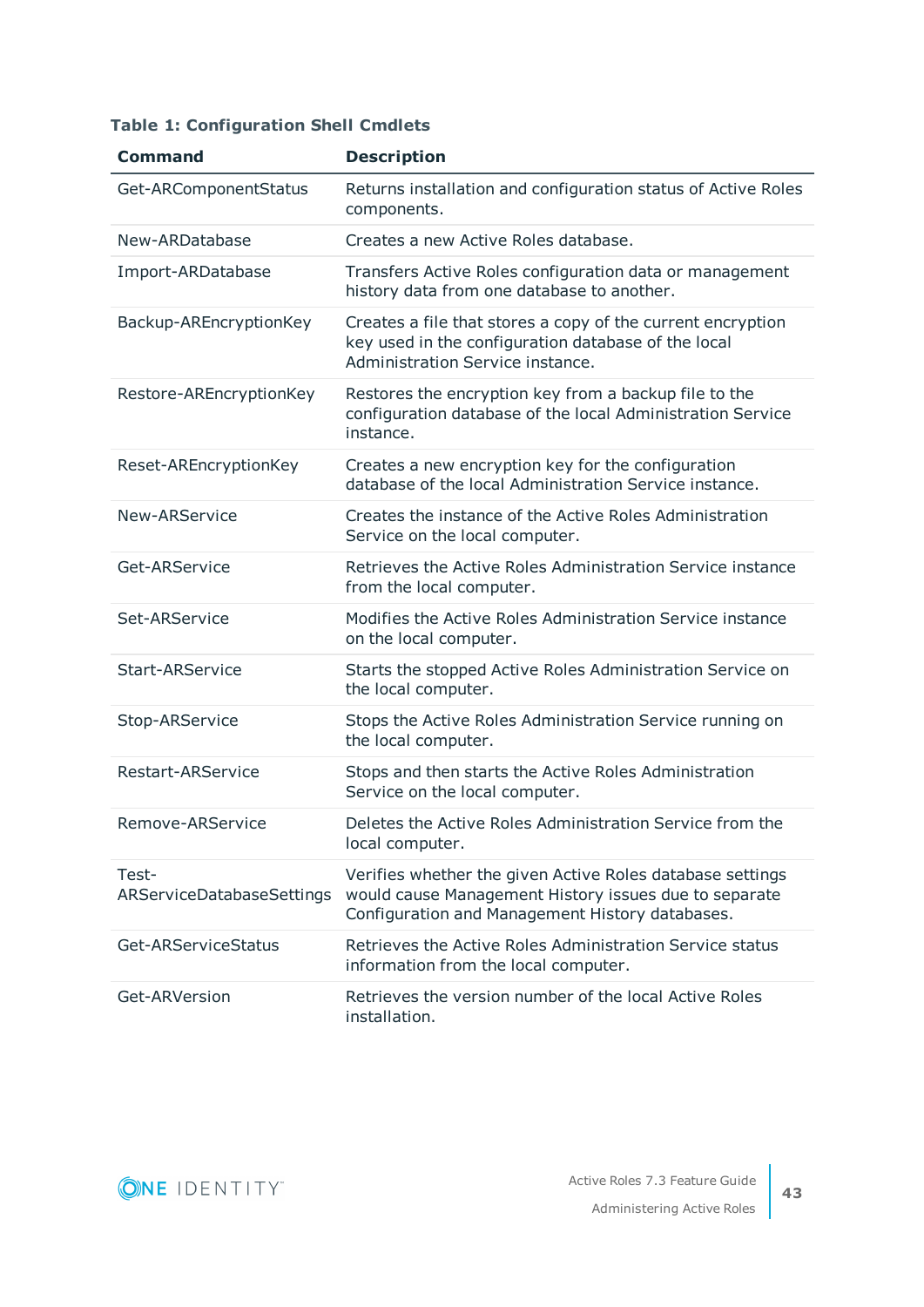|  | <b>Table 1: Configuration Shell Cmdlets</b> |  |  |
|--|---------------------------------------------|--|--|
|--|---------------------------------------------|--|--|

| <b>Command</b>                     | <b>Description</b>                                                                                                                                                    |
|------------------------------------|-----------------------------------------------------------------------------------------------------------------------------------------------------------------------|
| Get-ARComponentStatus              | Returns installation and configuration status of Active Roles<br>components.                                                                                          |
| New-ARDatabase                     | Creates a new Active Roles database.                                                                                                                                  |
| Import-ARDatabase                  | Transfers Active Roles configuration data or management<br>history data from one database to another.                                                                 |
| Backup-AREncryptionKey             | Creates a file that stores a copy of the current encryption<br>key used in the configuration database of the local<br>Administration Service instance.                |
| Restore-AREncryptionKey            | Restores the encryption key from a backup file to the<br>configuration database of the local Administration Service<br>instance.                                      |
| Reset-AREncryptionKey              | Creates a new encryption key for the configuration<br>database of the local Administration Service instance.                                                          |
| New-ARService                      | Creates the instance of the Active Roles Administration<br>Service on the local computer.                                                                             |
| Get-ARService                      | Retrieves the Active Roles Administration Service instance<br>from the local computer.                                                                                |
| Set-ARService                      | Modifies the Active Roles Administration Service instance<br>on the local computer.                                                                                   |
| <b>Start-ARService</b>             | Starts the stopped Active Roles Administration Service on<br>the local computer.                                                                                      |
| Stop-ARService                     | Stops the Active Roles Administration Service running on<br>the local computer.                                                                                       |
| Restart-ARService                  | Stops and then starts the Active Roles Administration<br>Service on the local computer.                                                                               |
| Remove-ARService                   | Deletes the Active Roles Administration Service from the<br>local computer.                                                                                           |
| Test-<br>ARServiceDatabaseSettings | Verifies whether the given Active Roles database settings<br>would cause Management History issues due to separate<br>Configuration and Management History databases. |
| Get-ARServiceStatus                | Retrieves the Active Roles Administration Service status<br>information from the local computer.                                                                      |
| Get-ARVersion                      | Retrieves the version number of the local Active Roles<br>installation.                                                                                               |

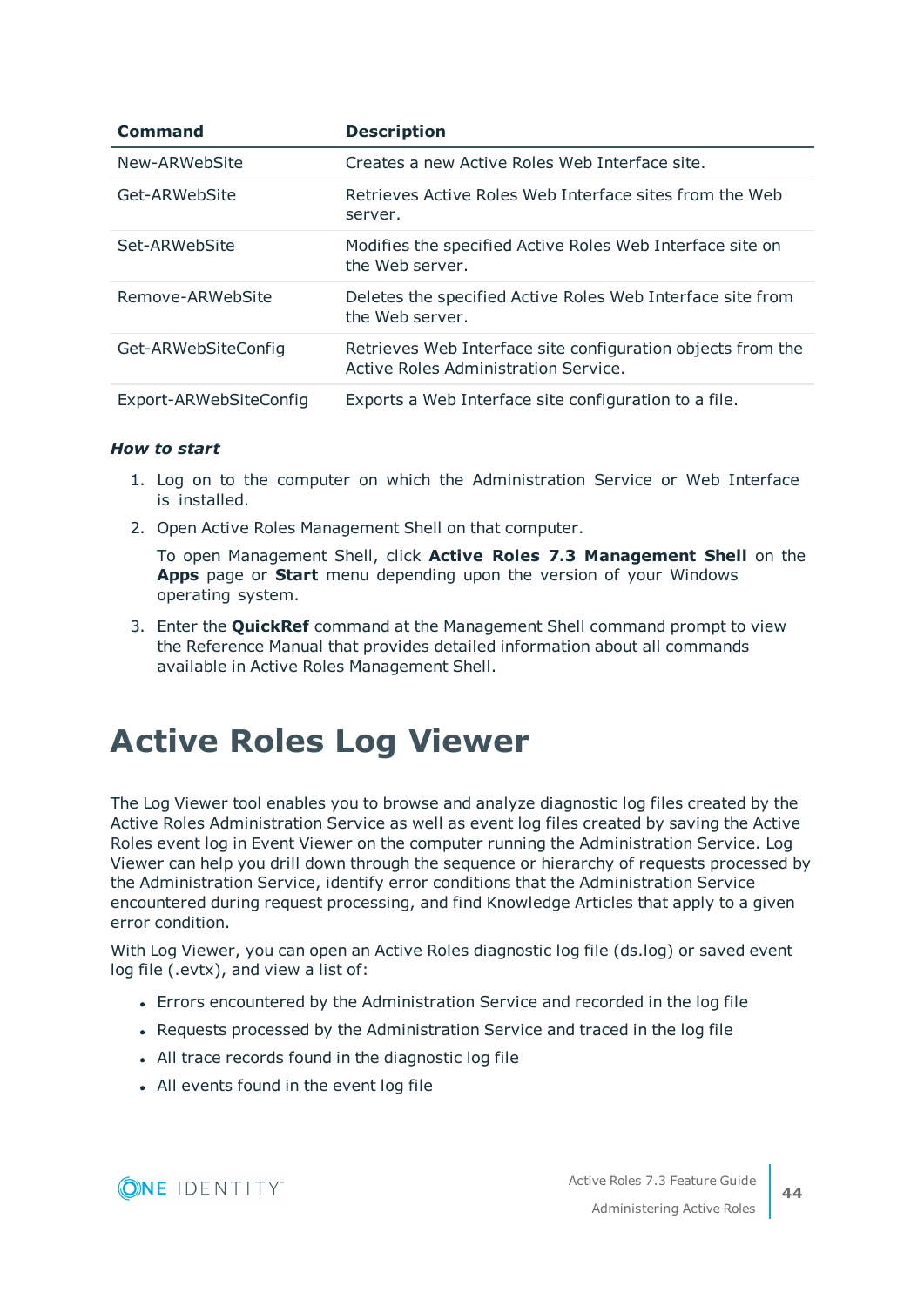| <b>Command</b>         | <b>Description</b>                                                                                  |
|------------------------|-----------------------------------------------------------------------------------------------------|
| New-ARWebSite          | Creates a new Active Roles Web Interface site.                                                      |
| Get-ARWebSite          | Retrieves Active Roles Web Interface sites from the Web<br>server.                                  |
| Set-ARWebSite          | Modifies the specified Active Roles Web Interface site on<br>the Web server.                        |
| Remove-ARWebSite       | Deletes the specified Active Roles Web Interface site from<br>the Web server.                       |
| Get-ARWebSiteConfig    | Retrieves Web Interface site configuration objects from the<br>Active Roles Administration Service. |
| Export-ARWebSiteConfig | Exports a Web Interface site configuration to a file.                                               |

#### *How to start*

- 1. Log on to the computer on which the Administration Service or Web Interface is installed.
- 2. Open Active Roles Management Shell on that computer.

To open Management Shell, click **Active Roles 7.3 Management Shell** on the **Apps** page or **Start** menu depending upon the version of your Windows operating system.

3. Enter the **QuickRef** command at the Management Shell command prompt to view the Reference Manual that provides detailed information about all commands available in Active Roles Management Shell.

# <span id="page-43-0"></span>**Active Roles Log Viewer**

The Log Viewer tool enables you to browse and analyze diagnostic log files created by the Active Roles Administration Service as well as event log files created by saving the Active Roles event log in Event Viewer on the computer running the Administration Service. Log Viewer can help you drill down through the sequence or hierarchy of requests processed by the Administration Service, identify error conditions that the Administration Service encountered during request processing, and find Knowledge Articles that apply to a given error condition.

With Log Viewer, you can open an Active Roles diagnostic log file (ds.log) or saved event log file (.evtx), and view a list of:

- Errors encountered by the Administration Service and recorded in the log file
- Requests processed by the Administration Service and traced in the log file
- All trace records found in the diagnostic log file
- All events found in the event log file

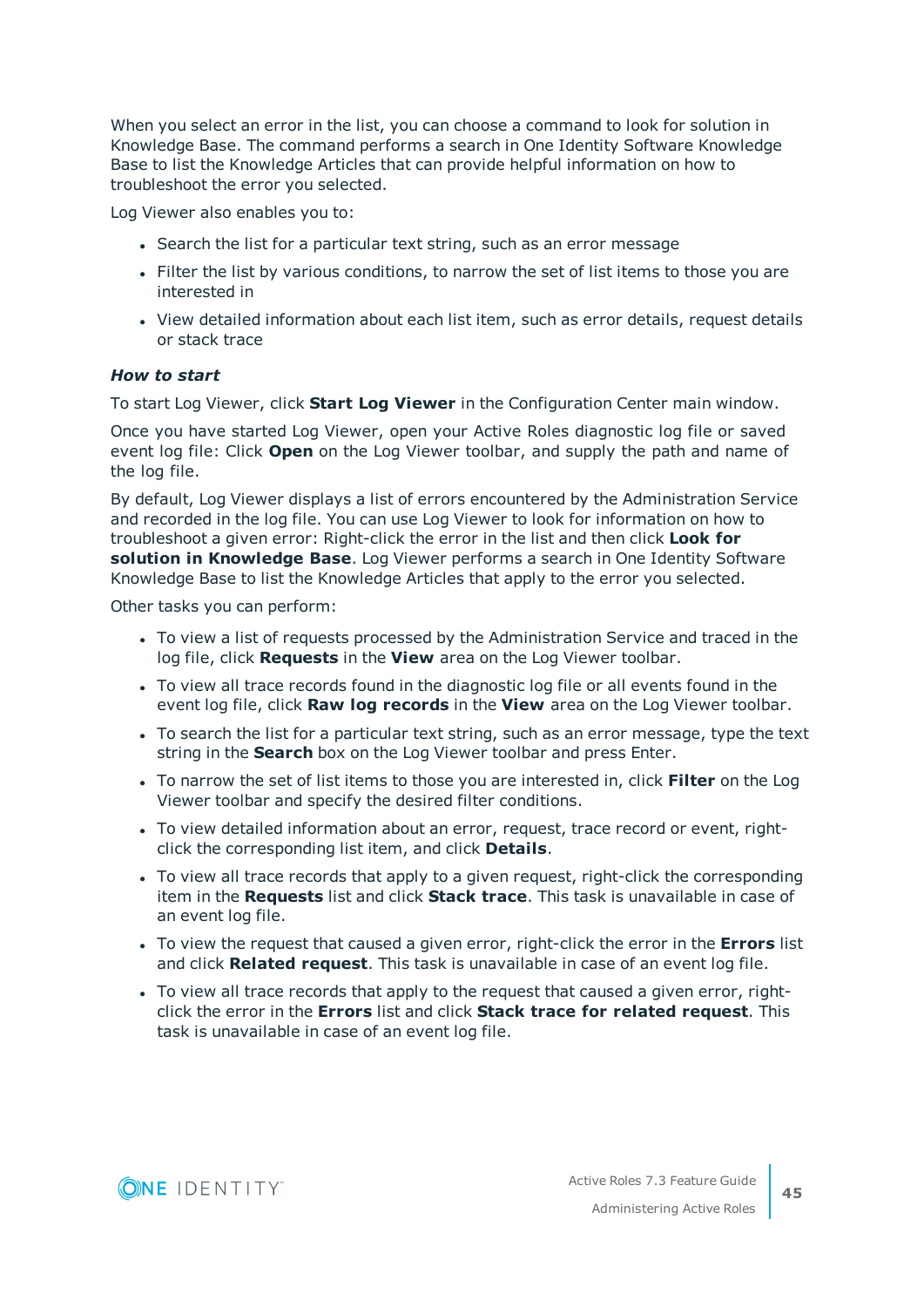When you select an error in the list, you can choose a command to look for solution in Knowledge Base. The command performs a search in One Identity Software Knowledge Base to list the Knowledge Articles that can provide helpful information on how to troubleshoot the error you selected.

Log Viewer also enables you to:

- Search the list for a particular text string, such as an error message
- Filter the list by various conditions, to narrow the set of list items to those you are interested in
- View detailed information about each list item, such as error details, request details or stack trace

#### *How to start*

To start Log Viewer, click **Start Log Viewer** in the Configuration Center main window.

Once you have started Log Viewer, open your Active Roles diagnostic log file or saved event log file: Click **Open** on the Log Viewer toolbar, and supply the path and name of the log file.

By default, Log Viewer displays a list of errors encountered by the Administration Service and recorded in the log file. You can use Log Viewer to look for information on how to troubleshoot a given error: Right-click the error in the list and then click **Look for solution in Knowledge Base**. Log Viewer performs a search in One Identity Software Knowledge Base to list the Knowledge Articles that apply to the error you selected.

Other tasks you can perform:

- To view a list of requests processed by the Administration Service and traced in the log file, click **Requests** in the **View** area on the Log Viewer toolbar.
- To view all trace records found in the diagnostic log file or all events found in the event log file, click **Raw log records** in the **View** area on the Log Viewer toolbar.
- To search the list for a particular text string, such as an error message, type the text string in the **Search** box on the Log Viewer toolbar and press Enter.
- <sup>l</sup> To narrow the set of list items to those you are interested in, click **Filter** on the Log Viewer toolbar and specify the desired filter conditions.
- To view detailed information about an error, request, trace record or event, rightclick the corresponding list item, and click **Details**.
- To view all trace records that apply to a given request, right-click the corresponding item in the **Requests** list and click **Stack trace**. This task is unavailable in case of an event log file.
- To view the request that caused a given error, right-click the error in the **Errors** list and click **Related request**. This task is unavailable in case of an event log file.
- To view all trace records that apply to the request that caused a given error, rightclick the error in the **Errors** list and click **Stack trace for related request**. This task is unavailable in case of an event log file.

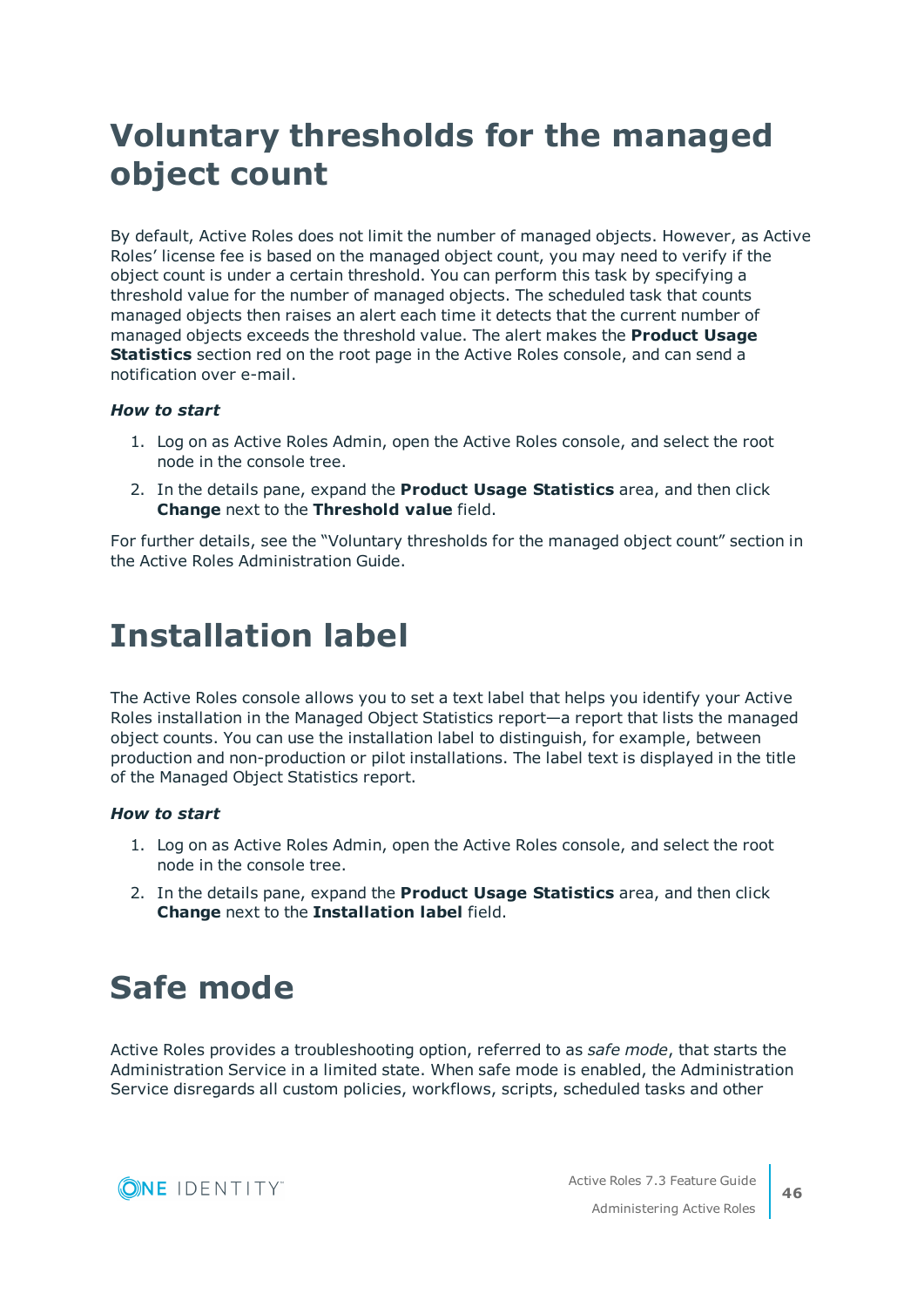# <span id="page-45-0"></span>**Voluntary thresholds for the managed object count**

By default, Active Roles does not limit the number of managed objects. However, as Active Roles' license fee is based on the managed object count, you may need to verify if the object count is under a certain threshold. You can perform this task by specifying a threshold value for the number of managed objects. The scheduled task that counts managed objects then raises an alert each time it detects that the current number of managed objects exceeds the threshold value. The alert makes the **Product Usage Statistics** section red on the root page in the Active Roles console, and can send a notification over e-mail.

#### *How to start*

- 1. Log on as Active Roles Admin, open the Active Roles console, and select the root node in the console tree.
- 2. In the details pane, expand the **Product Usage Statistics** area, and then click **Change** next to the **Threshold value** field.

For further details, see the "Voluntary thresholds for the managed object count" section in the Active Roles Administration Guide.

# <span id="page-45-1"></span>**Installation label**

The Active Roles console allows you to set a text label that helps you identify your Active Roles installation in the Managed Object Statistics report—a report that lists the managed object counts. You can use the installation label to distinguish, for example, between production and non-production or pilot installations. The label text is displayed in the title of the Managed Object Statistics report.

#### *How to start*

- 1. Log on as Active Roles Admin, open the Active Roles console, and select the root node in the console tree.
- 2. In the details pane, expand the **Product Usage Statistics** area, and then click **Change** next to the **Installation label** field.

# <span id="page-45-2"></span>**Safe mode**

Active Roles provides a troubleshooting option, referred to as *safe mode*, that starts the Administration Service in a limited state. When safe mode is enabled, the Administration Service disregards all custom policies, workflows, scripts, scheduled tasks and other

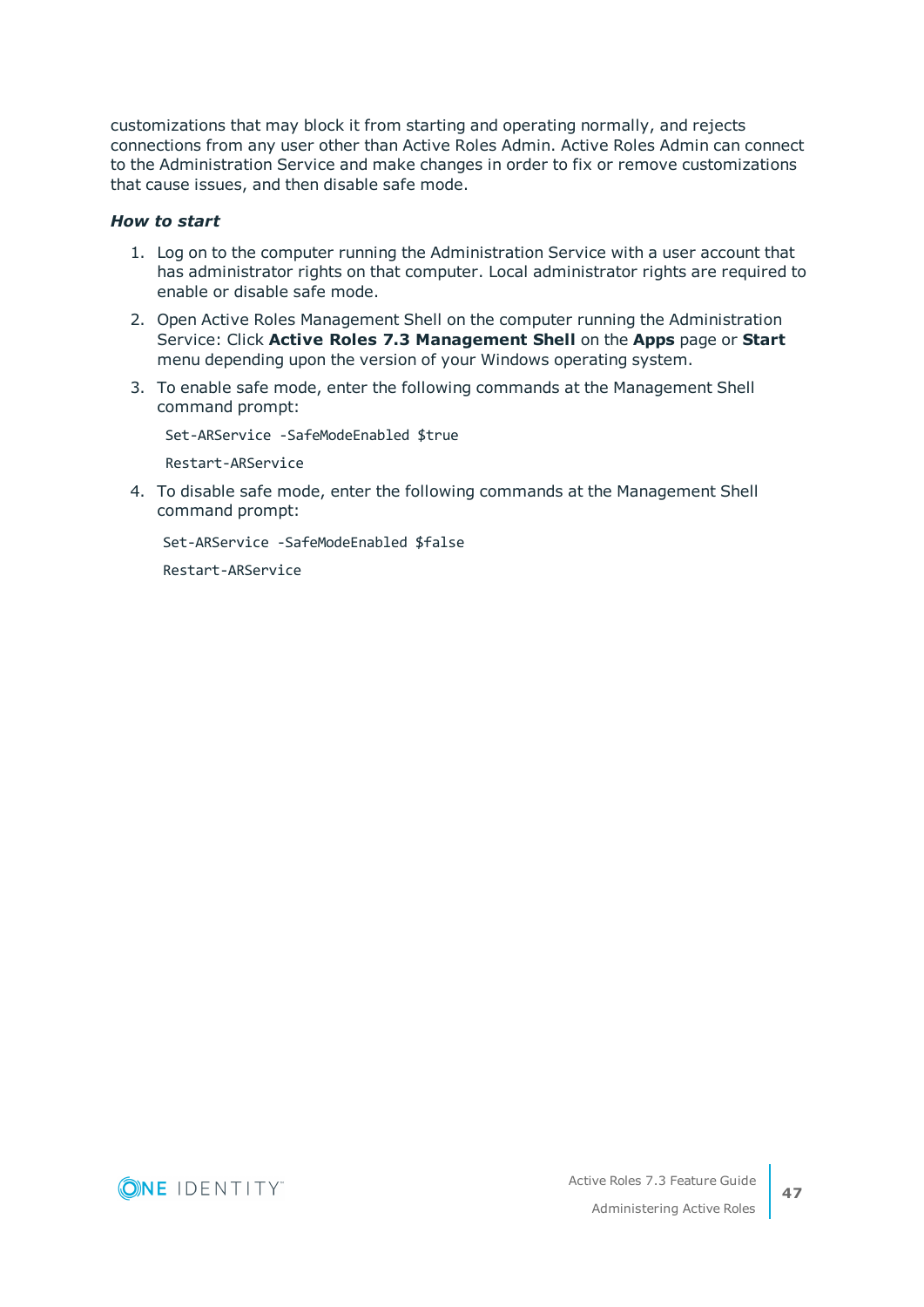customizations that may block it from starting and operating normally, and rejects connections from any user other than Active Roles Admin. Active Roles Admin can connect to the Administration Service and make changes in order to fix or remove customizations that cause issues, and then disable safe mode.

#### *How to start*

- 1. Log on to the computer running the Administration Service with a user account that has administrator rights on that computer. Local administrator rights are required to enable or disable safe mode.
- 2. Open Active Roles Management Shell on the computer running the Administration Service: Click **Active Roles 7.3 Management Shell** on the **Apps** page or **Start** menu depending upon the version of your Windows operating system.
- 3. To enable safe mode, enter the following commands at the Management Shell command prompt:

Set-ARService -SafeModeEnabled \$true

Restart-ARService

4. To disable safe mode, enter the following commands at the Management Shell command prompt:

Set-ARService -SafeModeEnabled \$false

Restart-ARService